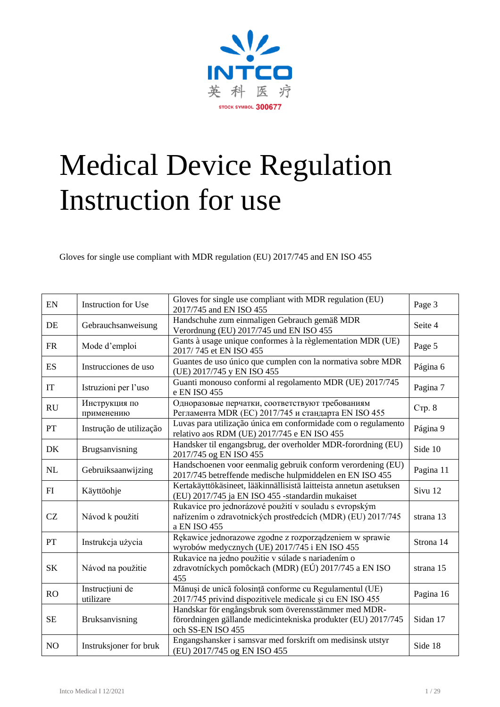

# Medical Device Regulation Instruction for use

Gloves for single use compliant with MDR regulation (EU) 2017/745 and EN ISO 455

| EN             | <b>Instruction for Use</b>   | Gloves for single use compliant with MDR regulation (EU)<br>2017/745 and EN ISO 455                                                        | Page 3    |
|----------------|------------------------------|--------------------------------------------------------------------------------------------------------------------------------------------|-----------|
| DE             | Gebrauchsanweisung           | Handschuhe zum einmaligen Gebrauch gemäß MDR<br>Verordnung (EU) 2017/745 und EN ISO 455                                                    | Seite 4   |
| <b>FR</b>      | Mode d'emploi                | Gants à usage unique conformes à la règlementation MDR (UE)<br>2017/745 et EN ISO 455                                                      | Page 5    |
| ES             | Instrucciones de uso         | Guantes de uso único que cumplen con la normativa sobre MDR<br>(UE) 2017/745 y EN ISO 455                                                  | Página 6  |
| IT             | Istruzioni per l'uso         | Guanti monouso conformi al regolamento MDR (UE) 2017/745<br>e EN ISO 455                                                                   | Pagina 7  |
| RU             | Инструкция по<br>применению  | Одноразовые перчатки, соответствуют требованиям<br>Регламента MDR (EC) 2017/745 и стандарта EN ISO 455                                     | CTp. 8    |
| PT             | Instrução de utilização      | Luvas para utilização única em conformidade com o regulamento<br>relativo aos RDM (UE) 2017/745 e EN ISO 455                               | Página 9  |
| DK             | Brugsanvisning               | Handsker til engangsbrug, der overholder MDR-forordning (EU)<br>2017/745 og EN ISO 455                                                     | Side 10   |
| NL             | Gebruiksaanwijzing           | Handschoenen voor eenmalig gebruik conform verordening (EU)<br>2017/745 betreffende medische hulpmiddelen en EN ISO 455                    | Pagina 11 |
| FI             | Käyttöohje                   | Kertakäyttökäsineet, lääkinnällisistä laitteista annetun asetuksen<br>(EU) 2017/745 ja EN ISO 455 -standardin mukaiset                     | Sivu 12   |
| CZ             | Návod k použití              | Rukavice pro jednorázové použití v souladu s evropským<br>nařízením o zdravotnických prostředcích (MDR) (EU) 2017/745<br>a EN ISO 455      | strana 13 |
| PT             | Instrukcja użycia            | Rękawice jednorazowe zgodne z rozporządzeniem w sprawie<br>wyrobów medycznych (UE) 2017/745 i EN ISO 455                                   | Strona 14 |
| <b>SK</b>      | Návod na použitie            | Rukavice na jedno použitie v súlade s nariadením o<br>zdravotníckych pomôckach (MDR) (EÚ) 2017/745 a EN ISO<br>455                         | strana 15 |
| RO             | Instrucțiuni de<br>utilizare | Mănuși de unică folosință conforme cu Regulamentul (UE)<br>2017/745 privind dispozitivele medicale și cu EN ISO 455                        | Pagina 16 |
| <b>SE</b>      | Bruksanvisning               | Handskar för engångsbruk som överensstämmer med MDR-<br>förordningen gällande medicintekniska produkter (EU) 2017/745<br>och SS-EN ISO 455 | Sidan 17  |
| N <sub>O</sub> | Instruksjoner for bruk       | Engangshansker i samsvar med forskrift om medisinsk utstyr<br>(EU) 2017/745 og EN ISO 455                                                  | Side 18   |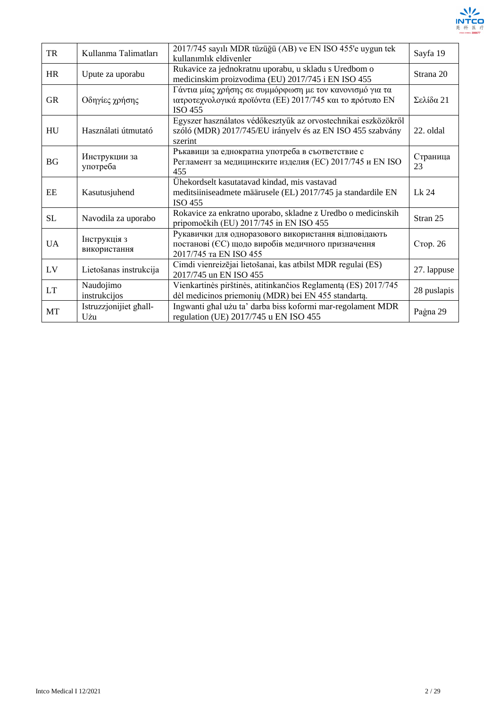

| <b>TR</b> | Kullanma Talimatları          | 2017/745 sayılı MDR tüzüğü (AB) ve EN ISO 455'e uygun tek<br>kullanımlık eldivenler                                                     | Sayfa 19       |
|-----------|-------------------------------|-----------------------------------------------------------------------------------------------------------------------------------------|----------------|
| <b>HR</b> | Upute za uporabu              | Rukavice za jednokratnu uporabu, u skladu s Uredbom o<br>medicinskim proizvodima (EU) 2017/745 i EN ISO 455                             | Strana 20      |
| <b>GR</b> | Οδηγίες χρήσης                | Γάντια μίας χρήσης σε συμμόρφωση με τον κανονισμό για τα<br>ιατροτεχνολογικά προϊόντα (ΕΕ) 2017/745 και το πρότυπο ΕΝ<br><b>ISO 455</b> | Σελίδα 21      |
| HU        | Használati útmutató           | Egyszer használatos védőkesztyűk az orvostechnikai eszközökről<br>szóló (MDR) 2017/745/EU irányelv és az EN ISO 455 szabvány<br>szerint | 22. oldal      |
| <b>BG</b> | Инструкции за<br>употреба     | Ръкавици за еднократна употреба в съответствие с<br>Регламент за медицинските изделия (EC) 2017/745 и EN ISO<br>455                     | Страница<br>23 |
| EE        | Kasutusjuhend                 | Ühekordselt kasutatavad kindad, mis vastavad<br>meditsiiniseadmete määrusele (EL) 2017/745 ja standardile EN<br><b>ISO 455</b>          | Lk 24          |
| <b>SL</b> | Navodila za uporabo           | Rokavice za enkratno uporabo, skladne z Uredbo o medicinskih<br>pripomočkih (EU) 2017/745 in EN ISO 455                                 | Stran 25       |
| <b>UA</b> | Інструкція з<br>використання  | Рукавички для одноразового використання відповідають<br>постанові (ЄС) щодо виробів медичного призначення<br>2017/745 Ta EN ISO 455     | Стор. 26       |
| LV        | Lietošanas instrukcija        | Cimdi vienreizējai lietošanai, kas atbilst MDR regulai (ES)<br>2017/745 un EN ISO 455                                                   | 27. lappuse    |
| <b>LT</b> | Naudojimo<br>instrukcijos     | Vienkartinės pirštinės, atitinkančios Reglamentą (ES) 2017/745<br>dėl medicinos priemonių (MDR) bei EN 455 standartą.                   | 28 puslapis    |
| MT        | Istruzzjonijiet għall-<br>Użu | Ingwanti ghal użu ta' darba biss koformi mar-regolament MDR<br>regulation (UE) 2017/745 u EN ISO 455                                    | Paġna 29       |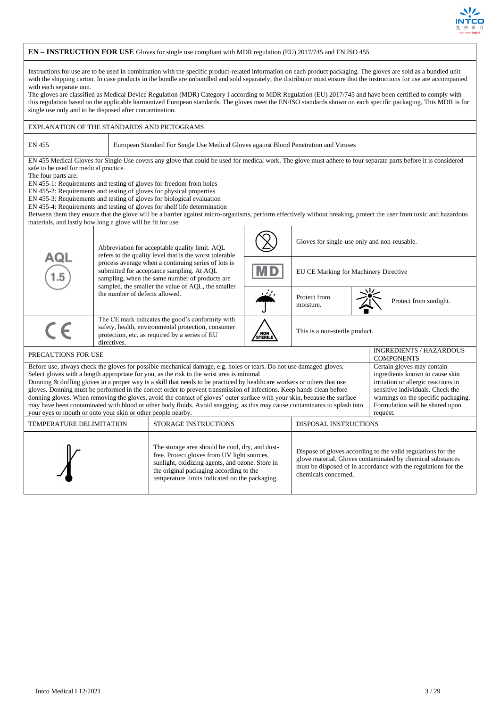

#### **EN – INSTRUCTION FOR USE** Gloves for single use compliant with MDR regulation (EU) 2017/745 and EN ISO 455 Instructions for use are to be used in combination with the specific product-related information on each product packaging. The gloves are sold as a bundled unit with the shipping carton. In case products in the bundle are unbundled and sold separately, the distributor must ensure that the instructions for use are accompanied with each separate unit. The gloves are classified as Medical Device Regulation (MDR) Category I according to MDR Regulation (EU) 2017/745 and have been certified to comply with this regulation based on the applicable harmonized European standards. The gloves meet the EN/ISO standards shown on each specific packaging. This MDR is for single use only and to be disposed after contamination. EXPLANATION OF THE STANDARDS AND PICTOGRAMS EN 455 European Standard For Single Use Medical Gloves against Blood Penetration and Viruses EN 455 Medical Gloves for Single Use covers any glove that could be used for medical work. The glove must adhere to four separate parts before it is considered safe to be used for medical practice. The four parts are: EN 455-1: Requirements and testing of gloves for freedom from holes EN 455-2: Requirements and testing of gloves for physical properties EN 455-3: Requirements and testing of gloves for biological evaluation EN 455-4: Requirements and testing of gloves for shelf life determination Between them they ensure that the glove will be a barrier against micro-organisms, perform effectively without breaking, protect the user from toxic and hazardous materials, and lastly how long a glove will be fit for use. Gloves for single-use only and non-reusable. Abbreviation for acceptable quality limit. AQL refers to the quality level that is the worst tolerable process average when a continuing series of lots is submitted for acceptance sampling. At AQL EU CE Marking for Machinery Directive sampling, when the same number of products are sampled, the smaller the value of AQL, the smaller the number of defects allowed. Protect from Protect from sunlight. The CE mark indicates the good's conformity with  $\epsilon$ safety, health, environmental protection, consumer This is a non-sterile product. / NOI<br>STERI protection, etc. as required by a series of EU directives PRECAUTIONS FOR USE INGREDIENTS / HAZARDOUS **COMPONENTS** Before use, always check the gloves for possible mechanical damage, e.g. holes or tears. Do not use damaged gloves. Certain gloves may contain Select gloves with a length appropriate for you, as the risk to the wrist area is minimal ingredients known to cause skin Donning & doffing gloves in a proper way is a skill that needs to be practiced by healthcare workers or others that use irritation or allergic reactions in sensitive individuals. Check the gloves. Donning must be performed in the correct order to prevent transmission of infections. Keep hands clean before donning gloves. When removing the gloves, avoid the contact of gloves' outer surface with your skin, because the surface warnings on the specific packaging. may have been contaminated with blood or other body fluids. Avoid snagging, as this may cause contaminants to splash into Formulation will be shared upon your eyes or mouth or onto your skin or other people nearby. request. TEMPERATURE DELIMITATION STORAGE INSTRUCTIONS DISPOSAL INSTRUCTIONS The storage area should be cool, dry, and dust-Dispose of gloves according to the valid regulations for the free. Protect gloves from UV light sources, glove material. Gloves contaminated by chemical substances sunlight, oxidizing agents, and ozone. Store in must be disposed of in accordance with the regulations for the the original packaging according to the chemicals concerned.temperature limits indicated on the packaging.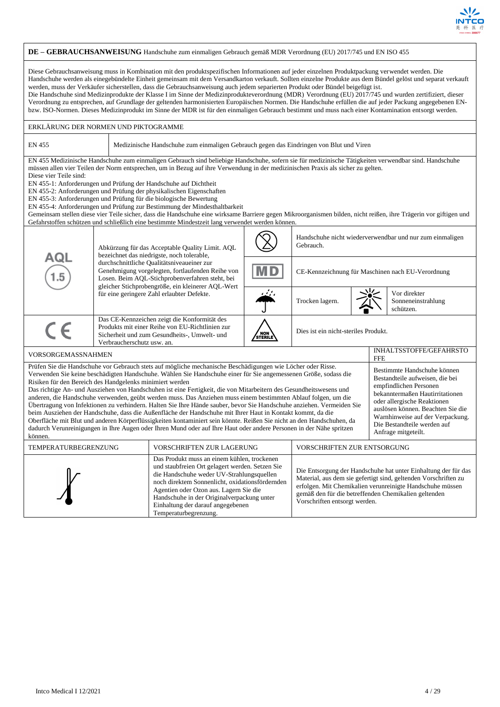

#### **DE – GEBRAUCHSANWEISUNG** Handschuhe zum einmaligen Gebrauch gemäß MDR Verordnung (EU) 2017/745 und EN ISO 455 Diese Gebrauchsanweisung muss in Kombination mit den produktspezifischen Informationen auf jeder einzelnen Produktpackung verwendet werden. Die Handschuhe werden als einegebündelte Einheit gemeinsam mit dem Versandkarton verkauft. Sollten einzelne Produkte aus dem Bündel gelöst und separat verkauft werden, muss der Verkäufer sicherstellen, dass die Gebrauchsanweisung auch jedem separierten Produkt oder Bündel beigefügt ist. Die Handschuhe sind Medizinprodukte der Klasse I im Sinne der Medizinprodukteverordnung (MDR) Verordnung (EU) 2017/745 und wurden zertifiziert, dieser Verordnung zu entsprechen, auf Grundlage der geltenden harmonisierten Europäischen Normen. Die Handschuhe erfüllen die auf jeder Packung angegebenen ENbzw. ISO-Normen. Dieses Medizinprodukt im Sinne der MDR ist für den einmaligen Gebrauch bestimmt und muss nach einer Kontamination entsorgt werden. ERKLÄRUNG DER NORMEN UND PIKTOGRAMME EN 455 Medizinische Handschuhe zum einmaligen Gebrauch gegen das Eindringen von Blut und Viren EN 455 Medizinische Handschuhe zum einmaligen Gebrauch sind beliebige Handschuhe, sofern sie für medizinische Tätigkeiten verwendbar sind. Handschuhe müssen allen vier Teilen der Norm entsprechen, um in Bezug auf ihre Verwendung in der medizinischen Praxis als sicher zu gelten. Diese vier Teile sind: EN 455-1: Anforderungen und Prüfung der Handschuhe auf Dichtheit EN 455-2: Anforderungen und Prüfung der physikalischen Eigenschaften EN 455-3: Anforderungen und Prüfung für die biologische Bewertung EN 455-4: Anforderungen und Prüfung zur Bestimmung der Mindesthaltbarkeit Gemeinsam stellen diese vier Teile sicher, dass die Handschuhe eine wirksame Barriere gegen Mikroorganismen bilden, nicht reißen, ihre Trägerin vor giftigen und Gefahrstoffen schützen und schließlich eine bestimmte Mindestzeit lang verwendet werden können. Handschuhe nicht wiederverwendbar und nur zum einmaligen Gebrauch. Abkürzung für das Acceptable Quality Limit. AQL bezeichnet das niedrigste, noch tolerable, ם ב durchschnittliche Qualitätsniveaueiner zur Genehmigung vorgelegten, fortlaufenden Reihe von CE-Kennzeichnung für Maschinen nach EU-Verordnung Losen. Beim AQL-Stichprobenverfahren steht, bei gleicher Stichprobengröße, ein kleinerer AQL-Wert für eine geringere Zahl erlaubter Defekte. Vor direkter Trocken lagern. Sonneneinstrahlung schützen. Das CE-Kennzeichen zeigt die Konformität des  $\epsilon$ Produkts mit einer Reihe von EU-Richtlinien zur Dies ist ein nicht-steriles Produkt. Sicherheit und zum Gesundheits-, Umwelt- und / NON<br>STERII Verbraucherschutz usw. an. VORSORGEMASSNAHMEN GEFAHRSTO FFE Prüfen Sie die Handschuhe vor Gebrauch stets auf mögliche mechanische Beschädigungen wie Löcher oder Risse. Bestimmte Handschuhe können Verwenden Sie keine beschädigten Handschuhe. Wählen Sie Handschuhe einer für Sie angemessenen Größe, sodass die Bestandteile aufweisen, die bei Risiken für den Bereich des Handgelenks minimiert werden empfindlichen Personen Das richtige An- und Ausziehen von Handschuhen ist eine Fertigkeit, die von Mitarbeitern des Gesundheitswesens und bekanntermaßen Hautirritationen anderen, die Handschuhe verwenden, geübt werden muss. Das Anziehen muss einem bestimmten Ablauf folgen, um die oder allergische Reaktionen Übertragung von Infektionen zu verhindern. Halten Sie Ihre Hände sauber, bevor Sie Handschuhe anziehen. Vermeiden Sie auslösen können. Beachten Sie die beim Ausziehen der Handschuhe, dass die Außenfläche der Handschuhe mit Ihrer Haut in Kontakt kommt, da die Warnhinweise auf der Verpackung. Oberfläche mit Blut und anderen Körperflüssigkeiten kontaminiert sein könnte. Reißen Sie nicht an den Handschuhen, da Die Bestandteile werden auf dadurch Verunreinigungen in Ihre Augen oder Ihren Mund oder auf Ihre Haut oder andere Personen in der Nähe spritzen Anfrage mitgeteilt. können. TEMPERATURBEGRENZUNG VORSCHRIFTEN ZUR LAGERUNG VORSCHRIFTEN ZUR ENTSORGUNG Das Produkt muss an einem kühlen, trockenen und staubfreien Ort gelagert werden. Setzen Sie Die Entsorgung der Handschuhe hat unter Einhaltung der für das die Handschuhe weder UV-Strahlungsquellen Material, aus dem sie gefertigt sind, geltenden Vorschriften zu noch direktem Sonnenlicht, oxidationsfördernden erfolgen. Mit Chemikalien verunreinigte Handschuhe müssen Agentien oder Ozon aus. Lagern Sie die gemäß den für die betreffenden Chemikalien geltenden Handschuhe in der Originalverpackung unter Vorschriften entsorgt werden.Einhaltung der darauf angegebenen Temperaturbegrenzung.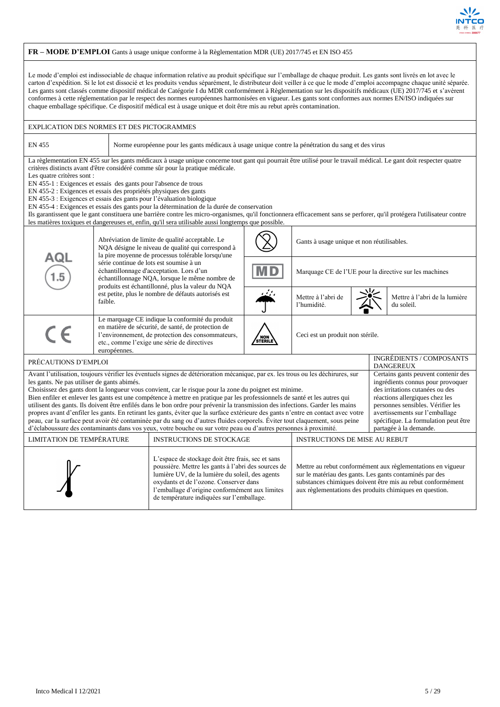

## **FR – MODE D'EMPLOI** Gants à usage unique conforme à la Règlementation MDR (UE) 2017/745 et EN ISO 455

Le mode d'emploi est indissociable de chaque information relative au produit spécifique sur l'emballage de chaque produit. Les gants sont livrés en lot avec le carton d'expédition. Si le lot est dissocié et les produits vendus séparément, le distributeur doit veiller à ce que le mode d'emploi accompagne chaque unité séparée. Les gants sont classés comme dispositif médical de Catégorie I du MDR conformément à Règlementation sur les dispositifs médicaux (UE) 2017/745 et s'avèrent conformes à cette réglementation par le respect des normes européennes harmonisées en vigueur. Les gants sont conformes aux normes EN/ISO indiquées sur chaque emballage spécifique. Ce dispositif médical est à usage unique et doit être mis au rebut après contamination.

|                                                                                                                                                                                                                                                                                                                                                                                                                                                                                                                                                                                                                                                                                                                                                                                                                                                                                                                                                                                                                                                                                                                                                                                                                      | <b>EXPLICATION DES NORMES ET DES PICTOGRAMMES</b>                                                    |                                                                                                                                                                                                                                                                                                                                                                                                                                                                                                                                                                                                                                                                                                                 |  |                                            |  |                                                        |                                                     |  |
|----------------------------------------------------------------------------------------------------------------------------------------------------------------------------------------------------------------------------------------------------------------------------------------------------------------------------------------------------------------------------------------------------------------------------------------------------------------------------------------------------------------------------------------------------------------------------------------------------------------------------------------------------------------------------------------------------------------------------------------------------------------------------------------------------------------------------------------------------------------------------------------------------------------------------------------------------------------------------------------------------------------------------------------------------------------------------------------------------------------------------------------------------------------------------------------------------------------------|------------------------------------------------------------------------------------------------------|-----------------------------------------------------------------------------------------------------------------------------------------------------------------------------------------------------------------------------------------------------------------------------------------------------------------------------------------------------------------------------------------------------------------------------------------------------------------------------------------------------------------------------------------------------------------------------------------------------------------------------------------------------------------------------------------------------------------|--|--------------------------------------------|--|--------------------------------------------------------|-----------------------------------------------------|--|
| <b>EN 455</b>                                                                                                                                                                                                                                                                                                                                                                                                                                                                                                                                                                                                                                                                                                                                                                                                                                                                                                                                                                                                                                                                                                                                                                                                        | Norme européenne pour les gants médicaux à usage unique contre la pénétration du sang et des virus   |                                                                                                                                                                                                                                                                                                                                                                                                                                                                                                                                                                                                                                                                                                                 |  |                                            |  |                                                        |                                                     |  |
| Les quatre critères sont :<br>EN 455-1 : Exigences et essais des gants pour l'absence de trous<br>EN 455-2 : Exigences et essais des propriétés physiques des gants                                                                                                                                                                                                                                                                                                                                                                                                                                                                                                                                                                                                                                                                                                                                                                                                                                                                                                                                                                                                                                                  |                                                                                                      | La règlementation EN 455 sur les gants médicaux à usage unique concerne tout gant qui pourrait être utilisé pour le travail médical. Le gant doit respecter quatre<br>critères distincts avant d'être considéré comme sûr pour la pratique médicale.<br>EN 455-3 : Exigences et essais des gants pour l'évaluation biologique<br>EN 455-4 : Exigences et essais des gants pour la détermination de la durée de conservation<br>Ils garantissent que le gant constituera une barrière contre les micro-organismes, qu'il fonctionnera efficacement sans se perforer, qu'il protégera l'utilisateur contre<br>les matières toxiques et dangereuses et, enfin, qu'il sera utilisable aussi longtemps que possible. |  |                                            |  |                                                        |                                                     |  |
| Abréviation de limite de qualité acceptable. Le<br>NQA désigne le niveau de qualité qui correspond à<br>la pire moyenne de processus tolérable lorsqu'une                                                                                                                                                                                                                                                                                                                                                                                                                                                                                                                                                                                                                                                                                                                                                                                                                                                                                                                                                                                                                                                            |                                                                                                      |                                                                                                                                                                                                                                                                                                                                                                                                                                                                                                                                                                                                                                                                                                                 |  | Gants à usage unique et non réutilisables. |  |                                                        |                                                     |  |
| AQL                                                                                                                                                                                                                                                                                                                                                                                                                                                                                                                                                                                                                                                                                                                                                                                                                                                                                                                                                                                                                                                                                                                                                                                                                  |                                                                                                      | série continue de lots est soumise à un<br>échantillonnage d'acceptation. Lors d'un<br>échantillonnage NQA, lorsque le même nombre de<br>produits est échantillonné, plus la valeur du NQA                                                                                                                                                                                                                                                                                                                                                                                                                                                                                                                      |  |                                            |  | Marquage CE de l'UE pour la directive sur les machines |                                                     |  |
|                                                                                                                                                                                                                                                                                                                                                                                                                                                                                                                                                                                                                                                                                                                                                                                                                                                                                                                                                                                                                                                                                                                                                                                                                      | faible.                                                                                              | est petite, plus le nombre de défauts autorisés est                                                                                                                                                                                                                                                                                                                                                                                                                                                                                                                                                                                                                                                             |  | Mettre à l'abri de<br>l'humidité.          |  |                                                        | Mettre à l'abri de la lumière<br>du soleil.         |  |
| Le marquage CE indique la conformité du produit<br>en matière de sécurité, de santé, de protection de<br>$C \in$<br>l'environnement, de protection des consommateurs,<br>Ceci est un produit non stérile.<br>NON<br>STERILE<br>etc., comme l'exige une série de directives<br>européennes.                                                                                                                                                                                                                                                                                                                                                                                                                                                                                                                                                                                                                                                                                                                                                                                                                                                                                                                           |                                                                                                      |                                                                                                                                                                                                                                                                                                                                                                                                                                                                                                                                                                                                                                                                                                                 |  |                                            |  |                                                        |                                                     |  |
| PRÉCAUTIONS D'EMPLOI                                                                                                                                                                                                                                                                                                                                                                                                                                                                                                                                                                                                                                                                                                                                                                                                                                                                                                                                                                                                                                                                                                                                                                                                 |                                                                                                      |                                                                                                                                                                                                                                                                                                                                                                                                                                                                                                                                                                                                                                                                                                                 |  |                                            |  |                                                        | <b>INGRÉDIENTS / COMPOSANTS</b><br><b>DANGEREUX</b> |  |
| Avant l'utilisation, toujours vérifier les éventuels signes de détérioration mécanique, par ex. les trous ou les déchirures, sur<br>Certains gants peuvent contenir des<br>ingrédients connus pour provoquer<br>les gants. Ne pas utiliser de gants abimés.<br>Choisissez des gants dont la longueur vous convient, car le risque pour la zone du poignet est minime.<br>des irritations cutanées ou des<br>Bien enfiler et enlever les gants est une compétence à mettre en pratique par les professionnels de santé et les autres qui<br>réactions allergiques chez les<br>utilisent des gants. Ils doivent être enfilés dans le bon ordre pour prévenir la transmission des infections. Garder les mains<br>personnes sensibles. Vérifier les<br>propres avant d'enfiler les gants. En retirant les gants, éviter que la surface extérieure des gants n'entre en contact avec votre<br>avertissements sur l'emballage<br>peau, car la surface peut avoir été contaminée par du sang ou d'autres fluides corporels. Éviter tout claquement, sous peine<br>spécifique. La formulation peut être<br>d'éclaboussure des contaminants dans vos yeux, votre bouche ou sur votre peau ou d'autres personnes à proximité. |                                                                                                      |                                                                                                                                                                                                                                                                                                                                                                                                                                                                                                                                                                                                                                                                                                                 |  |                                            |  | partagée à la demande.                                 |                                                     |  |
|                                                                                                                                                                                                                                                                                                                                                                                                                                                                                                                                                                                                                                                                                                                                                                                                                                                                                                                                                                                                                                                                                                                                                                                                                      | LIMITATION DE TEMPÉRATURE<br><b>INSTRUCTIONS DE STOCKAGE</b><br><b>INSTRUCTIONS DE MISE AU REBUT</b> |                                                                                                                                                                                                                                                                                                                                                                                                                                                                                                                                                                                                                                                                                                                 |  |                                            |  |                                                        |                                                     |  |
| L'espace de stockage doit être frais, sec et sans<br>poussière. Mettre les gants à l'abri des sources de<br>Mettre au rebut conformément aux règlementations en vigueur<br>lumière UV, de la lumière du soleil, des agents<br>sur le matériau des gants. Les gants contaminés par des<br>oxydants et de l'ozone. Conserver dans<br>substances chimiques doivent être mis au rebut conformément<br>l'emballage d'origine conformément aux limites<br>aux règlementations des produits chimiques en question.<br>de température indiquées sur l'emballage.                                                                                                                                                                                                                                                                                                                                                                                                                                                                                                                                                                                                                                                             |                                                                                                      |                                                                                                                                                                                                                                                                                                                                                                                                                                                                                                                                                                                                                                                                                                                 |  |                                            |  |                                                        |                                                     |  |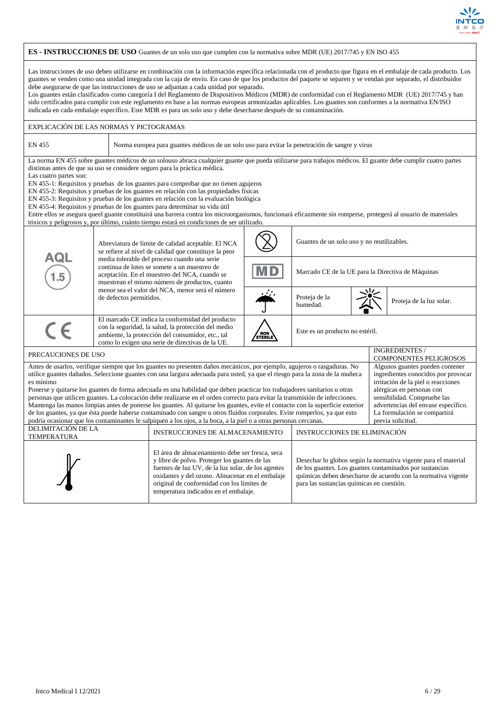

#### **ES - INSTRUCCIONES DE USO** Guantes de un solo uso que cumplen con la normativa sobre MDR (UE) 2017/745 y EN ISO 455 Las instrucciones de uso deben utilizarse en combinación con la información específica relacionada con el producto que figura en el embalaje de cada producto. Los guantes se venden como una unidad integrada con la caja de envío. En caso de que los productos del paquete se separen y se vendan por separado, el distribuidor debe asegurarse de que las instrucciones de uso se adjuntan a cada unidad por separado. Los guantes están clasificados como categoría I del Reglamento de Dispositivos Médicos (MDR) de conformidad con el Reglamento MDR (UE) 2017/745 y han sido certificados para cumplir con este reglamento en base a las normas europeas armonizadas aplicables. Los guantes son conformes a la normativa EN/ISO indicada en cada embalaje específico. Este MDR es para un solo uso y debe desecharse después de su contaminación. EXPLICACIÓN DE LAS NORMAS Y PICTOGRAMAS EN 455 Norma europea para guantes médicos de un solo uso para evitar la penetración de sangre y virus La norma EN 455 sobre guantes médicos de un solouso abraca cualquier guante que pueda utilizarse para trabajos médicos. El guante debe cumplir cuatro partes distintas antes de que su uso se considere seguro para la práctica médica. Las cuatro partes son: EN 455-1: Requisitos y pruebas de los guantes para comprobar que no tienen agujeros EN 455-2: Requisitos y pruebas de los guantes en relación con las propiedades físicas EN 455-3: Requisitos y pruebas de los guantes en relación con la evaluación biológica EN 455-4: Requisitos y pruebas de los guantes para determinar su vida útil Entre ellos se asegura queel guante constituirá una barrera contra los microorganismos, funcionará eficazmente sin romperse, protegerá al usuario de materiales tóxicos y peligrosos y, por último, cuánto tiempo estará en condiciones de ser utilizado. Guantes de un solo uso y no reutilizables. Abreviatura de límite de calidad aceptable. El NCA se refiere al nivel de calidad que constituye la peor ∆∩ media tolerable del proceso cuando una serie continua de lotes se somete a un muestreo de Marcado CE de la UE para la Directiva de Máquinas aceptación. En el muestreo del NCA, cuando se muestrean el mismo número de productos, cuanto menor sea el valor del NCA, menor será el número Proteja de la de defectos permitidos. humedad humedad Proteja de la luz solar. El marcado CE indica la conformidad del producto con la seguridad, la salud, la protección del medio Este es un producto no estéril. ambiente, la protección del consumidor, etc., tal / NOM<br>STERI como lo exigen una serie de directivas de la UE. PRECAUCIONES DE USO intervention de la componente de la componente de la componente de la componente de la componente de la componente de la componente de la componente de la componente de la componente de la componente de COMPONENTES PELIGROSOS Antes de usarlos, verifique siempre que los guantes no presenten daños mecánicos, por ejemplo, agujeros o rasgaduras. No Algunos guantes pueden contener utilice guantes dañados. Seleccione guantes con una largura adecuada para usted, ya que el riesgo para la zona de la muñeca ingredientes conocidos por provocar es mínimo irritación de la piel o reacciones Ponerse y quitarse los guantes de forma adecuada es una habilidad que deben practicar los trabajadores sanitarios u otras alérgicas en personas con personas que utilicen guantes. La colocación debe realizarse en el orden correcto para evitar la transmisión de infecciones. sensibilidad. Compruebe las Mantenga las manos limpias antes de ponerse los guantes. Al quitarse los guantes, evite el contacto con la superficie exterior advertencias del envase específico. de los guantes, ya que ésta puede haberse contaminado con sangre u otros fluidos corporales. Evite romperlos, ya que esto La formulación se compartirá podría ocasionar que los contaminantes le salpiquen a los ojos, a la boca, a la piel o a otras personas cercanas. previa solicitud. DELIMITACIÓN DE LA INSTRUCCIONES DE ALMACENAMIENTO | INSTRUCCIONES DE ELIMINACIÓN El área de almacenamiento debe ser fresca, seca y libre de polvo. Proteger los guantes de las Desechar lo globos según la normativa vigente para el material fuentes de luz UV, de la luz solar, de los agentes de los guantes. Los guantes contaminados por sustancias oxidantes y del ozono. Almacenar en el embalaje químicas deben desecharse de acuerdo con la normativa vigente original de conformidad con los límites de para las sustancias químicas en cuestión.temperatura indicados en el embalaje.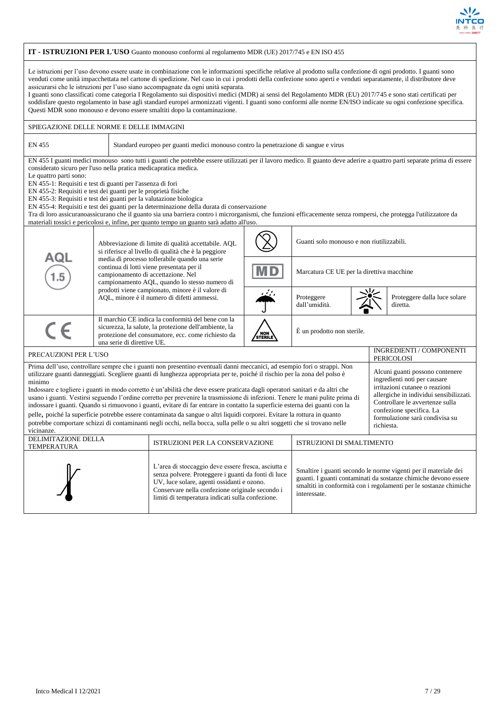

| IT - ISTRUZIONI PER L'USO Guanto monouso conformi al regolamento MDR (UE) 2017/745 e EN ISO 455                                                                                                                                                                                                                                                                                                                                                                                                                                                                                                                                                                                                                                                                                                                                                                                                                                                                                                                                                                                                                              |                                                                                                                                                                                                                                                                                                                                                                                                                                                                                                                                                                                                                                                                                                                     |                                                                                                                                                                   |                |                                           |  |                                                                            |  |  |
|------------------------------------------------------------------------------------------------------------------------------------------------------------------------------------------------------------------------------------------------------------------------------------------------------------------------------------------------------------------------------------------------------------------------------------------------------------------------------------------------------------------------------------------------------------------------------------------------------------------------------------------------------------------------------------------------------------------------------------------------------------------------------------------------------------------------------------------------------------------------------------------------------------------------------------------------------------------------------------------------------------------------------------------------------------------------------------------------------------------------------|---------------------------------------------------------------------------------------------------------------------------------------------------------------------------------------------------------------------------------------------------------------------------------------------------------------------------------------------------------------------------------------------------------------------------------------------------------------------------------------------------------------------------------------------------------------------------------------------------------------------------------------------------------------------------------------------------------------------|-------------------------------------------------------------------------------------------------------------------------------------------------------------------|----------------|-------------------------------------------|--|----------------------------------------------------------------------------|--|--|
| Le istruzioni per l'uso devono essere usate in combinazione con le informazioni specifiche relative al prodotto sulla confezione di ogni prodotto. I guanti sono<br>venduti come unità impacchettata nel cartone di spedizione. Nel caso in cui i prodotti della confezione sono aperti e venduti separatamente, il distributore deve<br>assicurarsi che le istruzioni per l'uso siano accompagnate da ogni unità separata.<br>I guanti sono classificati come categoria I Regolamento sui dispositivi medici (MDR) ai sensi del Regolamento MDR (EU) 2017/745 e sono stati certificati per<br>soddisfare questo regolamento in base agli standard europei armonizzati vigenti. I guanti sono conformi alle norme EN/ISO indicate su ogni confezione specifica.<br>Questi MDR sono monouso e devono essere smaltiti dopo la contaminazione.                                                                                                                                                                                                                                                                                  |                                                                                                                                                                                                                                                                                                                                                                                                                                                                                                                                                                                                                                                                                                                     |                                                                                                                                                                   |                |                                           |  |                                                                            |  |  |
| SPIEGAZIONE DELLE NORME E DELLE IMMAGINI                                                                                                                                                                                                                                                                                                                                                                                                                                                                                                                                                                                                                                                                                                                                                                                                                                                                                                                                                                                                                                                                                     |                                                                                                                                                                                                                                                                                                                                                                                                                                                                                                                                                                                                                                                                                                                     |                                                                                                                                                                   |                |                                           |  |                                                                            |  |  |
| EN 455                                                                                                                                                                                                                                                                                                                                                                                                                                                                                                                                                                                                                                                                                                                                                                                                                                                                                                                                                                                                                                                                                                                       |                                                                                                                                                                                                                                                                                                                                                                                                                                                                                                                                                                                                                                                                                                                     | Standard europeo per guanti medici monouso contro la penetrazione di sangue e virus                                                                               |                |                                           |  |                                                                            |  |  |
| Le quattro parti sono:<br>materiali tossici e pericolosi e, infine, per quanto tempo un guanto sarà adatto all'uso.                                                                                                                                                                                                                                                                                                                                                                                                                                                                                                                                                                                                                                                                                                                                                                                                                                                                                                                                                                                                          | EN 455 I guanti medici monouso sono tutti i guanti che potrebbe essere utilizzati per il lavoro medico. Il guanto deve aderire a quattro parti separate prima di essere<br>considerato sicuro per l'uso nella pratica medicapratica medica.<br>EN 455-1: Requisiti e test di guanti per l'assenza di fori<br>EN 455-2: Requisiti e test dei guanti per le proprietà fisiche<br>EN 455-3: Requisiti e test dei guanti per la valutazione biologica<br>EN 455-4: Requisiti e test dei guanti per la determinazione della durata di conservazione<br>Tra di loro assicuranoassicurano che il guanto sia una barriera contro i microrganismi, che funzioni efficacemente senza rompersi, che protegga l'utilizzatore da |                                                                                                                                                                   |                |                                           |  |                                                                            |  |  |
|                                                                                                                                                                                                                                                                                                                                                                                                                                                                                                                                                                                                                                                                                                                                                                                                                                                                                                                                                                                                                                                                                                                              |                                                                                                                                                                                                                                                                                                                                                                                                                                                                                                                                                                                                                                                                                                                     | Abbreviazione di limite di qualità accettabile. AQL<br>si riferisce al livello di qualità che è la peggiore                                                       |                | Guanti solo monouso e non riutilizzabili. |  |                                                                            |  |  |
| AQL<br>1.5                                                                                                                                                                                                                                                                                                                                                                                                                                                                                                                                                                                                                                                                                                                                                                                                                                                                                                                                                                                                                                                                                                                   | campionamento di accettazione. Nel                                                                                                                                                                                                                                                                                                                                                                                                                                                                                                                                                                                                                                                                                  | media di processo tollerabile quando una serie<br>continua di lotti viene presentata per il<br><b>MD</b><br>campionamento AQL, quando lo stesso numero di         |                | Marcatura CE UE per la direttiva macchine |  |                                                                            |  |  |
|                                                                                                                                                                                                                                                                                                                                                                                                                                                                                                                                                                                                                                                                                                                                                                                                                                                                                                                                                                                                                                                                                                                              |                                                                                                                                                                                                                                                                                                                                                                                                                                                                                                                                                                                                                                                                                                                     | prodotti viene campionato, minore è il valore di<br>AQL, minore è il numero di difetti ammessi.                                                                   |                | Proteggere<br>dall'umidità.               |  | Proteggere dalla luce solare<br>diretta.                                   |  |  |
| $\epsilon$                                                                                                                                                                                                                                                                                                                                                                                                                                                                                                                                                                                                                                                                                                                                                                                                                                                                                                                                                                                                                                                                                                                   | una serie di direttive UE.                                                                                                                                                                                                                                                                                                                                                                                                                                                                                                                                                                                                                                                                                          | Il marchio CE indica la conformità del bene con la<br>sicurezza, la salute, la protezione dell'ambiente, la<br>protezione del consumatore, ecc. come richiesto da | NON<br>STERILE | È un prodotto non sterile.                |  |                                                                            |  |  |
| PRECAUZIONI PER L'USO                                                                                                                                                                                                                                                                                                                                                                                                                                                                                                                                                                                                                                                                                                                                                                                                                                                                                                                                                                                                                                                                                                        |                                                                                                                                                                                                                                                                                                                                                                                                                                                                                                                                                                                                                                                                                                                     |                                                                                                                                                                   |                |                                           |  | INGREDIENTI / COMPONENTI<br>PERICOLOSI                                     |  |  |
| Prima dell'uso, controllare sempre che i guanti non presentino eventuali danni meccanici, ad esempio fori o strappi. Non<br>utilizzare guanti danneggiati. Scegliere guanti di lunghezza appropriata per te, poiché il rischio per la zona del polso è<br>ingredienti noti per causare<br>minimo<br>irritazioni cutanee o reazioni<br>Indossare e togliere i guanti in modo corretto è un'abilità che deve essere praticata dagli operatori sanitari e da altri che<br>usano i guanti. Vestirsi seguendo l'ordine corretto per prevenire la trasmissione di infezioni. Tenere le mani pulite prima di<br>Controllare le avvertenze sulla<br>indossare i guanti. Quando si rimuovono i guanti, evitare di far entrare in contatto la superficie esterna dei guanti con la<br>confezione specifica. La<br>pelle, poiché la superficie potrebbe essere contaminata da sangue o altri liquidi corporei. Evitare la rottura in quanto<br>formulazione sarà condivisa su<br>potrebbe comportare schizzi di contaminanti negli occhi, nella bocca, sulla pelle o su altri soggetti che si trovano nelle<br>richiesta.<br>vicinanze. |                                                                                                                                                                                                                                                                                                                                                                                                                                                                                                                                                                                                                                                                                                                     |                                                                                                                                                                   |                |                                           |  | Alcuni guanti possono contenere<br>allergiche in individui sensibilizzati. |  |  |
| TEMPERATURA                                                                                                                                                                                                                                                                                                                                                                                                                                                                                                                                                                                                                                                                                                                                                                                                                                                                                                                                                                                                                                                                                                                  | DELIMITAZIONE DELLA<br>ISTRUZIONI PER LA CONSERVAZIONE<br>ISTRUZIONI DI SMALTIMENTO                                                                                                                                                                                                                                                                                                                                                                                                                                                                                                                                                                                                                                 |                                                                                                                                                                   |                |                                           |  |                                                                            |  |  |
|                                                                                                                                                                                                                                                                                                                                                                                                                                                                                                                                                                                                                                                                                                                                                                                                                                                                                                                                                                                                                                                                                                                              | L'area di stoccaggio deve essere fresca, asciutta e<br>Smaltire i guanti secondo le norme vigenti per il materiale dei<br>senza polvere. Proteggere i guanti da fonti di luce<br>guanti. I guanti contaminati da sostanze chimiche devono essere<br>UV, luce solare, agenti ossidanti e ozono.<br>smaltiti in conformità con i regolamenti per le sostanze chimiche<br>Conservare nella confezione originale secondo i<br>interessate.<br>limiti di temperatura indicati sulla confezione.                                                                                                                                                                                                                          |                                                                                                                                                                   |                |                                           |  |                                                                            |  |  |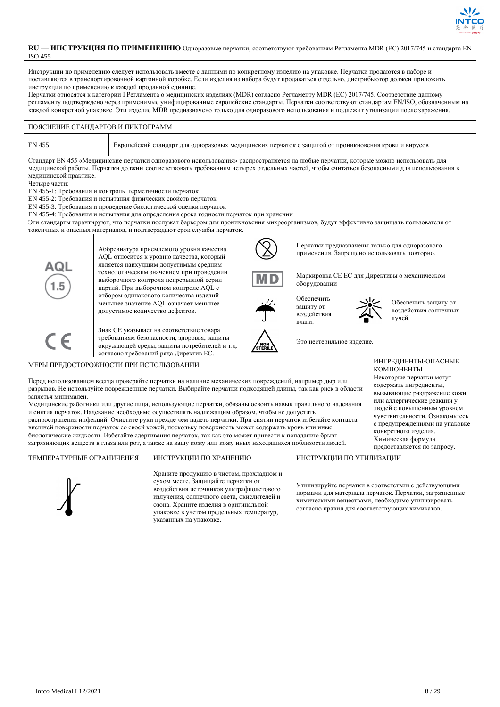

### **RU — ИНСТРУКЦИЯ ПО ПРИМЕНЕНИЮ** Одноразовые перчатки, соответствуют требованиям Регламента MDR (ЕС) 2017/745 и стандарта EN ISO 455

Инструкции по применению следует использовать вместе с данными по конкретному изделию на упаковке. Перчатки продаются в наборе и поставляются в транспортировочной картонной коробке. Если изделия из набора будут продаваться отдельно, дистрибьютор должен приложить инструкции по применению к каждой проданной единице.

Перчатки относятся к категории I Регламента о медицинских изделиях (MDR) согласно Регламенту MDR (ЕС) 2017/745. Соответствие данному регламенту подтверждено через применимые унифицированные европейские стандарты. Перчатки соответствуют стандартам EN/ISO, обозначенным на каждой конкретной упаковке. Эти изделие MDR предназначено только для одноразового использования и подлежит утилизации после заражения.

## ПОЯСНЕНИЕ СТАНДАРТОВ И ПИКТОГРАММ

Европейский стандарт для одноразовых медицинских перчаток с защитой от проникновения крови и вирусов

Стандарт EN 455 «Медицинские перчатки одноразового использования» распространяется на любые перчатки, которые можно использовать для медицинской работы. Перчатки должны соответствовать требованиям четырех отдельных частей, чтобы считаться безопасными для использования в медицинской практике.

Четыре части:

EN 455-1: Требования и контроль герметичности перчаток

EN 455-2: Требования и испытания физических свойств перчаток

EN 455-3: Требования и проведение биологической оценки перчаток

EN 455-4: Требования и испытания для определения срока годности перчаток при хранении

Эти стандарты гарантируют, что перчатки послужат барьером для проникновения микроорганизмов, будут эффективно защищать пользователя от токсичных и опасных материалов, и подтверждают срок службы перчаток.

|                                                                                                                                                                                                                                                                                                                                                                                                                                                                                                                                                                                                                                                                                                                                                                                                                                                                                              |                                                                                                                                                                                                                                    | Аббревиатура приемлемого уровня качества.<br>AQL относится к уровню качества, который                                                                                                                                                                         |  |                                                                                                                                                                                                                     | Перчатки предназначены только для одноразового<br>применения. Запрещено использовать повторно.                                                                                                                                                                                                  |  |  |  |
|----------------------------------------------------------------------------------------------------------------------------------------------------------------------------------------------------------------------------------------------------------------------------------------------------------------------------------------------------------------------------------------------------------------------------------------------------------------------------------------------------------------------------------------------------------------------------------------------------------------------------------------------------------------------------------------------------------------------------------------------------------------------------------------------------------------------------------------------------------------------------------------------|------------------------------------------------------------------------------------------------------------------------------------------------------------------------------------------------------------------------------------|---------------------------------------------------------------------------------------------------------------------------------------------------------------------------------------------------------------------------------------------------------------|--|---------------------------------------------------------------------------------------------------------------------------------------------------------------------------------------------------------------------|-------------------------------------------------------------------------------------------------------------------------------------------------------------------------------------------------------------------------------------------------------------------------------------------------|--|--|--|
| AQL                                                                                                                                                                                                                                                                                                                                                                                                                                                                                                                                                                                                                                                                                                                                                                                                                                                                                          |                                                                                                                                                                                                                                    | является наихудшим допустимым средним<br>технологическим значением при проведении<br>выборочного контроля непрерывной серии<br>партий. При выборочном контроле AQL с                                                                                          |  | оборудовании                                                                                                                                                                                                        | Маркировка СЕ ЕС для Директивы о механическом                                                                                                                                                                                                                                                   |  |  |  |
|                                                                                                                                                                                                                                                                                                                                                                                                                                                                                                                                                                                                                                                                                                                                                                                                                                                                                              | отбором одинакового количества изделий<br>меньшее значение AQL означает меньшее<br>допустимое количество дефектов.                                                                                                                 |                                                                                                                                                                                                                                                               |  | Обеспечить<br>защиту от<br>воздействия<br>влаги.                                                                                                                                                                    | Обеспечить защиту от<br>воздействия солнечных<br>лучей.                                                                                                                                                                                                                                         |  |  |  |
| CE                                                                                                                                                                                                                                                                                                                                                                                                                                                                                                                                                                                                                                                                                                                                                                                                                                                                                           | Знак СЕ указывает на соответствие товара<br>требованиям безопасности, здоровья, защиты<br>Это нестерильное изделие.<br>/ NON \<br>STERILE<br>окружающей среды, защиты потребителей и т.д.<br>согласно требований ряда Директив ЕС. |                                                                                                                                                                                                                                                               |  |                                                                                                                                                                                                                     |                                                                                                                                                                                                                                                                                                 |  |  |  |
| МЕРЫ ПРЕДОСТОРОЖНОСТИ ПРИ ИСПОЛЬЗОВАНИИ                                                                                                                                                                                                                                                                                                                                                                                                                                                                                                                                                                                                                                                                                                                                                                                                                                                      |                                                                                                                                                                                                                                    |                                                                                                                                                                                                                                                               |  |                                                                                                                                                                                                                     | ИНГРЕДИЕНТЫ/ОПАСНЫЕ<br>КОМПОНЕНТЫ                                                                                                                                                                                                                                                               |  |  |  |
| Перед использованием всегда проверяйте перчатки на наличие механических повреждений, например дыр или<br>разрывов. Не используйте поврежденные перчатки. Выбирайте перчатки подходящей длины, так как риск в области<br>запястья минимален.<br>Медицинские работники или другие лица, использующие перчатки, обязаны освоить навык правильного надевания<br>и снятия перчаток. Надевание необходимо осуществлять надлежащим образом, чтобы не допустить<br>распространения инфекций. Очистите руки прежде чем надеть перчатки. При снятии перчаток избегайте контакта<br>внешней поверхности перчаток со своей кожей, поскольку поверхность может содержать кровь или иные<br>биологические жидкости. Избегайте сдергивания перчаток, так как это может привести к попаданию брызг<br>загрязняющих веществ в глаза или рот, а также на вашу кожу или кожу иных находящихся поблизости людей. |                                                                                                                                                                                                                                    |                                                                                                                                                                                                                                                               |  |                                                                                                                                                                                                                     | Некоторые перчатки могут<br>содержать ингредиенты,<br>вызывающие раздражение кожи<br>или аллергические реакции у<br>людей с повышенным уровнем<br>чувствительности. Ознакомьтесь<br>с предупреждениями на упаковке<br>конкретного изделия.<br>Химическая формула<br>предоставляется по запросу. |  |  |  |
| ТЕМПЕРАТУРНЫЕ ОГРАНИЧЕНИЯ                                                                                                                                                                                                                                                                                                                                                                                                                                                                                                                                                                                                                                                                                                                                                                                                                                                                    |                                                                                                                                                                                                                                    | ИНСТРУКЦИИ ПО ХРАНЕНИЮ                                                                                                                                                                                                                                        |  | ИНСТРУКЦИИ ПО УТИЛИЗАЦИИ                                                                                                                                                                                            |                                                                                                                                                                                                                                                                                                 |  |  |  |
|                                                                                                                                                                                                                                                                                                                                                                                                                                                                                                                                                                                                                                                                                                                                                                                                                                                                                              | указанных на упаковке.                                                                                                                                                                                                             | Храните продукцию в чистом, прохладном и<br>сухом месте. Защищайте перчатки от<br>воздействия источников ультрафиолетового<br>излучения, солнечного света, окислителей и<br>озона. Храните изделия в оригинальной<br>упаковке в учетом предельных температур, |  | Утилизируйте перчатки в соответствии с действующими<br>нормами для материала перчаток. Перчатки, загрязненные<br>химическими веществами, необходимо утилизировать<br>согласно правил для соответствующих химикатов. |                                                                                                                                                                                                                                                                                                 |  |  |  |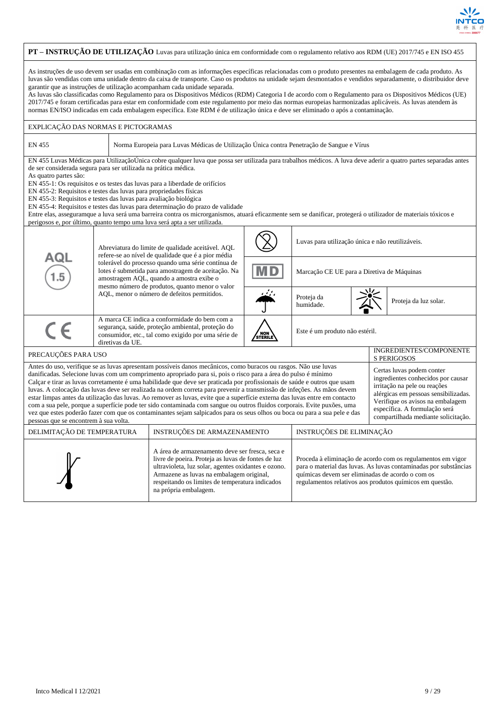

#### **PT – INSTRUÇÃO DE UTILIZAÇÃO** Luvas para utilização única em conformidade com o regulamento relativo aos RDM (UE) 2017/745 e EN ISO 455 As instruções de uso devem ser usadas em combinação com as informações específicas relacionadas com o produto presentes na embalagem de cada produto. As luvas são vendidas com uma unidade dentro da caixa de transporte. Caso os produtos na unidade sejam desmontados e vendidos separadamente, o distribuidor deve garantir que as instruções de utilização acompanham cada unidade separada. As luvas são classificadas como Regulamento para os Dispositivos Médicos (RDM) Categoria I de acordo com o Regulamento para os Dispositivos Médicos (UE) 2017/745 e foram certificadas para estar em conformidade com este regulamento por meio das normas europeias harmonizadas aplicáveis. As luvas atendem às normas EN/ISO indicadas em cada embalagem específica. Este RDM é de utilização única e deve ser eliminado o após a contaminação. EXPLICAÇÃO DAS NORMAS E PICTOGRAMAS EN 455 Norma Europeia para Luvas Médicas de Utilização Única contra Penetração de Sangue e Vírus EN 455 Luvas Médicas para UtilizaçãoÚnica cobre qualquer luva que possa ser utilizada para trabalhos médicos. A luva deve aderir a quatro partes separadas antes de ser considerada segura para ser utilizada na prática médica. As quatro partes são: EN 455-1: Os requisitos e os testes das luvas para a liberdade de orifícios EN 455-2: Requisitos e testes das luvas para propriedades físicas EN 455-3: Requisitos e testes das luvas para avaliação biológica EN 455-4: Requisitos e testes das luvas para determinação do prazo de validade Entre elas, asseguramque a luva será uma barreira contra os microrganismos, atuará eficazmente sem se danificar, protegerá o utilizador de materiais tóxicos e perigosos e, por último, quanto tempo uma luva será apta a ser utilizada. Luvas para utilização única e não reutilizáveis. Abreviatura do limite de qualidade aceitável. AQL refere-se ao nível de qualidade que é a pior média ם ב tolerável do processo quando uma série contínua de lotes é submetida para amostragem de aceitação. Na Marcação CE UE para a Diretiva de Máquinas amostragem AQL, quando a amostra exibe o mesmo número de produtos, quanto menor o valor AQL, menor o número de defeitos permitidos. Proteja da humidade. **Proteja da luz solar.** A marca CE indica a conformidade do bem com a segurança, saúde, proteção ambiental, proteção do Este é um produto não estéril. consumidor, etc., tal como exigido por uma série de / NOI<br>STERI diretivas da UE. PRECAUÇÕES PARA USO INGREDIENTES/COMPONENTE S PERIGOSOS Antes do uso, verifique se as luvas apresentam possíveis danos mecânicos, como buracos ou rasgos. Não use luvas Certas luvas podem conter danificadas. Selecione luvas com um comprimento apropriado para si, pois o risco para a área do pulso é mínimo ingredientes conhecidos por causar Calçar e tirar as luvas corretamente é uma habilidade que deve ser praticada por profissionais de saúde e outros que usam irritação na pele ou reações luvas. A colocação das luvas deve ser realizada na ordem correta para prevenir a transmissão de infeções. As mãos devem alérgicas em pessoas sensibilizadas. estar limpas antes da utilização das luvas. Ao remover as luvas, evite que a superfície externa das luvas entre em contacto Verifique os avisos na embalagem com a sua pele, porque a superfície pode ter sido contaminada com sangue ou outros fluidos corporais. Evite puxões, uma específica. A formulação será vez que estes poderão fazer com que os contaminantes sejam salpicados para os seus olhos ou boca ou para a sua pele e das compartilhada mediante solicitação. pessoas que se encontrem à sua volta. DELIMITAÇÃO DE TEMPERATURA | INSTRUÇÕES DE ARMAZENAMENTO | INSTRUÇÕES DE ELIMINAÇÃO A área de armazenamento deve ser fresca, seca e livre de poeira. Proteja as luvas de fontes de luz Proceda à eliminação de acordo com os regulamentos em vigor ultravioleta, luz solar, agentes oxidantes e ozono. para o material das luvas. As luvas contaminadas por substâncias Armazene as luvas na embalagem original, químicas devem ser eliminadas de acordo o com os respeitando os limites de temperatura indicados regulamentos relativos aos produtos químicos em questão.na própria embalagem.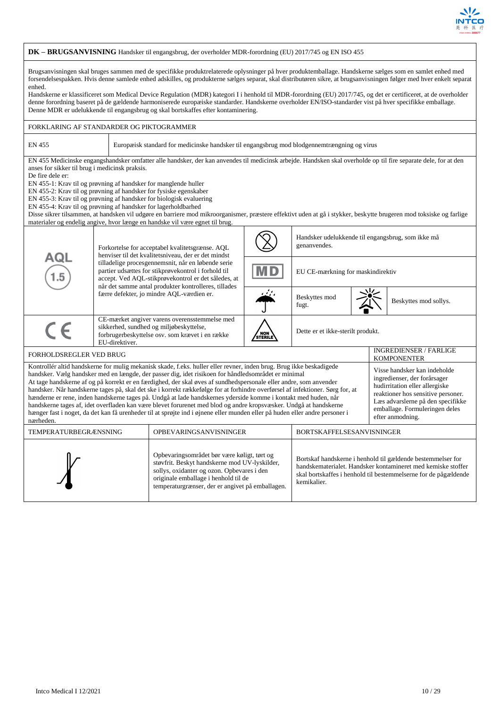

#### **DK – BRUGSANVISNING** Handsker til engangsbrug, der overholder MDR-forordning (EU) 2017/745 og EN ISO 455 Brugsanvisningen skal bruges sammen med de specifikke produktrelaterede oplysninger på hver produktemballage. Handskerne sælges som en samlet enhed med forsendelsespakken. Hvis denne samlede enhed adskilles, og produkterne sælges separat, skal distributøren sikre, at brugsanvisningen følger med hver enkelt separat enhed. Handskerne er klassificeret som Medical Device Regulation (MDR) kategori I i henhold til MDR-forordning (EU) 2017/745, og det er certificeret, at de overholder denne forordning baseret på de gældende harmoniserede europæiske standarder. Handskerne overholder EN/ISO-standarder vist på hver specifikke emballage. Denne MDR er udelukkende til engangsbrug og skal bortskaffes efter kontaminering. FORKLARING AF STANDARDER OG PIKTOGRAMMER EN 455 Europæisk standard for medicinske handsker til engangsbrug mod blodgennemtrængning og virus EN 455 Medicinske engangshandsker omfatter alle handsker, der kan anvendes til medicinsk arbejde. Handsken skal overholde op til fire separate dele, for at den anses for sikker til brug i medicinsk praksis. De fire dele er: EN 455-1: Krav til og prøvning af handsker for manglende huller EN 455-2: Krav til og prøvning af handsker for fysiske egenskaber EN 455-3: Krav til og prøvning af handsker for biologisk evaluering EN 455-4: Krav til og prøvning af handsker for lagerholdbarhed Disse sikrer tilsammen, at handsken vil udgøre en barriere mod mikroorganismer, præstere effektivt uden at gå i stykker, beskytte brugeren mod toksiske og farlige materialer og endelig angive, hvor længe en handske vil være egnet til brug. Handsker udelukkende til engangsbrug, som ikke må genanvendes. Forkortelse for acceptabel kvalitetsgrænse. AQL henviser til det kvalitetsniveau, der er det mindst tilladelige procesgennemsnit, når en løbende serie partier udsættes for stikprøvekontrol i forhold til EU CE-mærkning for maskindirektiv accept. Ved AQL-stikprøvekontrol er det således, at når det samme antal produkter kontrolleres, tillades færre defekter, jo mindre AQL-værdien er. Beskyttes mod beskyttes mod sollys. CE-mærket angiver varens overensstemmelse med  $\epsilon$ sikkerhed, sundhed og miljøbeskyttelse, Dette er et ikke-sterilt produkt. forbrugerbeskyttelse osv. som krævet i en række / NOI<br>STERI EU-direktiver. FORHOLDSREGLER VED BRUG INGREDIENSER / FARLIGE KOMPONENTER Kontrollér altid handskerne for mulig mekanisk skade, f.eks. huller eller revner, inden brug. Brug ikke beskadigede Visse handsker kan indeholde handsker. Vælg handsker med en længde, der passer dig, idet risikoen for håndledsområdet er minimal ingredienser, der forårsager At tage handskerne af og på korrekt er en færdighed, der skal øves af sundhedspersonale eller andre, som anvender hudirritation eller allergiske handsker. Når handskerne tages på, skal det ske i korrekt rækkefølge for at forhindre overførsel af infektioner. Sørg for, at reaktioner hos sensitive personer. hænderne er rene, inden handskerne tages på. Undgå at lade handskernes yderside komme i kontakt med huden, når Læs advarslerne på den specifikke handskerne tages af, idet overfladen kan være blevet forurenet med blod og andre kropsvæsker. Undgå at handskerne emballage. Formuleringen deles hænger fast i noget, da det kan få urenheder til at sprøjte ind i øjnene eller munden eller på huden eller andre personer i efter anmodning. nærheden. TEMPERATURBEGRÆNSNING OPBEVARINGSANVISNINGER BORTSKAFFELSESANVISNINGER Opbevaringsområdet bør være køligt, tørt og Bortskaf handskerne i henhold til gældende bestemmelser for støvfrit. Beskyt handskerne mod UV-lyskilder, handskematerialet. Handsker kontamineret med kemiske stoffer sollys, oxidanter og ozon. Opbevares i den skal bortskaffes i henhold til bestemmelserne for de pågældende originale emballage i henhold til de kemikalier.temperaturgrænser, der er angivet på emballagen.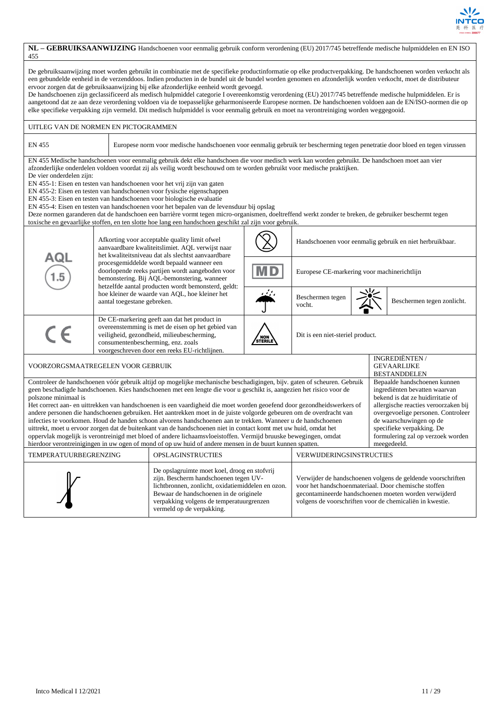

| 455                                                                                                                                                                                                                                                                                                                                                                                                                                                                                                                                                                                                                                                                                                                                                                                                                                                                                                                                                                                                                                                                                                                                                                                                                                                                                           |                                                                                                                                                                                                                                                                                                                                                                                                                                                                                                                                                                                                                                                                                                                                                                                                                                                                        | NL - GEBRUIKSAANWIJZING Handschoenen voor eenmalig gebruik conform verordening (EU) 2017/745 betreffende medische hulpmiddelen en EN ISO                                                                                                                                                                                                                        |                |                                  |                                                          |                                                                   |  |  |
|-----------------------------------------------------------------------------------------------------------------------------------------------------------------------------------------------------------------------------------------------------------------------------------------------------------------------------------------------------------------------------------------------------------------------------------------------------------------------------------------------------------------------------------------------------------------------------------------------------------------------------------------------------------------------------------------------------------------------------------------------------------------------------------------------------------------------------------------------------------------------------------------------------------------------------------------------------------------------------------------------------------------------------------------------------------------------------------------------------------------------------------------------------------------------------------------------------------------------------------------------------------------------------------------------|------------------------------------------------------------------------------------------------------------------------------------------------------------------------------------------------------------------------------------------------------------------------------------------------------------------------------------------------------------------------------------------------------------------------------------------------------------------------------------------------------------------------------------------------------------------------------------------------------------------------------------------------------------------------------------------------------------------------------------------------------------------------------------------------------------------------------------------------------------------------|-----------------------------------------------------------------------------------------------------------------------------------------------------------------------------------------------------------------------------------------------------------------------------------------------------------------------------------------------------------------|----------------|----------------------------------|----------------------------------------------------------|-------------------------------------------------------------------|--|--|
| De gebruiksaanwijzing moet worden gebruikt in combinatie met de specifieke productinformatie op elke productverpakking. De handschoenen worden verkocht als<br>een gebundelde eenheid in de verzenddoos. Indien producten in de bundel uit de bundel worden genomen en afzonderlijk worden verkocht, moet de distributeur<br>ervoor zorgen dat de gebruiksaanwijzing bij elke afzonderlijke eenheid wordt gevoegd.<br>De handschoenen zijn geclassificeerd als medisch hulpmiddel categorie I overeenkomstig verordening (EU) 2017/745 betreffende medische hulpmiddelen. Er is<br>aangetoond dat ze aan deze verordening voldoen via de toepasselijke geharmoniseerde Europese normen. De handschoenen voldoen aan de EN/ISO-normen die op<br>elke specifieke verpakking zijn vermeld. Dit medisch hulpmiddel is voor eenmalig gebruik en moet na verontreiniging worden weggegooid.                                                                                                                                                                                                                                                                                                                                                                                                         |                                                                                                                                                                                                                                                                                                                                                                                                                                                                                                                                                                                                                                                                                                                                                                                                                                                                        |                                                                                                                                                                                                                                                                                                                                                                 |                |                                  |                                                          |                                                                   |  |  |
| UITLEG VAN DE NORMEN EN PICTOGRAMMEN                                                                                                                                                                                                                                                                                                                                                                                                                                                                                                                                                                                                                                                                                                                                                                                                                                                                                                                                                                                                                                                                                                                                                                                                                                                          |                                                                                                                                                                                                                                                                                                                                                                                                                                                                                                                                                                                                                                                                                                                                                                                                                                                                        |                                                                                                                                                                                                                                                                                                                                                                 |                |                                  |                                                          |                                                                   |  |  |
| <b>EN 455</b>                                                                                                                                                                                                                                                                                                                                                                                                                                                                                                                                                                                                                                                                                                                                                                                                                                                                                                                                                                                                                                                                                                                                                                                                                                                                                 |                                                                                                                                                                                                                                                                                                                                                                                                                                                                                                                                                                                                                                                                                                                                                                                                                                                                        | Europese norm voor medische handschoenen voor eenmalig gebruik ter bescherming tegen penetratie door bloed en tegen virussen                                                                                                                                                                                                                                    |                |                                  |                                                          |                                                                   |  |  |
| De vier onderdelen zijn:                                                                                                                                                                                                                                                                                                                                                                                                                                                                                                                                                                                                                                                                                                                                                                                                                                                                                                                                                                                                                                                                                                                                                                                                                                                                      | EN 455 Medische handschoenen voor eenmalig gebruik dekt elke handschoen die voor medisch werk kan worden gebruikt. De handschoen moet aan vier<br>afzonderlijke onderdelen voldoen voordat zij als veilig wordt beschouwd om te worden gebruikt voor medische praktijken.<br>EN 455-1: Eisen en testen van handschoenen voor het vrij zijn van gaten<br>EN 455-2: Eisen en testen van handschoenen voor fysische eigenschappen<br>EN 455-3: Eisen en testen van handschoenen voor biologische evaluatie<br>EN 455-4: Eisen en testen van handschoenen voor het bepalen van de levensduur bij opslag<br>Deze normen garanderen dat de handschoen een barrière vormt tegen micro-organismen, doeltreffend werkt zonder te breken, de gebruiker beschermt tegen<br>toxische en gevaarlijke stoffen, en ten slotte hoe lang een handschoen geschikt zal zijn voor gebruik. |                                                                                                                                                                                                                                                                                                                                                                 |                |                                  |                                                          |                                                                   |  |  |
|                                                                                                                                                                                                                                                                                                                                                                                                                                                                                                                                                                                                                                                                                                                                                                                                                                                                                                                                                                                                                                                                                                                                                                                                                                                                                               |                                                                                                                                                                                                                                                                                                                                                                                                                                                                                                                                                                                                                                                                                                                                                                                                                                                                        | Afkorting voor acceptable quality limit ofwel<br>aanvaardbare kwaliteitslimiet. AQL verwijst naar<br>het kwaliteitsniveau dat als slechtst aanvaardbare<br>procesgemiddelde wordt bepaald wanneer een<br>doorlopende reeks partijen wordt aangeboden voor<br>bemonstering. Bij AQL-bemonstering, wanneer<br>hetzelfde aantal producten wordt bemonsterd, geldt: |                |                                  | Handschoenen voor eenmalig gebruik en niet herbruikbaar. |                                                                   |  |  |
| AQL<br>1.5                                                                                                                                                                                                                                                                                                                                                                                                                                                                                                                                                                                                                                                                                                                                                                                                                                                                                                                                                                                                                                                                                                                                                                                                                                                                                    |                                                                                                                                                                                                                                                                                                                                                                                                                                                                                                                                                                                                                                                                                                                                                                                                                                                                        |                                                                                                                                                                                                                                                                                                                                                                 |                |                                  | Europese CE-markering voor machinerichtlijn              |                                                                   |  |  |
|                                                                                                                                                                                                                                                                                                                                                                                                                                                                                                                                                                                                                                                                                                                                                                                                                                                                                                                                                                                                                                                                                                                                                                                                                                                                                               |                                                                                                                                                                                                                                                                                                                                                                                                                                                                                                                                                                                                                                                                                                                                                                                                                                                                        | ومنية<br>hoe kleiner de waarde van AQL, hoe kleiner het<br>Beschermen tegen<br>Beschermen tegen zonlicht.<br>aantal toegestane gebreken.<br>vocht.                                                                                                                                                                                                              |                |                                  |                                                          |                                                                   |  |  |
| CE                                                                                                                                                                                                                                                                                                                                                                                                                                                                                                                                                                                                                                                                                                                                                                                                                                                                                                                                                                                                                                                                                                                                                                                                                                                                                            |                                                                                                                                                                                                                                                                                                                                                                                                                                                                                                                                                                                                                                                                                                                                                                                                                                                                        | De CE-markering geeft aan dat het product in<br>overeenstemming is met de eisen op het gebied van<br>veiligheid, gezondheid, milieubescherming,<br>consumentenbescherming, enz. zoals<br>voorgeschreven door een reeks EU-richtlijnen.                                                                                                                          | NON<br>STERILE | Dit is een niet-steriel product. |                                                          |                                                                   |  |  |
| VOORZORGSMAATREGELEN VOOR GEBRUIK                                                                                                                                                                                                                                                                                                                                                                                                                                                                                                                                                                                                                                                                                                                                                                                                                                                                                                                                                                                                                                                                                                                                                                                                                                                             |                                                                                                                                                                                                                                                                                                                                                                                                                                                                                                                                                                                                                                                                                                                                                                                                                                                                        |                                                                                                                                                                                                                                                                                                                                                                 |                |                                  |                                                          | <b>INGREDIËNTEN/</b><br><b>GEVAARLIJKE</b><br><b>BESTANDDELEN</b> |  |  |
| Controleer de handschoenen vóór gebruik altijd op mogelijke mechanische beschadigingen, bijv. gaten of scheuren. Gebruik<br>Bepaalde handschoenen kunnen<br>geen beschadigde handschoenen. Kies handschoenen met een lengte die voor u geschikt is, aangezien het risico voor de<br>ingrediënten bevatten waarvan<br>polszone minimaal is<br>bekend is dat ze huidirritatie of<br>Het correct aan- en uittrekken van handschoenen is een vaardigheid die moet worden geoefend door gezondheidswerkers of<br>allergische reacties veroorzaken bij<br>andere personen die handschoenen gebruiken. Het aantrekken moet in de juiste volgorde gebeuren om de overdracht van<br>overgevoelige personen. Controleer<br>de waarschuwingen op de<br>infecties te voorkomen. Houd de handen schoon alvorens handschoenen aan te trekken. Wanneer u de handschoenen<br>uittrekt, moet u ervoor zorgen dat de buitenkant van de handschoenen niet in contact komt met uw huid, omdat het<br>specifieke verpakking. De<br>formulering zal op verzoek worden<br>oppervlak mogelijk is verontreinigd met bloed of andere lichaamsvloeistoffen. Vermijd bruuske bewegingen, omdat<br>hierdoor verontreinigingen in uw ogen of mond of op uw huid of andere mensen in de buurt kunnen spatten.<br>meegedeeld. |                                                                                                                                                                                                                                                                                                                                                                                                                                                                                                                                                                                                                                                                                                                                                                                                                                                                        |                                                                                                                                                                                                                                                                                                                                                                 |                |                                  |                                                          |                                                                   |  |  |
| TEMPERATUURBEGRENZING                                                                                                                                                                                                                                                                                                                                                                                                                                                                                                                                                                                                                                                                                                                                                                                                                                                                                                                                                                                                                                                                                                                                                                                                                                                                         |                                                                                                                                                                                                                                                                                                                                                                                                                                                                                                                                                                                                                                                                                                                                                                                                                                                                        | <b>OPSLAGINSTRUCTIES</b>                                                                                                                                                                                                                                                                                                                                        |                | VERWIJDERINGSINSTRUCTIES         |                                                          |                                                                   |  |  |
|                                                                                                                                                                                                                                                                                                                                                                                                                                                                                                                                                                                                                                                                                                                                                                                                                                                                                                                                                                                                                                                                                                                                                                                                                                                                                               | De opslagruimte moet koel, droog en stofvrij<br>zijn. Bescherm handschoenen tegen UV-<br>Verwijder de handschoenen volgens de geldende voorschriften<br>voor het handschoenmateriaal. Door chemische stoffen<br>lichtbronnen, zonlicht, oxidatiemiddelen en ozon.<br>Bewaar de handschoenen in de originele<br>gecontamineerde handschoenen moeten worden verwijderd<br>verpakking volgens de temperatuurgrenzen<br>volgens de voorschriften voor de chemicaliën in kwestie.<br>vermeld op de verpakking.                                                                                                                                                                                                                                                                                                                                                              |                                                                                                                                                                                                                                                                                                                                                                 |                |                                  |                                                          |                                                                   |  |  |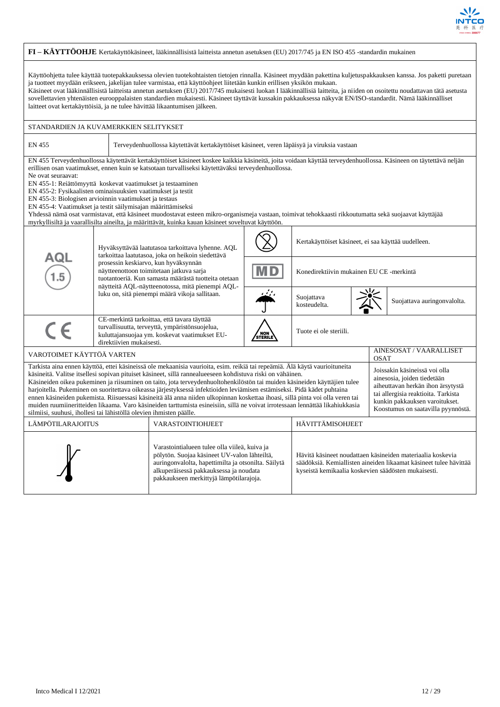

|                                                                                                                                                                                                                                                                                                                                                                                                                                                                                                                                                                                                                                                                                                                                                                                                                                                                                                                                                                                                                                                                               |                                                                                                                                                                                                                                                                                                                                                                                                                                                                                                                                                                                                                                                                                                                                                                                                   | FI - KÄYTTÖOHJE Kertakäyttökäsineet, lääkinnällisistä laitteista annetun asetuksen (EU) 2017/745 ja EN ISO 455 -standardin mukainen                                                          |         |                                                     |  |  |                             |  |
|-------------------------------------------------------------------------------------------------------------------------------------------------------------------------------------------------------------------------------------------------------------------------------------------------------------------------------------------------------------------------------------------------------------------------------------------------------------------------------------------------------------------------------------------------------------------------------------------------------------------------------------------------------------------------------------------------------------------------------------------------------------------------------------------------------------------------------------------------------------------------------------------------------------------------------------------------------------------------------------------------------------------------------------------------------------------------------|---------------------------------------------------------------------------------------------------------------------------------------------------------------------------------------------------------------------------------------------------------------------------------------------------------------------------------------------------------------------------------------------------------------------------------------------------------------------------------------------------------------------------------------------------------------------------------------------------------------------------------------------------------------------------------------------------------------------------------------------------------------------------------------------------|----------------------------------------------------------------------------------------------------------------------------------------------------------------------------------------------|---------|-----------------------------------------------------|--|--|-----------------------------|--|
| Käyttöohjetta tulee käyttää tuotepakkauksessa olevien tuotekohtaisten tietojen rinnalla. Käsineet myydään pakettina kuljetuspakkauksen kanssa. Jos paketti puretaan<br>ja tuotteet myydään erikseen, jakelijan tulee varmistaa, että käyttöohjeet liitetään kunkin erillisen yksikön mukaan.<br>Käsineet ovat lääkinnällisistä laitteista annetun asetuksen (EU) 2017/745 mukaisesti luokan I lääkinnällisiä laitteita, ja niiden on osoitettu noudattavan tätä asetusta<br>sovellettavien yhtenäisten eurooppalaisten standardien mukaisesti. Käsineet täyttävät kussakin pakkauksessa näkyvät EN/ISO-standardit. Nämä lääkinnälliset<br>laitteet ovat kertakäyttöisiä, ja ne tulee hävittää likaantumisen jälkeen.                                                                                                                                                                                                                                                                                                                                                          |                                                                                                                                                                                                                                                                                                                                                                                                                                                                                                                                                                                                                                                                                                                                                                                                   |                                                                                                                                                                                              |         |                                                     |  |  |                             |  |
| STANDARDIEN JA KUVAMERKKIEN SELITYKSET                                                                                                                                                                                                                                                                                                                                                                                                                                                                                                                                                                                                                                                                                                                                                                                                                                                                                                                                                                                                                                        |                                                                                                                                                                                                                                                                                                                                                                                                                                                                                                                                                                                                                                                                                                                                                                                                   |                                                                                                                                                                                              |         |                                                     |  |  |                             |  |
| <b>EN 455</b>                                                                                                                                                                                                                                                                                                                                                                                                                                                                                                                                                                                                                                                                                                                                                                                                                                                                                                                                                                                                                                                                 |                                                                                                                                                                                                                                                                                                                                                                                                                                                                                                                                                                                                                                                                                                                                                                                                   | Terveydenhuollossa käytettävät kertakäyttöiset käsineet, veren läpäisyä ja viruksia vastaan                                                                                                  |         |                                                     |  |  |                             |  |
| Ne ovat seuraavat:                                                                                                                                                                                                                                                                                                                                                                                                                                                                                                                                                                                                                                                                                                                                                                                                                                                                                                                                                                                                                                                            | EN 455 Terveydenhuollossa käytettävät kertakäyttöiset käsineet koskee kaikkia käsineitä, joita voidaan käyttää terveydenhuollossa. Käsineen on täytettävä neljän<br>erillisen osan vaatimukset, ennen kuin se katsotaan turvalliseksi käytettäväksi terveydenhuollossa.<br>EN 455-1: Reiättömyyttä koskevat vaatimukset ja testaaminen<br>EN 455-2: Fysikaalisten ominaisuuksien vaatimukset ja testit<br>EN 455-3: Biologisen arvioinnin vaatimukset ja testaus<br>EN 455-4: Vaatimukset ja testit säilymisajan määrittämiseksi<br>Yhdessä nämä osat varmistavat, että käsineet muodostavat esteen mikro-organismeja vastaan, toimivat tehokkaasti rikkoutumatta sekä suojaavat käyttäjää<br>myrkyllisiltä ja vaarallisilta aineilta, ja määrittävät, kuinka kauan käsineet soveltuvat käyttöön. |                                                                                                                                                                                              |         |                                                     |  |  |                             |  |
|                                                                                                                                                                                                                                                                                                                                                                                                                                                                                                                                                                                                                                                                                                                                                                                                                                                                                                                                                                                                                                                                               |                                                                                                                                                                                                                                                                                                                                                                                                                                                                                                                                                                                                                                                                                                                                                                                                   | Hyväksyttävää laatutasoa tarkoittava lyhenne. AQL<br>tarkoittaa laatutasoa, joka on heikoin siedettävä                                                                                       |         | Kertakäyttöiset käsineet, ei saa käyttää uudelleen. |  |  |                             |  |
| AQL                                                                                                                                                                                                                                                                                                                                                                                                                                                                                                                                                                                                                                                                                                                                                                                                                                                                                                                                                                                                                                                                           |                                                                                                                                                                                                                                                                                                                                                                                                                                                                                                                                                                                                                                                                                                                                                                                                   | prosessin keskiarvo, kun hyväksynnän<br>näytteenottoon toimitetaan jatkuva sarja<br>tuotantoeriä. Kun samasta määrästä tuotteita otetaan<br>näytteitä AQL-näytteenotossa, mitä pienempi AQL- |         | Konedirektiivin mukainen EU CE -merkintä            |  |  |                             |  |
|                                                                                                                                                                                                                                                                                                                                                                                                                                                                                                                                                                                                                                                                                                                                                                                                                                                                                                                                                                                                                                                                               |                                                                                                                                                                                                                                                                                                                                                                                                                                                                                                                                                                                                                                                                                                                                                                                                   | luku on, sitä pienempi määrä vikoja sallitaan.                                                                                                                                               |         | Suojattava<br>kosteudelta.                          |  |  | Suojattava auringonvalolta. |  |
| $\epsilon$                                                                                                                                                                                                                                                                                                                                                                                                                                                                                                                                                                                                                                                                                                                                                                                                                                                                                                                                                                                                                                                                    | direktiivien mukaisesti.                                                                                                                                                                                                                                                                                                                                                                                                                                                                                                                                                                                                                                                                                                                                                                          | CE-merkintä tarkoittaa, että tavara täyttää<br>turvallisuutta, terveyttä, ympäristönsuojelua,<br>kuluttajansuojaa ym. koskevat vaatimukset EU-                                               | STERILE | Tuote ei ole steriili.                              |  |  |                             |  |
| VAROTOIMET KÄYTTÖÄ VARTEN                                                                                                                                                                                                                                                                                                                                                                                                                                                                                                                                                                                                                                                                                                                                                                                                                                                                                                                                                                                                                                                     |                                                                                                                                                                                                                                                                                                                                                                                                                                                                                                                                                                                                                                                                                                                                                                                                   |                                                                                                                                                                                              |         |                                                     |  |  | AINESOSAT / VAARALLISET     |  |
| <b>OSAT</b><br>Tarkista aina ennen käyttöä, ettei käsineissä ole mekaanisia vaurioita, esim. reikiä tai repeämiä. Älä käytä vaurioituneita<br>Joissakin käsineissä voi olla<br>käsineitä. Valitse itsellesi sopivan pituiset käsineet, sillä rannealueeseen kohdistuva riski on vähäinen.<br>ainesosia, joiden tiedetään<br>Käsineiden oikea pukeminen ja riisuminen on taito, jota terveydenhuoltohenkilöstön tai muiden käsineiden käyttäjien tulee<br>aiheuttavan herkän ihon ärsytystä<br>harjoitella. Pukeminen on suoritettava oikeassa järjestyksessä infektioiden leviämisen estämiseksi. Pidä kädet puhtaina<br>tai allergisia reaktioita. Tarkista<br>ennen käsineiden pukemista. Riisuessasi käsineitä älä anna niiden ulkopinnan koskettaa ihoasi, sillä pinta voi olla veren tai<br>kunkin pakkauksen varoitukset.<br>muiden ruumiineritteiden likaama. Varo käsineiden tarttumista esineisiin, sillä ne voivat irrotessaan lennättää likahiukkasia<br>Koostumus on saatavilla pyynnöstä.<br>silmiisi, suuhusi, ihollesi tai lähistöllä olevien ihmisten päälle. |                                                                                                                                                                                                                                                                                                                                                                                                                                                                                                                                                                                                                                                                                                                                                                                                   |                                                                                                                                                                                              |         |                                                     |  |  |                             |  |
| LÄMPÖTILARAJOITUS                                                                                                                                                                                                                                                                                                                                                                                                                                                                                                                                                                                                                                                                                                                                                                                                                                                                                                                                                                                                                                                             |                                                                                                                                                                                                                                                                                                                                                                                                                                                                                                                                                                                                                                                                                                                                                                                                   | <b>VARASTOINTIOHJEET</b>                                                                                                                                                                     |         | HÄVITTÄMISOHJEET                                    |  |  |                             |  |
| Varastointialueen tulee olla viileä, kuiva ja<br>pölytön. Suojaa käsineet UV-valon lähteiltä,<br>Hävitä käsineet noudattaen käsineiden materiaalia koskevia<br>auringonvalolta, hapettimilta ja otsonilta. Säilytä<br>säädöksiä. Kemiallisten aineiden likaamat käsineet tulee hävittää<br>alkuperäisessä pakkauksessa ja noudata<br>kyseistä kemikaalia koskevien säädösten mukaisesti.<br>pakkaukseen merkittyjä lämpötilarajoja.                                                                                                                                                                                                                                                                                                                                                                                                                                                                                                                                                                                                                                           |                                                                                                                                                                                                                                                                                                                                                                                                                                                                                                                                                                                                                                                                                                                                                                                                   |                                                                                                                                                                                              |         |                                                     |  |  |                             |  |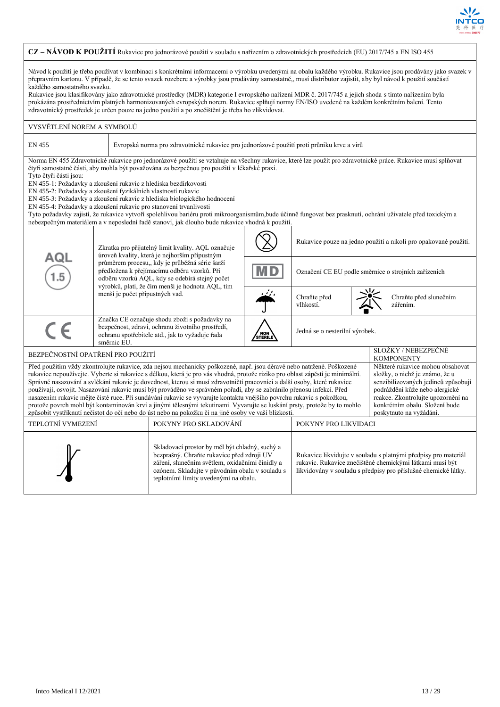

#### **CZ – NÁVOD K POUŽITÍ** Rukavice pro jednorázové použití v souladu s nařízením o zdravotnických prostředcích (EU) 2017/745 a EN ISO 455 Návod k použití je třeba používat v kombinaci s konkrétními informacemi o výrobku uvedenými na obalu každého výrobku. Rukavice jsou prodávány jako svazek v přepravním kartonu. V případě, že se tento svazek rozebere a výrobky jsou prodávány samostatně,, musí distributor zajistit, aby byl návod k použití součástí každého samostatného svazku. Rukavice jsou klasifikovány jako zdravotnické prostředky (MDR) kategorie I evropského nařízení MDR č. 2017/745 a jejich shoda s tímto nařízením byla prokázána prostřednictvím platných harmonizovaných evropských norem. Rukavice splňují normy EN/ISO uvedené na každém konkrétním balení. Tento zdravotnický prostředek je určen pouze na jedno použití a po znečištění je třeba ho zlikvidovat. VYSVĚTLENÍ NOREM A SYMBOLŮ EN 455 Evropská norma pro zdravotnické rukavice pro jednorázové použití proti průniku krve a virů Norma EN 455 Zdravotnické rukavice pro jednorázové použití se vztahuje na všechny rukavice, které lze použít pro zdravotnické práce. Rukavice musí splňovat čtyři samostatné části, aby mohla být považována za bezpečnou pro použití v lékařské praxi. Tyto čtyři části jsou: EN 455-1: Požadavky a zkoušení rukavic z hlediska bezdírkovosti EN 455-2: Požadavky a zkoušení fyzikálních vlastností rukavic EN 455-3: Požadavky a zkoušení rukavic z hlediska biologického hodnocení EN 455-4: Požadavky a zkoušení rukavic pro stanovení trvanlivosti Tyto požadavky zajistí, že rukavice vytvoří spolehlivou bariéru proti mikroorganismům,bude účinně fungovat bez prasknutí, ochrání uživatele před toxickým a nebezpečným materiálem a v neposlední řadě stanoví, jak dlouho bude rukavice vhodná k použití. Rukavice pouze na jedno použití a nikoli pro opakované použití. Zkratka pro přijatelný limit kvality. AQL označuje úroveň kvality, která je nejhorším přípustným ם ב průměrem procesu,, kdy je průběžná série šarží předložena k přejímacímu odběru vzorků. Při Označení CE EU podle směrnice o strojních zařízeních odběru vzorků AQL, kdy se odebírá stejný počet výrobků, platí, že čím menší je hodnota AQL, tím menší je počet přípustných vad. Chraňte před Chraňte před slunečním vlhkostí. zářením. Značka CE označuje shodu zboží s požadavky na  $\epsilon$ bezpečnost, zdraví, ochranu životního prostředí, Jedná se o nesterilní výrobek. ochranu spotřebitele atd., jak to vyžaduje řada / NOI<br>STERI směrnic EU. BEZPEČNOSTNÍ OPATŘENÍ PRO POUŽITÍ SLOŽKY / NEBEZPEČNÉ **KOMPONENTY** Před použitím vždy zkontrolujte rukavice, zda nejsou mechanicky poškozené, např. jsou děravé nebo natržené. Poškozené Některé rukavice mohou obsahovat rukavice nepoužívejte. Vyberte si rukavice s délkou, která je pro vás vhodná, protože riziko pro oblast zápěstí je minimální. složky, o nichž je známo, že u Správné nasazování a svlékání rukavic je dovednost, kterou si musí zdravotničtí pracovníci a další osoby, které rukavice senzibilizovaných jedinců způsobují používají, osvojit. Nasazování rukavic musí být prováděno ve správném pořadí, aby se zabránilo přenosu infekcí. Před podráždění kůže nebo alergické nasazením rukavic mějte čisté ruce. Při sundávání rukavic se vyvarujte kontaktu vnějšího povrchu rukavic s pokožkou, reakce. Zkontrolujte upozornění na protože povrch mohl být kontaminován krví a jinými tělesnými tekutinami. Vyvarujte se luskání prsty, protože by to mohlo konkrétním obalu. Složení bude způsobit vystříknutí nečistot do očí nebo do úst nebo na pokožku či na jiné osoby ve vaší blízkosti. poskytnuto na vyžádání. TEPLOTNÍ VYMEZENÍ POKYNY PRO SKLADOVÁNÍ POKYNY PRO LIKVIDACI Skladovací prostor by měl být chladný, suchý a bezprašný. Chraňte rukavice před zdroji UV Rukavice likvidujte v souladu s platnými předpisy pro materiál záření, slunečním světlem, oxidačními činidly a rukavic. Rukavice znečištěné chemickými látkami musí být ozónem. Skladujte v původním obalu v souladu s likvidovány v souladu s předpisy pro příslušné chemické látky.teplotními limity uvedenými na obalu.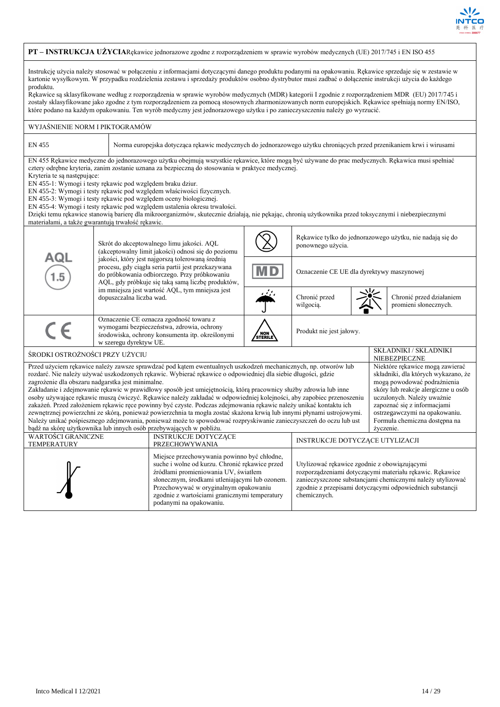

## **PT – INSTRUKCJA UŻYCIA**Rękawice jednorazowe zgodne z rozporządzeniem w sprawie wyrobów medycznych (UE) 2017/745 i EN ISO 455

Instrukcję użycia należy stosować w połączeniu z informacjami dotyczącymi danego produktu podanymi na opakowaniu. Rękawice sprzedaje się w zestawie w kartonie wysyłkowym. W przypadku rozdzielenia zestawu i sprzedaży produktów osobno dystrybutor musi zadbać o dołączenie instrukcji użycia do każdego produktu.

Rękawice są sklasyfikowane według z rozporządzenia w sprawie wyrobów medycznych (MDR) kategorii I zgodnie z rozporządzeniem MDR (EU) 2017/745 i zostały sklasyfikowane jako zgodne z tym rozporządzeniem za pomocą stosownych zharmonizowanych norm europejskich. Rękawice spełniają normy EN/ISO, które podano na każdym opakowaniu. Ten wyrób medyczny jest jednorazowego użytku i po zanieczyszczeniu należy go wyrzucić.

| WYJAŚNIENIE NORM I PIKTOGRAMÓW                                                                                                                                                                                                                                                                                                                                                                                                                                                                                                                                                                                                                                                                                                                                                                                                                                                                                                                                                                                               |                                                                                                                                                                                                                                                                                                                                                                                                                                                                                                                                                                                                                                                                                                                                                           |                |                                                                                |                                           |                                                   |  |  |  |
|------------------------------------------------------------------------------------------------------------------------------------------------------------------------------------------------------------------------------------------------------------------------------------------------------------------------------------------------------------------------------------------------------------------------------------------------------------------------------------------------------------------------------------------------------------------------------------------------------------------------------------------------------------------------------------------------------------------------------------------------------------------------------------------------------------------------------------------------------------------------------------------------------------------------------------------------------------------------------------------------------------------------------|-----------------------------------------------------------------------------------------------------------------------------------------------------------------------------------------------------------------------------------------------------------------------------------------------------------------------------------------------------------------------------------------------------------------------------------------------------------------------------------------------------------------------------------------------------------------------------------------------------------------------------------------------------------------------------------------------------------------------------------------------------------|----------------|--------------------------------------------------------------------------------|-------------------------------------------|---------------------------------------------------|--|--|--|
| <b>EN 455</b><br>Norma europejska dotycząca rękawic medycznych do jednorazowego użytku chroniących przed przenikaniem krwi i wirusami                                                                                                                                                                                                                                                                                                                                                                                                                                                                                                                                                                                                                                                                                                                                                                                                                                                                                        |                                                                                                                                                                                                                                                                                                                                                                                                                                                                                                                                                                                                                                                                                                                                                           |                |                                                                                |                                           |                                                   |  |  |  |
| Kryteria te sa nastepujace:                                                                                                                                                                                                                                                                                                                                                                                                                                                                                                                                                                                                                                                                                                                                                                                                                                                                                                                                                                                                  | EN 455 Rękawice medyczne do jednorazowego użytku obejmują wszystkie rękawice, które mogą być używane do prac medycznych. Rękawica musi spełniać<br>cztery odrębne kryteria, zanim zostanie uznana za bezpieczną do stosowania w praktyce medycznej.<br>EN 455-1: Wymogi i testy rękawic pod względem braku dziur.<br>EN 455-2: Wymogi i testy rękawic pod względem właściwości fizycznych.<br>EN 455-3: Wymogi i testy rękawic pod względem oceny biologicznej.<br>EN 455-4: Wymogi i testy rękawic pod względem ustalenia okresu trwałości.<br>Dzięki temu rękawice stanowią barierę dla mikroorganizmów, skutecznie działają, nie pękając, chronią użytkownika przed toksycznymi i niebezpiecznymi<br>materiałami, a także gwarantują trwałość rękawic. |                |                                                                                |                                           |                                                   |  |  |  |
|                                                                                                                                                                                                                                                                                                                                                                                                                                                                                                                                                                                                                                                                                                                                                                                                                                                                                                                                                                                                                              | Skrót do akceptowalnego limu jakości. AQL<br>(akceptowalny limit jakości) odnosi się do poziomu                                                                                                                                                                                                                                                                                                                                                                                                                                                                                                                                                                                                                                                           |                | Rękawice tylko do jednorazowego użytku, nie nadają się do<br>ponownego użycia. |                                           |                                                   |  |  |  |
| AQL<br>1.5                                                                                                                                                                                                                                                                                                                                                                                                                                                                                                                                                                                                                                                                                                                                                                                                                                                                                                                                                                                                                   | jakości, który jest najgorszą tolerowaną średnią<br>procesu, gdy ciągła seria partii jest przekazywana<br>do próbkowania odbiorczego. Przy próbkowaniu<br>AQL, gdy próbkuje się taką samą liczbę produktów,                                                                                                                                                                                                                                                                                                                                                                                                                                                                                                                                               | M D            |                                                                                | Oznaczenie CE UE dla dyrektywy maszynowej |                                                   |  |  |  |
|                                                                                                                                                                                                                                                                                                                                                                                                                                                                                                                                                                                                                                                                                                                                                                                                                                                                                                                                                                                                                              | im mniejsza jest wartość AQL, tym mniejsza jest<br>dopuszczalna liczba wad.                                                                                                                                                                                                                                                                                                                                                                                                                                                                                                                                                                                                                                                                               | المنتفذ        | Chronić przed<br>wilgocią.                                                     |                                           | Chronić przed działaniem<br>promieni słonecznych. |  |  |  |
|                                                                                                                                                                                                                                                                                                                                                                                                                                                                                                                                                                                                                                                                                                                                                                                                                                                                                                                                                                                                                              | Oznaczenie CE oznacza zgodność towaru z<br>wymogami bezpieczeństwa, zdrowia, ochrony<br>środowiska, ochrony konsumenta itp. określonymi<br>w szeregu dyrektyw UE.                                                                                                                                                                                                                                                                                                                                                                                                                                                                                                                                                                                         | NON<br>STERILE | Produkt nie jest jałowy.                                                       |                                           |                                                   |  |  |  |
| ŚRODKI OSTROŻNOŚCI PRZY UŻYCIU                                                                                                                                                                                                                                                                                                                                                                                                                                                                                                                                                                                                                                                                                                                                                                                                                                                                                                                                                                                               |                                                                                                                                                                                                                                                                                                                                                                                                                                                                                                                                                                                                                                                                                                                                                           |                |                                                                                |                                           | <b>SKŁADNIKI / SKŁADNIKI</b><br>NIEBEZPIECZNE     |  |  |  |
| Przed użyciem rękawice należy zawsze sprawdzać pod kątem ewentualnych uszkodzeń mechanicznych, np. otworów lub<br>Niektóre rękawice mogą zawierać<br>rozdarć. Nie należy używać uszkodzonych rękawic. Wybierać rękawice o odpowiedniej dla siebie długości, gdzie<br>składniki, dla których wykazano, że<br>zagrożenie dla obszaru nadgarstka jest minimalne.<br>mogą powodować podrażnienia<br>Zakładanie i zdejmowanie rękawic w prawidłowy sposób jest umiejętnością, którą pracownicy służby zdrowia lub inne<br>skóry lub reakcje alergiczne u osób<br>osoby używające rękawic muszą ćwiczyć. Rękawice należy zakładać w odpowiedniej kolejności, aby zapobiec przenoszeniu<br>uczulonych. Należy uważnie<br>zakażeń. Przed założeniem rękawic ręce powinny być czyste. Podczas zdejmowania rękawic należy unikać kontaktu ich<br>zapoznać się z informacjami<br>zewnętrznej powierzchni ze skórą, ponieważ powierzchnia ta mogła zostać skażona krwią lub innymi płynami ustrojowymi.<br>ostrzegawczymi na opakowaniu. |                                                                                                                                                                                                                                                                                                                                                                                                                                                                                                                                                                                                                                                                                                                                                           |                |                                                                                |                                           |                                                   |  |  |  |

Należy unikać pośpiesznego zdejmowania, ponieważ może to spowodować rozpryskiwanie zanieczyszczeń do oczu lub ust

INSTRUKCJE DOTYCZĄCE

podanymi na opakowaniu.

Miejsce przechowywania powinno być chłodne, suche i wolne od kurzu. Chronić rękawice przed źródłami promieniowania UV, światłem słonecznym, środkami utleniającymi lub ozonem. Przechowywać w oryginalnym opakowaniu zgodnie z wartościami granicznymi temperatury

bądź na skórę użytkownika lub innych osób przebywających w pobliżu.

WARTOŚCI GRANICZNE **TEMPERATURY** 

Formuła chemiczna dostępna na

życzenie.

rozporządzeniami dotyczącymi materiału rękawic. Rękawice zanieczyszczone substancjami chemicznymi należy utylizować zgodnie z przepisami dotyczącymi odpowiednich substancji

**INSTRUKCJE DOTYCZĄCE UTYLIZACJI** 

Utylizować rękawice zgodnie z obowiązującymi

chemicznych.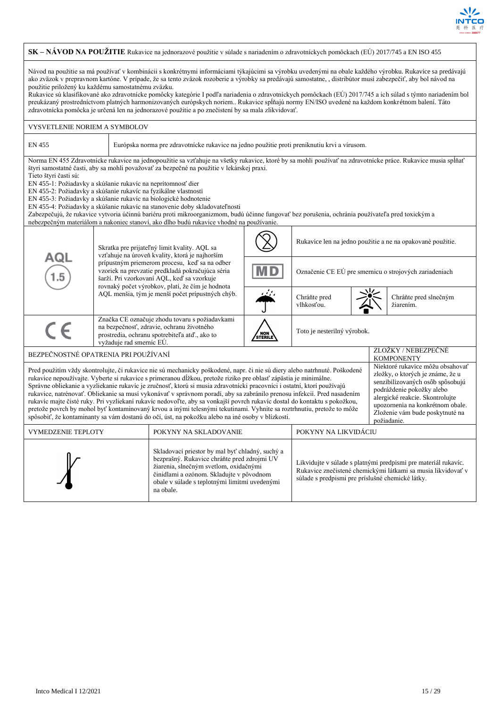

|                                                                                                                                                                                                                                                                                                                                                                                                                                                                                                                                                                                                                                                                                                                                                                                                                                                                                                                                                                                                                                                                                                                   | SK – NÁVOD NA POUŽITIE Rukavice na jednorazové použitie v súlade s nariadením o zdravotníckych pomôckach (EÚ) 2017/745 a EN ISO 455                                                                                                                                                                                                                                                                                                                                                                                                                                                                                                                                                                                                                                                           |                          |                                                                                                                                                 |                |                                                        |  |  |                                                            |  |
|-------------------------------------------------------------------------------------------------------------------------------------------------------------------------------------------------------------------------------------------------------------------------------------------------------------------------------------------------------------------------------------------------------------------------------------------------------------------------------------------------------------------------------------------------------------------------------------------------------------------------------------------------------------------------------------------------------------------------------------------------------------------------------------------------------------------------------------------------------------------------------------------------------------------------------------------------------------------------------------------------------------------------------------------------------------------------------------------------------------------|-----------------------------------------------------------------------------------------------------------------------------------------------------------------------------------------------------------------------------------------------------------------------------------------------------------------------------------------------------------------------------------------------------------------------------------------------------------------------------------------------------------------------------------------------------------------------------------------------------------------------------------------------------------------------------------------------------------------------------------------------------------------------------------------------|--------------------------|-------------------------------------------------------------------------------------------------------------------------------------------------|----------------|--------------------------------------------------------|--|--|------------------------------------------------------------|--|
| Návod na použitie sa má používať v kombinácii s konkrétnymi informáciami týkajúcimi sa výrobku uvedenými na obale každého výrobku. Rukavice sa predávajú<br>ako zväzok v prepravnom kartóne. V prípade, že sa tento zväzok rozoberie a výrobky sa predávajú samostatne, , distribútor musí zabezpečiť, aby bol návod na<br>použitie priložený ku každému samostatnému zväzku.<br>Rukavice sú klasifikované ako zdravotnícke pomôcky kategórie I podľa nariadenia o zdravotníckych pomôckach (EÚ) 2017/745 a ich súlad s týmto nariadením bol<br>preukázaný prostredníctvom platných harmonizovaných európskych noriem Rukavice spĺňajú normy EN/ISO uvedené na každom konkrétnom balení. Táto<br>zdravotnícka pomôcka je určená len na jednorazové použitie a po znečistení by sa mala zlikvidovať.                                                                                                                                                                                                                                                                                                               |                                                                                                                                                                                                                                                                                                                                                                                                                                                                                                                                                                                                                                                                                                                                                                                               |                          |                                                                                                                                                 |                |                                                        |  |  |                                                            |  |
| VYSVETLENIE NORIEM A SYMBOLOV                                                                                                                                                                                                                                                                                                                                                                                                                                                                                                                                                                                                                                                                                                                                                                                                                                                                                                                                                                                                                                                                                     |                                                                                                                                                                                                                                                                                                                                                                                                                                                                                                                                                                                                                                                                                                                                                                                               |                          |                                                                                                                                                 |                |                                                        |  |  |                                                            |  |
| EN 455                                                                                                                                                                                                                                                                                                                                                                                                                                                                                                                                                                                                                                                                                                                                                                                                                                                                                                                                                                                                                                                                                                            |                                                                                                                                                                                                                                                                                                                                                                                                                                                                                                                                                                                                                                                                                                                                                                                               |                          | Európska norma pre zdravotnícke rukavice na jedno použitie proti preniknutiu krvi a vírusom.                                                    |                |                                                        |  |  |                                                            |  |
| Tieto štyri časti sú:                                                                                                                                                                                                                                                                                                                                                                                                                                                                                                                                                                                                                                                                                                                                                                                                                                                                                                                                                                                                                                                                                             | Norma EN 455 Zdravotnícke rukavice na jednopoužitie sa vzťahuje na všetky rukavice, ktoré by sa mohli používať na zdravotnícke práce. Rukavice musia spĺňať<br>štyri samostatné časti, aby sa mohli považovať za bezpečné na použitie v lekárskej praxi.<br>EN 455-1: Požiadavky a skúšanie rukavíc na neprítomnosť dier<br>EN 455-2: Požiadavky a skúšanie rukavíc na fyzikálne vlastnosti<br>EN 455-3: Požiadavky a skúšanie rukavíc na biologické hodnotenie<br>EN 455-4: Požiadavky a skúšanie rukavíc na stanovenie doby skladovateľnosti<br>Zabezpečujú, že rukavice vytvoria účinnú bariéru proti mikroorganizmom, budú účinne fungovať bez porušenia, ochránia používateľa pred toxickým a<br>nebezpečným materiálom a nakoniec stanoví, ako dlho budú rukavice vhodné na používanie. |                          |                                                                                                                                                 |                |                                                        |  |  |                                                            |  |
|                                                                                                                                                                                                                                                                                                                                                                                                                                                                                                                                                                                                                                                                                                                                                                                                                                                                                                                                                                                                                                                                                                                   |                                                                                                                                                                                                                                                                                                                                                                                                                                                                                                                                                                                                                                                                                                                                                                                               |                          | Skratka pre prijateľný limit kvality. AQL sa<br>vzťahuje na úroveň kvality, ktorá je najhorším                                                  |                |                                                        |  |  | Rukavice len na jedno použitie a ne na opakované použitie. |  |
| AQL<br>$1.5\,$                                                                                                                                                                                                                                                                                                                                                                                                                                                                                                                                                                                                                                                                                                                                                                                                                                                                                                                                                                                                                                                                                                    |                                                                                                                                                                                                                                                                                                                                                                                                                                                                                                                                                                                                                                                                                                                                                                                               |                          | prípustným priemerom procesu, keď sa na odber<br>vzoriek na prevzatie predkladá pokračujúca séria<br>šarží. Pri vzorkovaní AQL, keď sa vzorkuje | M D            | Označenie CE EÚ pre smernicu o strojových zariadeniach |  |  |                                                            |  |
|                                                                                                                                                                                                                                                                                                                                                                                                                                                                                                                                                                                                                                                                                                                                                                                                                                                                                                                                                                                                                                                                                                                   |                                                                                                                                                                                                                                                                                                                                                                                                                                                                                                                                                                                                                                                                                                                                                                                               |                          | rovnaký počet výrobkov, platí, že čím je hodnota<br>AQL menšia, tým je menší počet prípustných chýb.                                            | رىن            | Chráňte pred<br>vlhkosťou.                             |  |  | Chráňte pred slnečným<br>žiarením.                         |  |
| $\epsilon$                                                                                                                                                                                                                                                                                                                                                                                                                                                                                                                                                                                                                                                                                                                                                                                                                                                                                                                                                                                                                                                                                                        |                                                                                                                                                                                                                                                                                                                                                                                                                                                                                                                                                                                                                                                                                                                                                                                               | vyžaduje rad smerníc EÚ. | Značka CE označuje zhodu tovaru s požiadavkami<br>na bezpečnosť, zdravie, ochranu životného<br>prostredia, ochranu spotrebiteľa atď., ako to    | NON<br>STERILE | Toto je nesterilný výrobok.                            |  |  |                                                            |  |
| BEZPEČNOSTNÉ OPATRENIA PRI POUŽÍVANÍ                                                                                                                                                                                                                                                                                                                                                                                                                                                                                                                                                                                                                                                                                                                                                                                                                                                                                                                                                                                                                                                                              |                                                                                                                                                                                                                                                                                                                                                                                                                                                                                                                                                                                                                                                                                                                                                                                               |                          |                                                                                                                                                 |                |                                                        |  |  | ZLOŽKY / NEBEZPEČNÉ<br><b>KOMPONENTY</b>                   |  |
| Niektoré rukavice môžu obsahovať<br>Pred použitím vždy skontrolujte, či rukavice nie sú mechanicky poškodené, napr. či nie sú diery alebo natrhnuté. Poškodené<br>zložky, o ktorých je známe, že u<br>rukavice nepoužívajte. Vyberte si rukavice s primeranou dĺžkou, pretože riziko pre oblasť zápästia je minimálne.<br>senzibilizovaných osôb spôsobujú<br>Správne obliekanie a vyzliekanie rukavíc je zručnosť, ktorú si musia zdravotnícki pracovníci i ostatní, ktorí používajú<br>podráždenie pokožky alebo<br>rukavice, natrénovať. Obliekanie sa musí vykonávať v správnom poradí, aby sa zabránilo prenosu infekcií. Pred nasadením<br>alergické reakcie. Skontrolujte<br>rukavíc majte čisté ruky. Pri vyzliekaní rukavíc nedovoľte, aby sa vonkajší povrch rukavíc dostal do kontaktu s pokožkou,<br>upozornenia na konkrétnom obale.<br>pretože povrch by mohol byť kontaminovaný krvou a inými telesnými tekutinami. Vyhnite sa roztrhnutiu, pretože to môže<br>Zloženie vám bude poskytnuté na<br>spôsobiť, že kontaminanty sa vám dostanú do očí, úst, na pokožku alebo na iné osoby v blízkosti. |                                                                                                                                                                                                                                                                                                                                                                                                                                                                                                                                                                                                                                                                                                                                                                                               |                          |                                                                                                                                                 |                |                                                        |  |  |                                                            |  |
|                                                                                                                                                                                                                                                                                                                                                                                                                                                                                                                                                                                                                                                                                                                                                                                                                                                                                                                                                                                                                                                                                                                   | požiadanie.<br>POKYNY NA LIKVIDÁCIU<br><b>VYMEDZENIE TEPLOTY</b><br>POKYNY NA SKLADOVANIE                                                                                                                                                                                                                                                                                                                                                                                                                                                                                                                                                                                                                                                                                                     |                          |                                                                                                                                                 |                |                                                        |  |  |                                                            |  |
| Skladovací priestor by mal byť chladný, suchý a<br>bezprašný. Rukavice chráňte pred zdrojmi UV<br>Likvidujte v súlade s platnými predpismi pre materiál rukavíc.<br>žiarenia, slnečným svetlom, oxidačnými<br>Rukavice znečistené chemickými látkami sa musia likvidovať v<br>činidlami a ozónom. Skladujte v pôvodnom<br>súlade s predpismi pre príslušné chemické látky.<br>obale v súlade s teplotnými limitmi uvedenými<br>na obale.                                                                                                                                                                                                                                                                                                                                                                                                                                                                                                                                                                                                                                                                          |                                                                                                                                                                                                                                                                                                                                                                                                                                                                                                                                                                                                                                                                                                                                                                                               |                          |                                                                                                                                                 |                |                                                        |  |  |                                                            |  |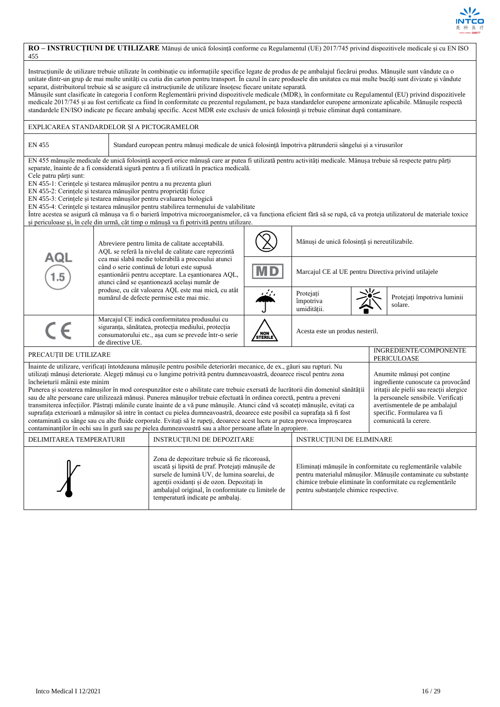

#### **RO – INSTRUCȚIUNI DE UTILIZARE** Mănuși de unică folosință conforme cu Regulamentul (UE) 2017/745 privind dispozitivele medicale și cu EN ISO 455 Instrucțiunile de utilizare trebuie utilizate în combinație cu informațiile specifice legate de produs de pe ambalajul fiecărui produs. Mănușile sunt vândute ca o unitate dintr-un grup de mai multe unități cu cutia din carton pentru transport. În cazul în care produsele din unitatea cu mai multe bucăți sunt divizate și vândute separat, distribuitorul trebuie să se asigure că instrucțiunile de utilizare însoțesc fiecare unitate separată. Mănușile sunt clasificate în categoria I conform Reglementării privind dispozitivele medicale (MDR), în conformitate cu Regulamentul (EU) privind dispozitivele medicale 2017/745 și au fost certificate ca fiind în conformitate cu prezentul regulament, pe baza standardelor europene armonizate aplicabile. Mănușile respectă standardele EN/ISO indicate pe fiecare ambalaj specific. Acest MDR este exclusiv de unică folosință și trebuie eliminat după contaminare. EXPLICAREA STANDARDELOR ȘI A PICTOGRAMELOR EN 455 Standard european pentru mănuși medicale de unică folosință împotriva pătrunderii sângelui și a virusurilor EN 455 mănușile medicale de unică folosință acoperă orice mănușă care ar putea fi utilizată pentru activități medicale. Mănușa trebuie să respecte patru părți separate, înainte de a fi considerată sigură pentru a fi utilizată în practica medicală. Cele patru părți sunt: EN 455-1: Cerințele și testarea mănușilor pentru a nu prezenta găuri EN 455-2: Cerințele și testarea mănușilor pentru proprietăți fizice EN 455-3: Cerințele și testarea mănușilor pentru evaluarea biologică EN 455-4: Cerințele și testarea mănușilor pentru stabilirea termenului de valabilitate Între acestea se asigură că mănușa va fi o barieră împotriva microorganismelor, că va funcționa eficient fără să se rupă, că va proteja utilizatorul de materiale toxice și periculoase și, în cele din urmă, cât timp o mănușă va fi potrivită pentru utilizare. Mănuși de unică folosință și nereutilizabile. Abreviere pentru limita de calitate acceptabilă. AQL se referă la nivelul de calitate care reprezintă ם ב cea mai slabă medie tolerabilă a procesului atunci când o serie continuă de loturi este supusă Marcajul CE al UE pentru Directiva privind utilajele eșantionării pentru acceptare. La eșantionarea AQL, atunci când se eșantionează același număr de produse, cu cât valoarea AQL este mai mică, cu atât Protejați Protejați împotriva luminii numărul de defecte permise este mai mic. împotriva solare. umidității. Marcajul CE indică conformitatea produsului cu  $\epsilon$ siguranța, sănătatea, protecția mediului, protecția Acesta este un produs nesteril. consumatorului etc., așa cum se prevede într-o serie / NOI<br>STERI de directive UE PRECAUȚII DE UTILIZARE **INGREDIENTE/COMPONENTE** PERICULOASE Înainte de utilizare, verificați întotdeauna mănușile pentru posibile deteriorări mecanice, de ex., găuri sau rupturi. Nu utilizați mănuși deteriorate. Alegeți mănuși cu o lungime potrivită pentru dumneavoastră, deoarece riscul pentru zona Anumite mănuși pot conține încheieturii mâinii este minim ingrediente cunoscute ca provocând Punerea și scoaterea mănușilor în mod corespunzător este o abilitate care trebuie exersată de lucrătorii din domeniul sănătății iritații ale pielii sau reacții alergice sau de alte persoane care utilizează mănuși. Punerea mănușilor trebuie efectuată în ordinea corectă, pentru a preveni la persoanele sensibile. Verificați transmiterea infecțiilor. Păstrați mâinile curate înainte de a vă pune mănușile. Atunci când vă scoateți mănușile, evitați ca avertismentele de pe ambalajul suprafața exterioară a mănușilor să intre în contact cu pielea dumneavoastră, deoarece este posibil ca suprafața să fi fost specific. Formularea va fi contaminată cu sânge sau cu alte fluide corporale. Evitați să le rupeți, deoarece acest lucru ar putea provoca împroșcarea comunicată la cerere. contaminanților în ochi sau în gură sau pe pielea dumneavoastră sau a altor persoane aflate în apropiere. DELIMITAREA TEMPERATURII INSTRUCȚIUNI DE DEPOZITARE INSTRUCȚIUNI DE ELIMINARE Zona de depozitare trebuie să fie răcoroasă, uscată și lipsită de praf. Protejați mănușile de Eliminați mănușile în conformitate cu reglementările valabile sursele de lumină UV, de lumina soarelui, de pentru materialul mănușilor. Mănușile contaminate cu substanțe agenții oxidanți și de ozon. Depozitați în chimice trebuie eliminate în conformitate cu reglementările ambalajul original, în conformitate cu limitele de pentru substanțele chimice respective.temperatură indicate pe ambalaj.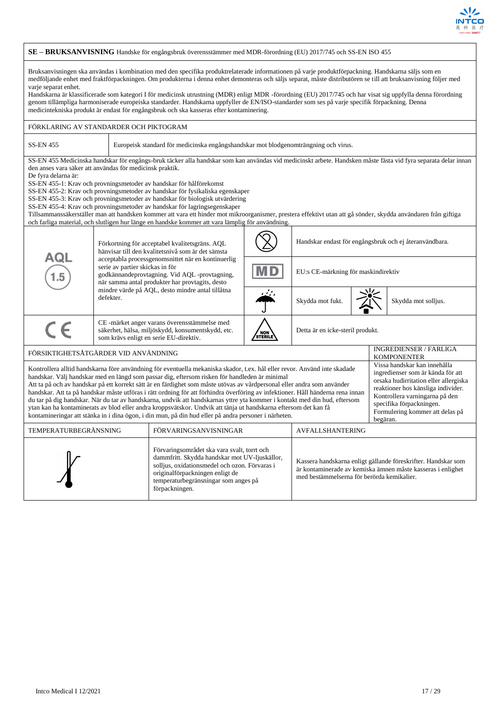

|                                                                                                                                                                                                                                                                                                                                                                                                                                                                                                                                                                                                                                                                                                                                                                                                                                                                                                                                                                                                                                                                                                                   | SE - BRUKSANVISNING Handske för engångsbruk överensstämmer med MDR-förordning (EU) 2017/745 och SS-EN ISO 455                                                                                                                                                                                                                                                                                                                                                                                                                                                                                                                                                                                                                                                                                                         |                                                                                                                                                                                                                                                                                                  |                |                                                        |  |  |                                              |
|-------------------------------------------------------------------------------------------------------------------------------------------------------------------------------------------------------------------------------------------------------------------------------------------------------------------------------------------------------------------------------------------------------------------------------------------------------------------------------------------------------------------------------------------------------------------------------------------------------------------------------------------------------------------------------------------------------------------------------------------------------------------------------------------------------------------------------------------------------------------------------------------------------------------------------------------------------------------------------------------------------------------------------------------------------------------------------------------------------------------|-----------------------------------------------------------------------------------------------------------------------------------------------------------------------------------------------------------------------------------------------------------------------------------------------------------------------------------------------------------------------------------------------------------------------------------------------------------------------------------------------------------------------------------------------------------------------------------------------------------------------------------------------------------------------------------------------------------------------------------------------------------------------------------------------------------------------|--------------------------------------------------------------------------------------------------------------------------------------------------------------------------------------------------------------------------------------------------------------------------------------------------|----------------|--------------------------------------------------------|--|--|----------------------------------------------|
| Bruksanvisningen ska användas i kombination med den specifika produktrelaterade informationen på varje produktförpackning. Handskarna säljs som en<br>medföljande enhet med fraktförpackningen. Om produkterna i denna enhet demonteras och säljs separat, måste distributören se till att bruksanvisning följer med<br>varje separat enhet.<br>Handskarna är klassificerade som kategori I för medicinsk utrustning (MDR) enligt MDR -förordning (EU) 2017/745 och har visat sig uppfylla denna förordning<br>genom tillämpliga harmoniserade europeiska standarder. Handskarna uppfyller de EN/ISO-standarder som ses på varje specifik förpackning. Denna<br>medicintekniska produkt är endast för engångsbruk och ska kasseras efter kontaminering.                                                                                                                                                                                                                                                                                                                                                           |                                                                                                                                                                                                                                                                                                                                                                                                                                                                                                                                                                                                                                                                                                                                                                                                                       |                                                                                                                                                                                                                                                                                                  |                |                                                        |  |  |                                              |
| FÖRKLARING AV STANDARDER OCH PIKTOGRAM                                                                                                                                                                                                                                                                                                                                                                                                                                                                                                                                                                                                                                                                                                                                                                                                                                                                                                                                                                                                                                                                            |                                                                                                                                                                                                                                                                                                                                                                                                                                                                                                                                                                                                                                                                                                                                                                                                                       |                                                                                                                                                                                                                                                                                                  |                |                                                        |  |  |                                              |
| <b>SS-EN 455</b>                                                                                                                                                                                                                                                                                                                                                                                                                                                                                                                                                                                                                                                                                                                                                                                                                                                                                                                                                                                                                                                                                                  |                                                                                                                                                                                                                                                                                                                                                                                                                                                                                                                                                                                                                                                                                                                                                                                                                       | Europeisk standard för medicinska engångshandskar mot blodgenomträngning och virus.                                                                                                                                                                                                              |                |                                                        |  |  |                                              |
| De fyra delarna är:                                                                                                                                                                                                                                                                                                                                                                                                                                                                                                                                                                                                                                                                                                                                                                                                                                                                                                                                                                                                                                                                                               | SS-EN 455 Medicinska handskar för engångs-bruk täcker alla handskar som kan användas vid medicinskt arbete. Handsken måste fästa vid fyra separata delar innan<br>den anses vara säker att användas för medicinsk praktik.<br>SS-EN 455-1: Krav och provningsmetoder av handskar för hålförekomst<br>SS-EN 455-2: Krav och provningsmetoder av handskar för fysikaliska egenskaper<br>SS-EN 455-3: Krav och provningsmetoder av handskar för biologisk utvärdering<br>SS-EN 455-4: Krav och provningsmetoder av handskar för lagringsegenskaper<br>Tillsammanssäkerställer man att handsken kommer att vara ett hinder mot mikroorganismer, prestera effektivt utan att gå sönder, skydda användaren från giftiga<br>och farliga material, och slutligen hur länge en handske kommer att vara lämplig för användning. |                                                                                                                                                                                                                                                                                                  |                |                                                        |  |  |                                              |
|                                                                                                                                                                                                                                                                                                                                                                                                                                                                                                                                                                                                                                                                                                                                                                                                                                                                                                                                                                                                                                                                                                                   |                                                                                                                                                                                                                                                                                                                                                                                                                                                                                                                                                                                                                                                                                                                                                                                                                       | Förkortning för acceptabel kvalitetsgräns. AQL<br>hänvisar till den kvalitetsnivå som är det sämsta<br>acceptabla processgenomsnittet när en kontinuerlig<br>serie av partier skickas in för<br>godkännandeprovtagning. Vid AQL -provtagning,<br>när samma antal produkter har provtagits, desto |                | Handskar endast för engångsbruk och ej återanvändbara. |  |  |                                              |
| AQL<br>$1.5\,$                                                                                                                                                                                                                                                                                                                                                                                                                                                                                                                                                                                                                                                                                                                                                                                                                                                                                                                                                                                                                                                                                                    |                                                                                                                                                                                                                                                                                                                                                                                                                                                                                                                                                                                                                                                                                                                                                                                                                       |                                                                                                                                                                                                                                                                                                  |                | EU:s CE-märkning för maskindirektiv                    |  |  |                                              |
|                                                                                                                                                                                                                                                                                                                                                                                                                                                                                                                                                                                                                                                                                                                                                                                                                                                                                                                                                                                                                                                                                                                   | defekter.                                                                                                                                                                                                                                                                                                                                                                                                                                                                                                                                                                                                                                                                                                                                                                                                             | mindre värde på AQL, desto mindre antal tillåtna                                                                                                                                                                                                                                                 |                | Skydda mot fukt.                                       |  |  | Skydda mot solljus.                          |
| $\epsilon$                                                                                                                                                                                                                                                                                                                                                                                                                                                                                                                                                                                                                                                                                                                                                                                                                                                                                                                                                                                                                                                                                                        |                                                                                                                                                                                                                                                                                                                                                                                                                                                                                                                                                                                                                                                                                                                                                                                                                       | CE-märket anger varans överensstämmelse med<br>säkerhet, hälsa, miljöskydd, konsumentskydd, etc.<br>som krävs enligt en serie EU-direktiv.                                                                                                                                                       | NON<br>STERILE | Detta är en icke-steril produkt.                       |  |  |                                              |
| FÖRSIKTIGHETSÅTGÄRDER VID ANVÄNDNING                                                                                                                                                                                                                                                                                                                                                                                                                                                                                                                                                                                                                                                                                                                                                                                                                                                                                                                                                                                                                                                                              |                                                                                                                                                                                                                                                                                                                                                                                                                                                                                                                                                                                                                                                                                                                                                                                                                       |                                                                                                                                                                                                                                                                                                  |                |                                                        |  |  | INGREDIENSER / FARLIGA<br><b>KOMPONENTER</b> |
| Vissa handskar kan innehålla<br>Kontrollera alltid handskarna före användning för eventuella mekaniska skador, t.ex. hål eller revor. Använd inte skadade<br>ingredienser som är kända för att<br>handskar. Välj handskar med en längd som passar dig, eftersom risken för handleden är minimal<br>orsaka hudirritation eller allergiska<br>Att ta på och av handskar på ett korrekt sätt är en färdighet som måste utövas av vårdpersonal eller andra som använder<br>reaktioner hos känsliga individer.<br>handskar. Att ta på handskar måste utföras i rätt ordning för att förhindra överföring av infektioner. Håll händerna rena innan<br>Kontrollera varningarna på den<br>du tar på dig handskar. När du tar av handskarna, undvik att handskarnas yttre yta kommer i kontakt med din hud, eftersom<br>specifika förpackningen.<br>ytan kan ha kontaminerats av blod eller andra kroppsvätskor. Undvik att tänja ut handskarna eftersom det kan få<br>Formulering kommer att delas på<br>kontamineringar att stänka in i dina ögon, i din mun, på din hud eller på andra personer i närheten.<br>begäran. |                                                                                                                                                                                                                                                                                                                                                                                                                                                                                                                                                                                                                                                                                                                                                                                                                       |                                                                                                                                                                                                                                                                                                  |                |                                                        |  |  |                                              |
|                                                                                                                                                                                                                                                                                                                                                                                                                                                                                                                                                                                                                                                                                                                                                                                                                                                                                                                                                                                                                                                                                                                   |                                                                                                                                                                                                                                                                                                                                                                                                                                                                                                                                                                                                                                                                                                                                                                                                                       | FÖRVARINGSANVISNINGAR                                                                                                                                                                                                                                                                            |                |                                                        |  |  |                                              |
|                                                                                                                                                                                                                                                                                                                                                                                                                                                                                                                                                                                                                                                                                                                                                                                                                                                                                                                                                                                                                                                                                                                   | TEMPERATURBEGRÄNSNING<br>AVFALLSHANTERING<br>Förvaringsområdet ska vara svalt, torrt och<br>dammfritt. Skydda handskar mot UV-ljuskällor,<br>Kassera handskarna enligt gällande föreskrifter. Handskar som<br>solljus, oxidationsmedel och ozon. Förvaras i<br>är kontaminerade av kemiska ämnen måste kasseras i enlighet<br>originalförpackningen enligt de<br>med bestämmelserna för berörda kemikalier.<br>temperaturbegränsningar som anges på<br>förpackningen.                                                                                                                                                                                                                                                                                                                                                 |                                                                                                                                                                                                                                                                                                  |                |                                                        |  |  |                                              |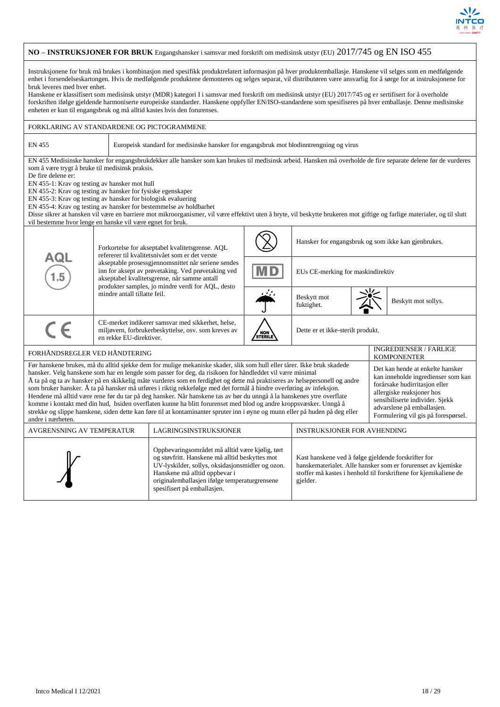

#### **NO – INSTRUKSJONER FOR BRUK** Engangshansker i samsvar med forskrift om medisinsk utstyr (EU) 2017/745 og EN ISO 455 Instruksjonene for bruk må brukes i kombinasjon med spesifikk produktrelatert informasjon på hver produktemballasje. Hanskene vil selges som en medfølgende enhet i forsendelseskartongen. Hvis de medfølgende produktene demonteres og selges separat, vil distributøren være ansvarlig for å sørge for at instruksjonene for bruk leveres med hver enhet. Hanskene er klassifisert som medisinsk utstyr (MDR) kategori I i samsvar med forskrift om medisinsk utstyr (EU) 2017/745 og er sertifisert for å overholde forskriften ifølge gjeldende harmoniserte europeiske standarder. Hanskene oppfyller EN/ISO-standardene som spesifiseres på hver emballasje. Denne medisinske enheten er kun til engangsbruk og må alltid kastes hvis den forurenses. FORKLARING AV STANDARDENE OG PICTOGRAMMENE EN 455 Europeisk standard for medisinske hansker for engangsbruk mot blodinntrengning og virus EN 455 Medisinske hansker for engangsbrukdekker alle hansker som kan brukes til medisinsk arbeid. Hansken må overholde de fire separate delene før de vurderes som å være trygt å bruke til medisinsk praksis. De fire delene er: EN 455-1: Krav og testing av hansker mot hull EN 455-2: Krav og testing av hansker for fysiske egenskaper EN 455-3: Krav og testing av hansker for biologisk evaluering EN 455-4: Krav og testing av hansker for bestemmelse av holdbarhet Disse sikrer at hansken vil være en barriere mot mikroorganismer, vil være effektivt uten å bryte, vil beskytte brukeren mot giftige og farlige materialer, og til slutt vil bestemme hvor lenge en hanske vil være egnet for bruk. Hansker for engangsbruk og som ikke kan gjenbrukes. Forkortelse for akseptabel kvalitetsgrense. AQL refererer til kvalitetsnivået som er det verste ם ב akseptable prosessgjennomsnittet når seriene sendes inn for aksept av prøvetaking. Ved prøvetaking ved EUs CE-merking for maskindirektiv akseptabel kvalitetsgrense, når samme antall produkter samples, jo mindre verdi for AQL, desto mindre antall tillatte feil. Beskytt mot Beskytt mot sollys. CE-merket indikerer samsvar med sikkerhet, helse, miljøvern, forbrukerbeskyttelse, osv. som kreves av Dette er et ikke-sterilt produkt. en rekke EU-direktiver. FORHÅNDSREGLER VED HÅNDTERING **INGREDIENSER / FARLIGE** KOMPONENTER Før hanskene brukes, må du alltid sjekke dem for mulige mekaniske skader, slik som hull eller tårer. Ikke bruk skadede Det kan hende at enkelte hansker hansker. Velg hanskene som har en lengde som passer for deg, da risikoen for håndleddet vil være minimal kan inneholde ingredienser som kan Å ta på og ta av hansker på en skikkelig måte vurderes som en ferdighet og dette må praktiseres av helsepersonell og andre forårsake hudirritasjon eller som bruker hansker. Å ta på hansker må utføres i riktig rekkefølge med det formål å hindre overføring av infeksjon. allergiske reaksjoner hos Hendene må alltid være rene før du tar på deg hansker. Når hanskene tas av bør du unngå å la hanskenes ytre overflate sensibiliserte individer. Sjekk komme i kontakt med din hud, bsiden overflaten kunne ha blitt forurenset med blod og andre kroppsvæsker. Unngå å advarslene på emballasjen. strekke og slippe hanskene, siden dette kan føre til at kontaminanter spruter inn i øyne og munn eller på huden på deg eller Formulering vil gis på forespørsel. andre i nærheten. AVGRENSNING AV TEMPERATUR LAGRINGSINSTRUKSJONER INSTRUKSJONER FOR AVHENDING Oppbevaringsområdet må alltid være kjølig, tørt og støvfritt. Hanskene må alltid beskyttes mot Kast hanskene ved å følge gjeldende forskrifter for UV-lyskilder, sollys, oksidasjonsmidler og ozon. hanskematerialet. Alle hansker som er forurenset av kjemiske Hanskene må alltid oppbevar i stoffer må kastes i henhold til forskriftene for kjemikaliene de originalemballasjen ifølge temperaturgrensene gjelder.spesifisert på emballasjen.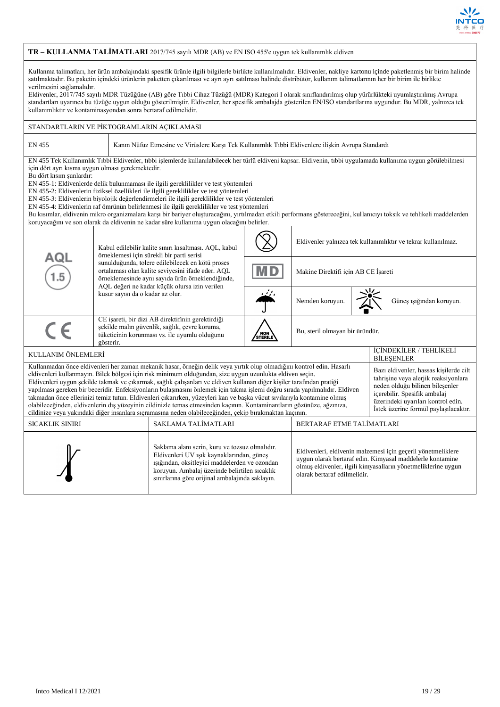

|                                                                                                                                                                                                                                                                                                                                                                                                                                                                                                                                                                                                                                                                                                                                                                                                                                                                                                                                                                                                                                                                                          |                                                                                                                                                                                                                                                                | TR - KULLANMA TALIMATLARI 2017/745 sayılı MDR (AB) ve EN ISO 455'e uygun tek kullanımlık eldiven                                                                                                                                                                                                                                                                                                                                                                                                                                                                                                                                                                                                                                                                                                                          |         |                                     |  |  |                                                               |  |
|------------------------------------------------------------------------------------------------------------------------------------------------------------------------------------------------------------------------------------------------------------------------------------------------------------------------------------------------------------------------------------------------------------------------------------------------------------------------------------------------------------------------------------------------------------------------------------------------------------------------------------------------------------------------------------------------------------------------------------------------------------------------------------------------------------------------------------------------------------------------------------------------------------------------------------------------------------------------------------------------------------------------------------------------------------------------------------------|----------------------------------------------------------------------------------------------------------------------------------------------------------------------------------------------------------------------------------------------------------------|---------------------------------------------------------------------------------------------------------------------------------------------------------------------------------------------------------------------------------------------------------------------------------------------------------------------------------------------------------------------------------------------------------------------------------------------------------------------------------------------------------------------------------------------------------------------------------------------------------------------------------------------------------------------------------------------------------------------------------------------------------------------------------------------------------------------------|---------|-------------------------------------|--|--|---------------------------------------------------------------|--|
| Kullanma talimatları, her ürün ambalajındaki spesifik ürünle ilgili bilgilerle birlikte kullanılmalıdır. Eldivenler, nakliye kartonu içinde paketlenmiş bir birim halinde<br>satılmaktadır. Bu paketin içindeki ürünlerin paketten çıkarılması ve ayrı ayrı satılması halinde distribütör, kullanım talimatlarının her bir birim ile birlikte<br>verilmesini sağlamalıdır.<br>Eldivenler, 2017/745 sayılı MDR Tüzüğüne (AB) göre Tıbbi Cihaz Tüzüğü (MDR) Kategori I olarak sınıflandırılmış olup yürürlükteki uyumlaştırılmış Avrupa<br>standartları uyarınca bu tüzüğe uygun olduğu gösterilmiştir. Eldivenler, her spesifik ambalajda gösterilen EN/ISO standartlarına uygundur. Bu MDR, yalnızca tek<br>kullanımlıktır ve kontaminasyondan sonra bertaraf edilmelidir.                                                                                                                                                                                                                                                                                                               |                                                                                                                                                                                                                                                                |                                                                                                                                                                                                                                                                                                                                                                                                                                                                                                                                                                                                                                                                                                                                                                                                                           |         |                                     |  |  |                                                               |  |
| STANDARTLARIN VE PİKTOGRAMLARIN AÇIKLAMASI                                                                                                                                                                                                                                                                                                                                                                                                                                                                                                                                                                                                                                                                                                                                                                                                                                                                                                                                                                                                                                               |                                                                                                                                                                                                                                                                |                                                                                                                                                                                                                                                                                                                                                                                                                                                                                                                                                                                                                                                                                                                                                                                                                           |         |                                     |  |  |                                                               |  |
| <b>EN 455</b>                                                                                                                                                                                                                                                                                                                                                                                                                                                                                                                                                                                                                                                                                                                                                                                                                                                                                                                                                                                                                                                                            |                                                                                                                                                                                                                                                                | Kanın Nüfuz Etmesine ve Virüslere Karşı Tek Kullanımlık Tıbbi Eldivenlere ilişkin Avrupa Standardı                                                                                                                                                                                                                                                                                                                                                                                                                                                                                                                                                                                                                                                                                                                        |         |                                     |  |  |                                                               |  |
| için dört ayrı kısma uygun olması gerekmektedir.<br>Bu dört kısım şunlardır:                                                                                                                                                                                                                                                                                                                                                                                                                                                                                                                                                                                                                                                                                                                                                                                                                                                                                                                                                                                                             |                                                                                                                                                                                                                                                                | EN 455 Tek Kullanımlık Tıbbi Eldivenler, tıbbi işlemlerde kullanılabilecek her türlü eldiveni kapsar. Eldivenin, tıbbi uygulamada kullanıma uygun görülebilmesi<br>EN 455-1: Eldivenlerde delik bulunmaması ile ilgili gereklilikler ve test yöntemleri<br>EN 455-2: Eldivenlerin fiziksel özellikleri ile ilgili gereklilikler ve test yöntemleri<br>EN 455-3: Eldivenlerin biyolojik değerlendirmeleri ile ilgili gereklilikler ve test yöntemleri<br>EN 455-4: Eldivenlerin raf ömrünün belirlenmesi ile ilgili gereklilikler ve test yöntemleri<br>Bu kısımlar, eldivenin mikro organizmalara karşı bir bariyer oluşturacağını, yırtılmadan etkili performans göstereceğini, kullanıcıyı toksik ve tehlikeli maddelerden<br>koruyacağını ve son olarak da eldivenin ne kadar süre kullanıma uygun olacağını belirler. |         |                                     |  |  |                                                               |  |
|                                                                                                                                                                                                                                                                                                                                                                                                                                                                                                                                                                                                                                                                                                                                                                                                                                                                                                                                                                                                                                                                                          |                                                                                                                                                                                                                                                                | Kabul edilebilir kalite sınırı kısaltması. AQL, kabul                                                                                                                                                                                                                                                                                                                                                                                                                                                                                                                                                                                                                                                                                                                                                                     |         |                                     |  |  | Eldivenler yalnızca tek kullanımlıktır ve tekrar kullanılmaz. |  |
| 1.5                                                                                                                                                                                                                                                                                                                                                                                                                                                                                                                                                                                                                                                                                                                                                                                                                                                                                                                                                                                                                                                                                      | örneklemesi için sürekli bir parti serisi<br>AQL<br>sunulduğunda, tolere edilebilecek en kötü proses<br>ortalaması olan kalite seviyesini ifade eder. AQL<br>örneklemesinde aynı sayıda ürün örneklendiğinde,<br>AQL değeri ne kadar küçük olursa izin verilen |                                                                                                                                                                                                                                                                                                                                                                                                                                                                                                                                                                                                                                                                                                                                                                                                                           |         | Makine Direktifi için AB CE İşareti |  |  |                                                               |  |
|                                                                                                                                                                                                                                                                                                                                                                                                                                                                                                                                                                                                                                                                                                                                                                                                                                                                                                                                                                                                                                                                                          | kusur sayısı da o kadar az olur.                                                                                                                                                                                                                               |                                                                                                                                                                                                                                                                                                                                                                                                                                                                                                                                                                                                                                                                                                                                                                                                                           |         | Nemden koruyun.                     |  |  | Güneş ışığından koruyun.                                      |  |
| $C \in$                                                                                                                                                                                                                                                                                                                                                                                                                                                                                                                                                                                                                                                                                                                                                                                                                                                                                                                                                                                                                                                                                  | gösterir.                                                                                                                                                                                                                                                      | CE işareti, bir dizi AB direktifinin gerektirdiği<br>şekilde malın güvenlik, sağlık, çevre koruma,<br>tüketicinin korunması vs. ile uyumlu olduğunu                                                                                                                                                                                                                                                                                                                                                                                                                                                                                                                                                                                                                                                                       | STERILE | Bu, steril olmayan bir üründür.     |  |  |                                                               |  |
| KULLANIM ÖNLEMLERİ                                                                                                                                                                                                                                                                                                                                                                                                                                                                                                                                                                                                                                                                                                                                                                                                                                                                                                                                                                                                                                                                       |                                                                                                                                                                                                                                                                |                                                                                                                                                                                                                                                                                                                                                                                                                                                                                                                                                                                                                                                                                                                                                                                                                           |         |                                     |  |  | İÇİNDEKİLER / TEHLİKELİ<br><b>BİLEŞENLER</b>                  |  |
| Kullanmadan önce eldivenleri her zaman mekanik hasar, örneğin delik veya yırtık olup olmadığını kontrol edin. Hasarlı<br>Bazı eldivenler, hassas kisilerde cilt<br>eldivenleri kullanmayın. Bilek bölgesi için risk minimum olduğundan, size uygun uzunlukta eldiven seçin.<br>tahrisine veya alerjik reaksiyonlara<br>Eldivenleri uygun şekilde takmak ve çıkarmak, sağlık çalışanları ve eldiven kullanan diğer kişiler tarafından pratiği<br>neden olduğu bilinen bileşenler<br>yapılması gereken bir beceridir. Enfeksiyonların bulaşmasını önlemek için takma işlemi doğru sırada yapılmalıdır. Eldiven<br>içerebilir. Spesifik ambalaj<br>takmadan önce ellerinizi temiz tutun. Eldivenleri çıkarırken, yüzeyleri kan ve başka vücut sıvılarıyla kontamine olmuş<br>üzerindeki uyarıları kontrol edin.<br>olabileceğinden, eldivenlerin dış yüzeyinin cildinizle temas etmesinden kaçının. Kontaminantların gözünüze, ağzınıza,<br>İstek üzerine formül paylaşılacaktır.<br>cildinize veya yakındaki diğer insanlara sıçramasına neden olabileceğinden, çekip bırakmaktan kaçının. |                                                                                                                                                                                                                                                                |                                                                                                                                                                                                                                                                                                                                                                                                                                                                                                                                                                                                                                                                                                                                                                                                                           |         |                                     |  |  |                                                               |  |
| SICAKLIK SINIRI                                                                                                                                                                                                                                                                                                                                                                                                                                                                                                                                                                                                                                                                                                                                                                                                                                                                                                                                                                                                                                                                          |                                                                                                                                                                                                                                                                | SAKLAMA TALİMATLARI                                                                                                                                                                                                                                                                                                                                                                                                                                                                                                                                                                                                                                                                                                                                                                                                       |         | BERTARAF ETME TALİMATLARI           |  |  |                                                               |  |
| Saklama alanı serin, kuru ve tozsuz olmalıdır.<br>Eldivenleri, eldivenin malzemesi için geçerli yönetmeliklere<br>Eldivenleri UV ışık kaynaklarından, güneş<br>uygun olarak bertaraf edin. Kimyasal maddelerle kontamine<br>ışığından, oksitleyici maddelerden ve ozondan<br>olmuş eldivenler, ilgili kimyasalların yönetmeliklerine uygun<br>koruyun. Ambalaj üzerinde belirtilen sıcaklık<br>olarak bertaraf edilmelidir.<br>sınırlarına göre orijinal ambalajında saklayın.                                                                                                                                                                                                                                                                                                                                                                                                                                                                                                                                                                                                           |                                                                                                                                                                                                                                                                |                                                                                                                                                                                                                                                                                                                                                                                                                                                                                                                                                                                                                                                                                                                                                                                                                           |         |                                     |  |  |                                                               |  |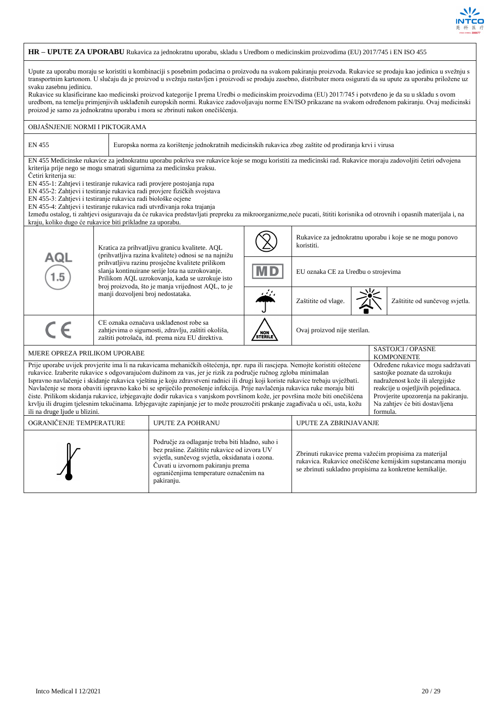

## **HR – UPUTE ZA UPORABU** Rukavica za jednokratnu uporabu, skladu s Uredbom o medicinskim proizvodima (EU) 2017/745 i EN ISO 455

Upute za uporabu moraju se koristiti u kombinaciji s posebnim podacima o proizvodu na svakom pakiranju proizvoda. Rukavice se prodaju kao jedinica u svežnju s transportnim kartonom. U slučaju da je proizvod u svežnju rastavljen i proizvodi se prodaju zasebno, distributer mora osigurati da su upute za uporabu priložene uz svaku zasebnu jedinicu.

Rukavice su klasificirane kao medicinski proizvod kategorije I prema Uredbi o medicinskim proizvodima (EU) 2017/745 i potvrđeno je da su u skladu s ovom uredbom, na temelju primjenjivih usklađenih europskih normi. Rukavice zadovoljavaju norme EN/ISO prikazane na svakom određenom pakiranju. Ovaj medicinski proizod je samo za jednokratnu uporabu i mora se zbrinuti nakon onečišćenja.

| OBJASNJENJE NORMI I PIKTOGRAMA                                                                                                                                                                                                                                                                                                                                                                                                                                                                                                                                                                                                                                                                                                                                                                                                                                                                                                                                                                                                                      |                                                                                                                                                                                                              |                                                                                                                                                                                                     |  |                                     |  |                                                          |  |  |
|-----------------------------------------------------------------------------------------------------------------------------------------------------------------------------------------------------------------------------------------------------------------------------------------------------------------------------------------------------------------------------------------------------------------------------------------------------------------------------------------------------------------------------------------------------------------------------------------------------------------------------------------------------------------------------------------------------------------------------------------------------------------------------------------------------------------------------------------------------------------------------------------------------------------------------------------------------------------------------------------------------------------------------------------------------|--------------------------------------------------------------------------------------------------------------------------------------------------------------------------------------------------------------|-----------------------------------------------------------------------------------------------------------------------------------------------------------------------------------------------------|--|-------------------------------------|--|----------------------------------------------------------|--|--|
| EN 455                                                                                                                                                                                                                                                                                                                                                                                                                                                                                                                                                                                                                                                                                                                                                                                                                                                                                                                                                                                                                                              | Europska norma za korištenje jednokratnih medicinskih rukavica zbog zaštite od prodiranja krvi i virusa                                                                                                      |                                                                                                                                                                                                     |  |                                     |  |                                                          |  |  |
| EN 455 Medicinske rukavice za jednokratnu uporabu pokriva sve rukavice koje se mogu koristiti za medicinski rad. Rukavice moraju zadovoljiti četiri odvojena<br>kriterija prije nego se mogu smatrati sigurnima za medicinsku praksu.<br>Četiri kriterija su:<br>EN 455-1: Zahtjevi i testiranje rukavica radi provjere postojanja rupa<br>EN 455-2: Zahtjevi i testiranje rukavica radi provjere fizičkih svojstava<br>EN 455-3: Zahtjevi i testiranje rukavica radi biološke ocjene<br>EN 455-4: Zahtjevi i testiranje rukavica radi utvrđivanja roka trajanja<br>Između ostalog, ti zahtjevi osiguravaju da će rukavica predstavljati prepreku za mikroorganizme,neće pucati, štititi korisnika od otrovnih i opasnih materijala i, na<br>kraju, koliko dugo će rukavice biti prikladne za uporabu.                                                                                                                                                                                                                                              |                                                                                                                                                                                                              |                                                                                                                                                                                                     |  |                                     |  |                                                          |  |  |
|                                                                                                                                                                                                                                                                                                                                                                                                                                                                                                                                                                                                                                                                                                                                                                                                                                                                                                                                                                                                                                                     | Kratica za prihvatljivu granicu kvalitete. AQL<br>(prihvatljiva razina kvalitete) odnosi se na najnižu                                                                                                       |                                                                                                                                                                                                     |  |                                     |  | Rukavice za jednokratnu uporabu i koje se ne mogu ponovo |  |  |
| AQL                                                                                                                                                                                                                                                                                                                                                                                                                                                                                                                                                                                                                                                                                                                                                                                                                                                                                                                                                                                                                                                 | prihvatljivu razinu prosječne kvalitete prilikom<br>slanja kontinuirane serije lota na uzrokovanje.<br>Prilikom AQL uzrokovanja, kada se uzrokuje isto<br>broj proizvoda, što je manja vrijednost AQL, to je | M D                                                                                                                                                                                                 |  | EU oznaka CE za Uredbu o strojevima |  |                                                          |  |  |
|                                                                                                                                                                                                                                                                                                                                                                                                                                                                                                                                                                                                                                                                                                                                                                                                                                                                                                                                                                                                                                                     | manji dozvoljeni broj nedostataka.                                                                                                                                                                           |                                                                                                                                                                                                     |  | Zaštitite od vlage.                 |  | Zaštitite od sunčevog svjetla.                           |  |  |
| $\epsilon$                                                                                                                                                                                                                                                                                                                                                                                                                                                                                                                                                                                                                                                                                                                                                                                                                                                                                                                                                                                                                                          |                                                                                                                                                                                                              | CE oznaka označava usklađenost robe sa<br>zahtjevima o sigurnosti, zdravlju, zaštiti okoliša,<br>Ovaj proizvod nije sterilan.<br>NON<br>STERILE<br>zaštiti potrošača, itd. prema nizu EU direktiva. |  |                                     |  |                                                          |  |  |
| MJERE OPREZA PRILIKOM UPORABE                                                                                                                                                                                                                                                                                                                                                                                                                                                                                                                                                                                                                                                                                                                                                                                                                                                                                                                                                                                                                       |                                                                                                                                                                                                              |                                                                                                                                                                                                     |  |                                     |  | <b>SASTOJCI / OPASNE</b><br><b>KOMPONENTE</b>            |  |  |
| Određene rukavice mogu sadržavati<br>Prije uporabe uvijek provjerite ima li na rukavicama mehaničkih oštećenja, npr. rupa ili rascjepa. Nemojte koristiti oštećene<br>rukavice. Izaberite rukavice s odgovarajućom dužinom za vas, jer je rizik za područje ručnog zgloba minimalan<br>sastojke poznate da uzrokuju<br>Ispravno navlačenje i skidanje rukavica vještina je koju zdravstveni radnici ili drugi koji koriste rukavice trebaju uvježbati.<br>nadraženost kože ili alergijske<br>Navlačenje se mora obaviti ispravno kako bi se spriječilo prenošenje infekcija. Prije navlačenja rukavica ruke moraju biti<br>reakcije u osjetljivih pojedinaca.<br>čiste. Prilikom skidanja rukavice, izbjegavajte dodir rukavica s vanjskom površinom kože, jer površina može biti onečišćena<br>Provjerite upozorenja na pakiranju.<br>krvlju ili drugim tjelesnim tekućinama. Izbjegavajte zapinjanje jer to može prouzročiti prskanje zagađivača u oči, usta, kožu<br>Na zahtjev će biti dostavljena<br>ili na druge ljude u blizini.<br>formula. |                                                                                                                                                                                                              |                                                                                                                                                                                                     |  |                                     |  |                                                          |  |  |
| OGRANIČENJE TEMPERATURE<br>UPUTE ZA POHRANU<br>UPUTE ZA ZBRINJAVANJE                                                                                                                                                                                                                                                                                                                                                                                                                                                                                                                                                                                                                                                                                                                                                                                                                                                                                                                                                                                |                                                                                                                                                                                                              |                                                                                                                                                                                                     |  |                                     |  |                                                          |  |  |
| Područje za odlaganje treba biti hladno, suho i<br>bez prašine. Zaštitite rukavice od izvora UV<br>Zbrinuti rukavice prema važećim propisima za materijal<br>svjetla, sunčevog svjetla, oksidanata i ozona.<br>rukavica. Rukavice onečišćene kemijskim supstancama moraju<br>Čuvati u izvornom pakiranju prema<br>se zbrinuti sukladno propisima za konkretne kemikalije.<br>ograničenjima temperature označenim na<br>pakiranju.                                                                                                                                                                                                                                                                                                                                                                                                                                                                                                                                                                                                                   |                                                                                                                                                                                                              |                                                                                                                                                                                                     |  |                                     |  |                                                          |  |  |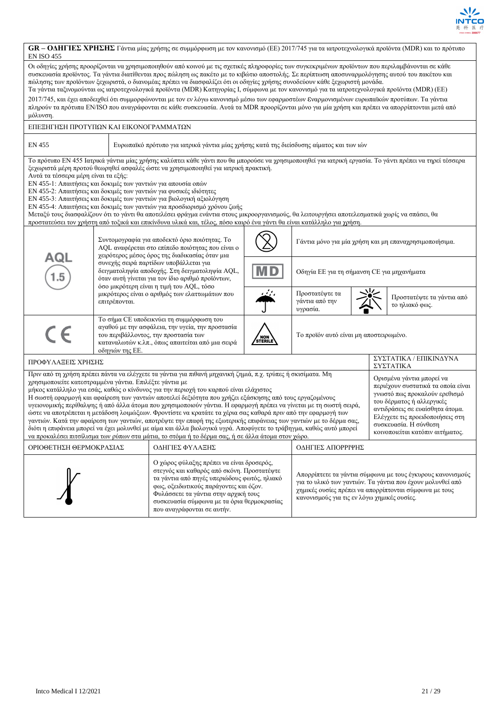

| <b>EN ISO 455</b>                                                                                                                                                                                                                                                                                                                                                                                                                                                                                                                                                                                                                                                                                                                                                                                                                                                                                                                                                                                                                                     |                 | <b>GR</b> - ΟΔΗΓΙΕΣ ΧΡΗΣΗΣ Γάντια μίας χρήσης σε συμμόρφωση με τον κανονισμό (ΕΕ) 2017/745 για τα ιατροτεχνολογικά προϊόντα (MDR) και το πρότυπο                                                                                                                                                                                                                                                                                                                                                                                                                                                                                                                                                                                                                                                                                                                                      |                 |                                                        |                                                                                                                                                                                |                                             |
|-------------------------------------------------------------------------------------------------------------------------------------------------------------------------------------------------------------------------------------------------------------------------------------------------------------------------------------------------------------------------------------------------------------------------------------------------------------------------------------------------------------------------------------------------------------------------------------------------------------------------------------------------------------------------------------------------------------------------------------------------------------------------------------------------------------------------------------------------------------------------------------------------------------------------------------------------------------------------------------------------------------------------------------------------------|-----------------|---------------------------------------------------------------------------------------------------------------------------------------------------------------------------------------------------------------------------------------------------------------------------------------------------------------------------------------------------------------------------------------------------------------------------------------------------------------------------------------------------------------------------------------------------------------------------------------------------------------------------------------------------------------------------------------------------------------------------------------------------------------------------------------------------------------------------------------------------------------------------------------|-----------------|--------------------------------------------------------|--------------------------------------------------------------------------------------------------------------------------------------------------------------------------------|---------------------------------------------|
| μόλυνση.                                                                                                                                                                                                                                                                                                                                                                                                                                                                                                                                                                                                                                                                                                                                                                                                                                                                                                                                                                                                                                              |                 | Οι οδηγίες χρήσης προορίζονται να χρησιμοποιηθούν από κοινού με τις σχετικές πληροφορίες των συγκεκριμένων προϊόντων που περιλαμβάνονται σε κάθε<br>συσκευασία προϊόντος. Τα γάντια διατίθενται προς πώληση ως πακέτο με το κιβώτιο αποστολής. Σε περίπτωση αποσυναρμολόγησης αυτού του πακέτου και<br>πώλησης των προϊόντων ξεχωριστά, ο διανομέας πρέπει να διασφαλίζει ότι οι οδηγίες χρήσης συνοδεύουν κάθε ξεχωριστή μονάδα.<br>Τα γάντια ταξινομούνται ως ιατροτεχνολογικά προϊόντα (MDR) Κατηγορίας Ι, σύμφωνα με τον κανονισμό για τα ιατροτεχνολογικά προϊόντα (MDR) (EE)<br>2017/745, και έχει αποδειχθεί ότι συμμορφώνονται με τον εν λόγω κανονισμό μέσω των εφαρμοστέων Εναρμονισμένων ευρωπαϊκών προτύπων. Τα γάντια<br>πληρούν τα πρότυπα EN/ISO που αναγράφονται σε κάθε συσκευασία. Αυτά τα MDR προορίζονται μόνο για μία χρήση και πρέπει να απορρίπτονται μετά από |                 |                                                        |                                                                                                                                                                                |                                             |
| ΕΠΕΞΗΓΗΣΗ ΠΡΟΤΥΠΩΝ ΚΑΙ ΕΙΚΟΝΟΓΡΑΜΜΑΤΩΝ                                                                                                                                                                                                                                                                                                                                                                                                                                                                                                                                                                                                                                                                                                                                                                                                                                                                                                                                                                                                                |                 |                                                                                                                                                                                                                                                                                                                                                                                                                                                                                                                                                                                                                                                                                                                                                                                                                                                                                       |                 |                                                        |                                                                                                                                                                                |                                             |
| EN 455                                                                                                                                                                                                                                                                                                                                                                                                                                                                                                                                                                                                                                                                                                                                                                                                                                                                                                                                                                                                                                                |                 | Ευρωπαϊκό πρότυπο για ιατρικά γάντια μίας χρήσης κατά της διείσδυσης αίματος και των ιών                                                                                                                                                                                                                                                                                                                                                                                                                                                                                                                                                                                                                                                                                                                                                                                              |                 |                                                        |                                                                                                                                                                                |                                             |
| Αυτά τα τέσσερα μέρη είναι τα εξής:<br>ΕΝ 455-1: Απαιτήσεις και δοκιμές των γαντιών για απουσία οπών                                                                                                                                                                                                                                                                                                                                                                                                                                                                                                                                                                                                                                                                                                                                                                                                                                                                                                                                                  |                 | Το πρότυπο EN 455 Ιατρικά γάντια μίας χρήσης καλύπτει κάθε γάντι που θα μπορούσε να χρησιμοποιηθεί για ιατρική εργασία. Το γάντι πρέπει να τηρεί τέσσερα<br>ξεχωριστά μέρη προτού θεωρηθεί ασφαλές ώστε να χρησιμοποιηθεί για ιατρική πρακτική.<br>ΕΝ 455-2: Απαιτήσεις και δοκιμές των γαντιών για φυσικές ιδιότητες<br>ΕΝ 455-3: Απαιτήσεις και δοκιμές των γαντιών για βιολογική αξιολόγηση<br>ΕΝ 455-4: Απαιτήσεις και δοκιμές των γαντιών για προσδιορισμό χρόνου ζωής<br>Μεταξύ τους διασφαλίζουν ότι το γάντι θα αποτελέσει φράγμα ενάντια στους μικροοργανισμούς, θα λειτουργήσει αποτελεσματικά χωρίς να σπάσει, θα<br>προστατεύσει τον χρήστη από τοξικά και επικίνδυνα υλικά και, τέλος, πόσο καιρό ένα γάντι θα είναι κατάλληλο για χρήση.                                                                                                                                |                 |                                                        |                                                                                                                                                                                |                                             |
| AQL                                                                                                                                                                                                                                                                                                                                                                                                                                                                                                                                                                                                                                                                                                                                                                                                                                                                                                                                                                                                                                                   |                 | Συντομογραφία για αποδεκτό όριο ποιότητας. Το<br>AQL αναφέρεται στο επίπεδο ποιότητας που είναι ο<br>γειρότερος μέσος όρος της διαδικασίας όταν μια<br>συνεχής σειρά παρτίδων υποβάλλεται για                                                                                                                                                                                                                                                                                                                                                                                                                                                                                                                                                                                                                                                                                         |                 | Γάντια μόνο για μία χρήση και μη επαναχρησιμοποιήσιμα. |                                                                                                                                                                                |                                             |
|                                                                                                                                                                                                                                                                                                                                                                                                                                                                                                                                                                                                                                                                                                                                                                                                                                                                                                                                                                                                                                                       |                 | δειγματοληψία αποδοχής. Στη δειγματοληψία AQL,<br>όταν αυτή γίνεται για τον ίδιο αριθμό προϊόντων,<br>όσο μικρότερη είναι η τιμή του AQL, τόσο                                                                                                                                                                                                                                                                                                                                                                                                                                                                                                                                                                                                                                                                                                                                        | M D             | Οδηγία ΕΕ για τη σήμανση CE για μηχανήματα             |                                                                                                                                                                                |                                             |
|                                                                                                                                                                                                                                                                                                                                                                                                                                                                                                                                                                                                                                                                                                                                                                                                                                                                                                                                                                                                                                                       | επιτρέπονται.   | μικρότερος είναι ο αριθμός των ελαττωμάτων που                                                                                                                                                                                                                                                                                                                                                                                                                                                                                                                                                                                                                                                                                                                                                                                                                                        |                 | Προστατέψτε τα<br>γάντια από την<br>υγρασία.           |                                                                                                                                                                                | Προστατέψτε τα γάντια από<br>το ηλιακό φως. |
| CE                                                                                                                                                                                                                                                                                                                                                                                                                                                                                                                                                                                                                                                                                                                                                                                                                                                                                                                                                                                                                                                    | οδηγιών της ΕΕ. | Το σήμα CE υποδεικνύει τη συμμόρφωση του<br>αγαθού με την ασφάλεια, την υγεία, την προστασία<br>του περιβάλλοντος, την προστασία των<br>καταναλωτών κ.λπ., όπως απαιτείται από μια σειρά                                                                                                                                                                                                                                                                                                                                                                                                                                                                                                                                                                                                                                                                                              | NON)<br>Sterile | Το προϊόν αυτό είναι μη αποστειρωμένο.                 |                                                                                                                                                                                |                                             |
| ΠΡΟΦΥΛΑΞΕΙΣ ΧΡΗΣΗΣ                                                                                                                                                                                                                                                                                                                                                                                                                                                                                                                                                                                                                                                                                                                                                                                                                                                                                                                                                                                                                                    |                 |                                                                                                                                                                                                                                                                                                                                                                                                                                                                                                                                                                                                                                                                                                                                                                                                                                                                                       |                 |                                                        |                                                                                                                                                                                | ΣΥΣΤΑΤΙΚΑ / ΕΠΙΚΙΝΔΥΝΑ<br>ΣΥΣΤΑΤΙΚΑ         |
| Πριν από τη χρήση πρέπει πάντα να ελέγχετε τα γάντια για πιθανή μηχανική ζημιά, π.χ. τρύπες ή σκισίματα. Μη<br>Ορισμένα γάντια μπορεί να<br>χρησιμοποιείτε κατεστραμμένα γάντια. Επιλέξτε γάντια με<br>μήκος κατάλληλο για εσάς, καθώς ο κίνδυνος για την περιοχή του καρπού είναι ελάχιστος<br>Η σωστή εφαρμογή και αφαίρεση των γαντιών αποτελεί δεξιότητα που χρήζει εξάσκησης από τους εργαζομένους<br>του δέρματος ή αλλεργικές<br>υγειονομικής περίθαλψης ή από άλλα άτομα που χρησιμοποιούν γάντια. Η εφαρμογή πρέπει να γίνεται με τη σωστή σειρά,<br>ώστε να αποτρέπεται η μετάδοση λοιμώξεων. Φροντίστε να κρατάτε τα χέρια σας καθαρά πριν από την εφαρμογή των<br>γαντιών. Κατά την αφαίρεση των γαντιών, αποτρέψτε την επαφή της εξωτερικής επιφάνειας των γαντιών με το δέρμα σας,<br>συσκευασία. Η σύνθεση<br>διότι η επιφάνεια μπορεί να έχει μολυνθεί με αίμα και άλλα βιολογικά υγρά. Αποφύγετε το τράβηγμα, καθώς αυτό μπορεί<br>να προκαλέσει πιτσίλισμα των ρύπων στα μάτια, το στόμα ή το δέρμα σας, ή σε άλλα άτομα στον χώρο. |                 |                                                                                                                                                                                                                                                                                                                                                                                                                                                                                                                                                                                                                                                                                                                                                                                                                                                                                       |                 |                                                        | περιέχουν συστατικά τα οποία είναι<br>γνωστό πως προκαλούν ερεθισμό<br>αντιδράσεις σε ευαίσθητα άτομα.<br>Ελέγχετε τις προειδοποιήσεις στη<br>κοινοποιείται κατόπιν αιτήματος. |                                             |
| ΟΡΙΟΘΕΤΗΣΗ ΘΕΡΜΟΚΡΑΣΙΑΣ                                                                                                                                                                                                                                                                                                                                                                                                                                                                                                                                                                                                                                                                                                                                                                                                                                                                                                                                                                                                                               |                 | ΟΔΗΓΙΕΣ ΦΥΛΑΞΗΣ                                                                                                                                                                                                                                                                                                                                                                                                                                                                                                                                                                                                                                                                                                                                                                                                                                                                       |                 | ΟΔΗΓΙΕΣ ΑΠΟΡΡΙΨΗΣ                                      |                                                                                                                                                                                |                                             |
| Ο χώρος φύλαξης πρέπει να είναι δροσερός,<br>στεγνός και καθαρός από σκόνη. Προστατέψτε<br>Απορρίπτετε τα γάντια σύμφωνα με τους έγκυρους κανονισμούς<br>τα γάντια από πηγές υπεριώδους φωτός, ηλιακό<br>για το υλικό των γαντιών. Τα γάντια που έχουν μολυνθεί από<br>φως, οξειδωτικούς παράγοντες και όζον.<br>χημικές ουσίες πρέπει να απορρίπτονται σύμφωνα με τους<br>Φυλάσσετε τα γάντια στην αρχική τους<br>κανονισμούς για τις εν λόγω χημικές ουσίες.<br>συσκευασία σύμφωνα με τα όρια θερμοκρασίας                                                                                                                                                                                                                                                                                                                                                                                                                                                                                                                                          |                 |                                                                                                                                                                                                                                                                                                                                                                                                                                                                                                                                                                                                                                                                                                                                                                                                                                                                                       |                 |                                                        |                                                                                                                                                                                |                                             |

που αναγράφονται σε αυτήν.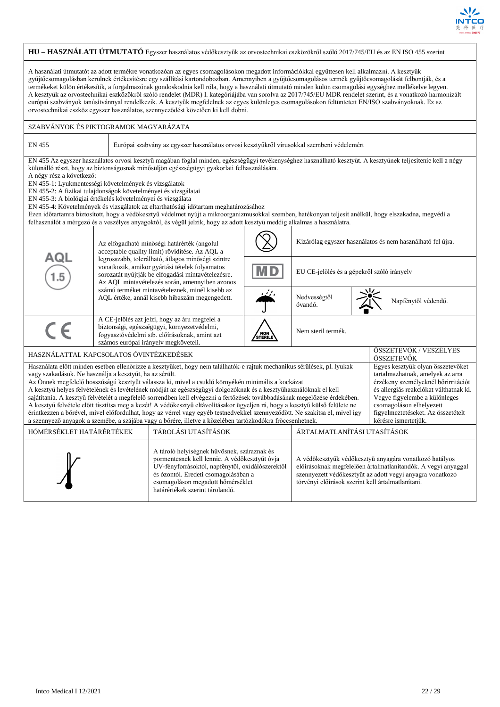

| HU - HASZNÁLATI ÚTMUTATÓ Egyszer használatos védőkesztyűk az orvostechnikai eszközökről szóló 2017/745/EU és az EN ISO 455 szerint                                                                                                                                                                                                                                                                                                                                                                                                                                                                                                                                                                                                                                                                                                                                                                                                                                                                                                                                                                                                                                                                        |                                                                                                                                                                                                                                                                                                                                                                                                                                                                                                                                                                                                                                                                                                                                                                                                                                                               |                                                                                                                                                                                                                                                                                                               |                |                                                            |                                      |  |  |  |  |  |
|-----------------------------------------------------------------------------------------------------------------------------------------------------------------------------------------------------------------------------------------------------------------------------------------------------------------------------------------------------------------------------------------------------------------------------------------------------------------------------------------------------------------------------------------------------------------------------------------------------------------------------------------------------------------------------------------------------------------------------------------------------------------------------------------------------------------------------------------------------------------------------------------------------------------------------------------------------------------------------------------------------------------------------------------------------------------------------------------------------------------------------------------------------------------------------------------------------------|---------------------------------------------------------------------------------------------------------------------------------------------------------------------------------------------------------------------------------------------------------------------------------------------------------------------------------------------------------------------------------------------------------------------------------------------------------------------------------------------------------------------------------------------------------------------------------------------------------------------------------------------------------------------------------------------------------------------------------------------------------------------------------------------------------------------------------------------------------------|---------------------------------------------------------------------------------------------------------------------------------------------------------------------------------------------------------------------------------------------------------------------------------------------------------------|----------------|------------------------------------------------------------|--------------------------------------|--|--|--|--|--|
| A használati útmutatót az adott termékre vonatkozóan az egyes csomagolásokon megadott információkkal együttesen kell alkalmazni. A kesztyűk<br>gyűjtőcsomagolásban kerülnek értékesítésre egy szállítási kartondobozban. Amennyiben a gyűjtőcsomagolásos termék gyűjtőcsomagolását felbontják, és a<br>termékeket külön értékesítik, a forgalmazónak gondoskodnia kell róla, hogy a használati útmutató minden külön csomagolási egységhez mellékelve legyen.<br>A kesztyűk az orvostechnikai eszközökről szóló rendelet (MDR) I. kategóriájába van sorolva az 2017/745/EU MDR rendelet szerint, és a vonatkozó harmonizált<br>európai szabványok tanúsítvánnyal rendelkezik. A kesztyűk megfelelnek az egyes különleges csomagolásokon feltüntetett EN/ISO szabványoknak. Ez az<br>orvostechnikai eszköz egyszer használatos, szennyeződést követően ki kell dobni.                                                                                                                                                                                                                                                                                                                                      |                                                                                                                                                                                                                                                                                                                                                                                                                                                                                                                                                                                                                                                                                                                                                                                                                                                               |                                                                                                                                                                                                                                                                                                               |                |                                                            |                                      |  |  |  |  |  |
|                                                                                                                                                                                                                                                                                                                                                                                                                                                                                                                                                                                                                                                                                                                                                                                                                                                                                                                                                                                                                                                                                                                                                                                                           | SZABVÁNYOK ÉS PIKTOGRAMOK MAGYARÁZATA                                                                                                                                                                                                                                                                                                                                                                                                                                                                                                                                                                                                                                                                                                                                                                                                                         |                                                                                                                                                                                                                                                                                                               |                |                                                            |                                      |  |  |  |  |  |
| <b>EN 455</b>                                                                                                                                                                                                                                                                                                                                                                                                                                                                                                                                                                                                                                                                                                                                                                                                                                                                                                                                                                                                                                                                                                                                                                                             |                                                                                                                                                                                                                                                                                                                                                                                                                                                                                                                                                                                                                                                                                                                                                                                                                                                               | Európai szabvány az egyszer használatos orvosi kesztyűkről vírusokkal szembeni védelemért                                                                                                                                                                                                                     |                |                                                            |                                      |  |  |  |  |  |
|                                                                                                                                                                                                                                                                                                                                                                                                                                                                                                                                                                                                                                                                                                                                                                                                                                                                                                                                                                                                                                                                                                                                                                                                           | EN 455 Az egyszer használatos orvosi kesztyű magában foglal minden, egészségügyi tevékenységhez használható kesztyűt. A kesztyűnek teljesítenie kell a négy<br>különálló részt, hogy az biztonságosnak minősüljön egészségügyi gyakorlati felhasználására.<br>A négy rész a következő:<br>EN 455-1: Lyukmentességi követelmények és vizsgálatok<br>EN 455-2: A fizikai tulajdonságok követelményei és vizsgálatai<br>EN 455-3: A biológiai értékelés követelményei és vizsgálata<br>EN 455-4: Követelmények és vizsgálatok az eltarthatósági időtartam meghatározásához<br>Ezen időtartamra biztosított, hogy a védőkesztyű védelmet nyújt a mikroorganizmusokkal szemben, hatékonyan teljesít anélkül, hogy elszakadna, megvédi a<br>felhasználót a mérgező és a veszélyes anyagoktól, és végül jelzik, hogy az adott kesztyű meddig alkalmas a használatra. |                                                                                                                                                                                                                                                                                                               |                |                                                            |                                      |  |  |  |  |  |
|                                                                                                                                                                                                                                                                                                                                                                                                                                                                                                                                                                                                                                                                                                                                                                                                                                                                                                                                                                                                                                                                                                                                                                                                           |                                                                                                                                                                                                                                                                                                                                                                                                                                                                                                                                                                                                                                                                                                                                                                                                                                                               | Az elfogadható minőségi határérték (angolul<br>acceptable quality limit) rövidítése. Az AQL a<br>legrosszabb, tolerálható, átlagos minőségi szintre<br>vonatkozik, amikor gyártási tételek folyamatos<br>sorozatát nyújtják be elfogadási mintavételezésre.<br>Az AQL mintavételezés során, amennyiben azonos |                | Kizárólag egyszer használatos és nem használható fel újra. |                                      |  |  |  |  |  |
| AQL<br>1.5                                                                                                                                                                                                                                                                                                                                                                                                                                                                                                                                                                                                                                                                                                                                                                                                                                                                                                                                                                                                                                                                                                                                                                                                |                                                                                                                                                                                                                                                                                                                                                                                                                                                                                                                                                                                                                                                                                                                                                                                                                                                               |                                                                                                                                                                                                                                                                                                               |                | EU CE-jelölés és a gépekről szóló irányelv                 |                                      |  |  |  |  |  |
|                                                                                                                                                                                                                                                                                                                                                                                                                                                                                                                                                                                                                                                                                                                                                                                                                                                                                                                                                                                                                                                                                                                                                                                                           |                                                                                                                                                                                                                                                                                                                                                                                                                                                                                                                                                                                                                                                                                                                                                                                                                                                               | számú terméket mintavételeznek, minél kisebb az<br>Nedvességtől<br>AQL értéke, annál kisebb hibaszám megengedett.<br>Napfénytől védendő.<br>óvandó.                                                                                                                                                           |                |                                                            |                                      |  |  |  |  |  |
| CE                                                                                                                                                                                                                                                                                                                                                                                                                                                                                                                                                                                                                                                                                                                                                                                                                                                                                                                                                                                                                                                                                                                                                                                                        |                                                                                                                                                                                                                                                                                                                                                                                                                                                                                                                                                                                                                                                                                                                                                                                                                                                               | A CE-jelölés azt jelzi, hogy az áru megfelel a<br>biztonsági, egészségügyi, környezetvédelmi,<br>fogyasztóvédelmi stb. előírásoknak, amint azt<br>számos európai irányelv megköveteli.                                                                                                                        | NON<br>STERILE | Nem steril termék.                                         |                                      |  |  |  |  |  |
| HASZNÁLATTAL KAPCSOLATOS ÓVINTÉZKEDÉSEK                                                                                                                                                                                                                                                                                                                                                                                                                                                                                                                                                                                                                                                                                                                                                                                                                                                                                                                                                                                                                                                                                                                                                                   |                                                                                                                                                                                                                                                                                                                                                                                                                                                                                                                                                                                                                                                                                                                                                                                                                                                               |                                                                                                                                                                                                                                                                                                               |                |                                                            | ÖSSZETEVŐK / VESZÉLYES<br>ÖSSZETEVŐK |  |  |  |  |  |
| Használata előtt minden esetben ellenőrizze a kesztyűket, hogy nem találhatók-e rajtuk mechanikus sérülések, pl. lyukak<br>Egyes kesztyűk olyan összetevőket<br>vagy szakadások. Ne használja a kesztyűt, ha az sérült.<br>tartalmazhatnak, amelyek az arra<br>Az Önnek megfelelő hosszúságú kesztyűt válassza ki, mivel a csukló környékén minimális a kockázat<br>érzékeny személyeknél bőrirritációt<br>A kesztyű helyes felvételének és levételének módját az egészségügyi dolgozóknak és a kesztyűhasználóknak el kell<br>és allergiás reakciókat válthatnak ki.<br>sajátítania. A kesztyű felvételét a megfelelő sorrendben kell elvégezni a fertőzések továbbadásának megelőzése érdekében.<br>Vegye figyelembe a különleges<br>A kesztyű felvétele előtt tisztítsa meg a kezét! A védőkesztyű eltávolításakor ügyeljen rá, hogy a kesztyű külső felülete ne<br>csomagoláson elhelyezett<br>érintkezzen a bőrével, mivel előfordulhat, hogy az vérrel vagy egyéb testnedvekkel szennyeződött. Ne szakítsa el, mivel így<br>figyelmeztetéseket. Az összetételt<br>a szennyező anyagok a szemébe, a szájába vagy a bőrére, illetve a közelében tartózkodókra fröccsenhetnek.<br>kérésre ismertetjük. |                                                                                                                                                                                                                                                                                                                                                                                                                                                                                                                                                                                                                                                                                                                                                                                                                                                               |                                                                                                                                                                                                                                                                                                               |                |                                                            |                                      |  |  |  |  |  |
|                                                                                                                                                                                                                                                                                                                                                                                                                                                                                                                                                                                                                                                                                                                                                                                                                                                                                                                                                                                                                                                                                                                                                                                                           | HŐMÉRSÉKLET HATÁRÉRTÉKEK<br>ÁRTALMATLANÍTÁSI UTASÍTÁSOK<br>TÁROLÁSI UTASÍTÁSOK                                                                                                                                                                                                                                                                                                                                                                                                                                                                                                                                                                                                                                                                                                                                                                                |                                                                                                                                                                                                                                                                                                               |                |                                                            |                                      |  |  |  |  |  |
| A tároló helyiségnek hűvösnek, száraznak és<br>pormentesnek kell lennie. A védőkesztyűt óvja<br>A védőkesztyűk védőkesztyű anyagára vonatkozó hatályos<br>UV-fényforrásoktól, napfénytől, oxidálószerektől<br>előírásoknak megfelelően ártalmatlanítandók. A vegyi anyaggal<br>és ózontól. Eredeti csomagolásában a<br>szennyezett védőkesztyűt az adott vegyi anyagra vonatkozó<br>csomagoláson megadott hőmérséklet<br>törvényi előírások szerint kell ártalmatlanítani.<br>határértékek szerint tárolandó.                                                                                                                                                                                                                                                                                                                                                                                                                                                                                                                                                                                                                                                                                             |                                                                                                                                                                                                                                                                                                                                                                                                                                                                                                                                                                                                                                                                                                                                                                                                                                                               |                                                                                                                                                                                                                                                                                                               |                |                                                            |                                      |  |  |  |  |  |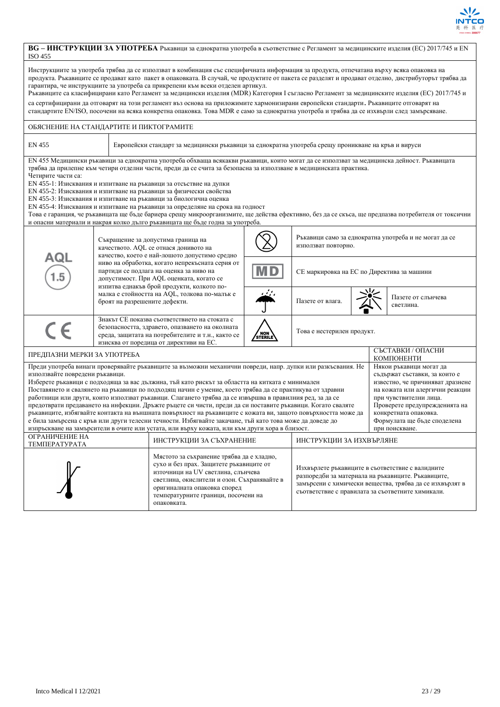

## **BG – ИНСТРУКЦИИ ЗА УПОТРЕБА** Ръкавици за еднократна употреба в съответствие с Регламент за медицинските изделия (ЕС) 2017/745 и EN ISO 455

| Инструкциите за употреба трябва да се използват в комбинация със специфичната информация за продукта, отпечатана върху всяка опаковка на<br>продукта. Ръкавиците се продават като пакет в опаковката. В случай, че продуктите от пакета се разделят и продават отделно, дистрибуторът трябва да<br>гарантира, че инструкциите за употреба са прикрепени към всеки отделен артикул.<br>Ръкавиците са класифицирани като Регламент за медицински изделия (MDR) Категория I съгласно Регламент за медицинските изделия (EC) 2017/745 и<br>са сертифицирани да отговарят на този регламент въз основа на приложимите хармонизирани европейски стандарти. Ръкавиците отговарят на<br>стандартите EN/ISO, посочени на всяка конкретна опаковка. Това MDR е само за еднократна употреба и трябва да се изхвърли след замърсяване.                                                                                                                                                                                                                                                                                                                                                      |                                                                                                                                                                                                              |  |                                                                                                                                                                                                  |                |                                            |  |                                 |  |
|---------------------------------------------------------------------------------------------------------------------------------------------------------------------------------------------------------------------------------------------------------------------------------------------------------------------------------------------------------------------------------------------------------------------------------------------------------------------------------------------------------------------------------------------------------------------------------------------------------------------------------------------------------------------------------------------------------------------------------------------------------------------------------------------------------------------------------------------------------------------------------------------------------------------------------------------------------------------------------------------------------------------------------------------------------------------------------------------------------------------------------------------------------------------------------|--------------------------------------------------------------------------------------------------------------------------------------------------------------------------------------------------------------|--|--------------------------------------------------------------------------------------------------------------------------------------------------------------------------------------------------|----------------|--------------------------------------------|--|---------------------------------|--|
| ОБЯСНЕНИЕ НА СТАНДАРТИТЕ И ПИКТОГРАМИТЕ                                                                                                                                                                                                                                                                                                                                                                                                                                                                                                                                                                                                                                                                                                                                                                                                                                                                                                                                                                                                                                                                                                                                         |                                                                                                                                                                                                              |  |                                                                                                                                                                                                  |                |                                            |  |                                 |  |
| EN 455                                                                                                                                                                                                                                                                                                                                                                                                                                                                                                                                                                                                                                                                                                                                                                                                                                                                                                                                                                                                                                                                                                                                                                          |                                                                                                                                                                                                              |  | Европейски стандарт за медицински ръкавици за еднократна употреба срещу проникване на кръв и вируси                                                                                              |                |                                            |  |                                 |  |
| EN 455 Медицински ръкавици за еднократна употреба обхваща всякакви ръкавици, които могат да се използват за медицинска дейност. Ръкавицата<br>трябва да прилепне към четири отделни части, преди да се счита за безопасна за използване в медицинската практика.<br>Четирите части са:<br>EN 455-1: Изисквания и изпитване на ръкавици за отсъствие на дупки<br>EN 455-2: Изисквания и изпитване на ръкавици за физически свойства<br>EN 455-3: Изисквания и изпитване на ръкавици за биологична оценка<br>EN 455-4: Изисквания и изпитване на ръкавици за определяне на срока на годност<br>Това е гаранция, че ръкавицата ще бъде бариера срещу микроорганизмите, ще действа ефективно, без да се скъса, ще предпазва потребителя от токсични<br>и опасни материали и накрая колко дълго ръкавицата ще бъде годна за употреба.                                                                                                                                                                                                                                                                                                                                                |                                                                                                                                                                                                              |  |                                                                                                                                                                                                  |                |                                            |  |                                 |  |
|                                                                                                                                                                                                                                                                                                                                                                                                                                                                                                                                                                                                                                                                                                                                                                                                                                                                                                                                                                                                                                                                                                                                                                                 | Ръкавици само за еднократна употреба и не могат да се<br>Съкращение за допустима граница на<br>използват повторно.<br>качеството. AQL се отнася донивото на<br>качество, което е най-лошото допустимо средно |  |                                                                                                                                                                                                  |                |                                            |  |                                 |  |
| AQL                                                                                                                                                                                                                                                                                                                                                                                                                                                                                                                                                                                                                                                                                                                                                                                                                                                                                                                                                                                                                                                                                                                                                                             |                                                                                                                                                                                                              |  | ниво на обработка, когато непрекъсната серия от<br>партиди се подлага на оценка за ниво на<br>допустимост. При AQL оценката, когато се<br>изпитва еднакъв брой продукти, колкото по-             | M D            | СЕ маркировка на ЕС по Директива за машини |  |                                 |  |
|                                                                                                                                                                                                                                                                                                                                                                                                                                                                                                                                                                                                                                                                                                                                                                                                                                                                                                                                                                                                                                                                                                                                                                                 |                                                                                                                                                                                                              |  | малка е стойността на AQL, толкова по-малък е<br>броят на разрешените дефекти.                                                                                                                   |                | Пазете от влага.                           |  | Пазете от слънчева<br>светлина. |  |
| $\epsilon$                                                                                                                                                                                                                                                                                                                                                                                                                                                                                                                                                                                                                                                                                                                                                                                                                                                                                                                                                                                                                                                                                                                                                                      |                                                                                                                                                                                                              |  | Знакът СЕ показва съответствието на стоката с<br>безопасността, здравето, опазването на околната<br>среда, защитата на потребителите и т.н., както се<br>изисква от поредица от директиви на ЕС. | NON<br>STERILE | Това е нестерилен продукт.                 |  |                                 |  |
| ПРЕДПАЗНИ МЕРКИ ЗА УПОТРЕБА                                                                                                                                                                                                                                                                                                                                                                                                                                                                                                                                                                                                                                                                                                                                                                                                                                                                                                                                                                                                                                                                                                                                                     |                                                                                                                                                                                                              |  |                                                                                                                                                                                                  |                |                                            |  | СЪСТАВКИ / ОПАСНИ<br>КОМПОНЕНТИ |  |
| Преди употреба винаги проверявайте ръкавиците за възможни механични повреди, напр. дупки или разкъсвания. Не<br>Някои ръкавици могат да<br>използвайте повредени ръкавици.<br>съдържат съставки, за които е<br>Изберете ръкавици с подходяща за вас дължина, тъй като рискът за областта на китката е минимален<br>известно, че причиняват дразнене<br>Поставянето и свалянето на ръкавици по подходящ начин е умение, което трябва да се практикува от здравни<br>на кожата или алергични реакции<br>работници или други, които използват ръкавици. Слагането трябва да се извършва в правилния ред, за да се<br>при чувствителни лица.<br>предотврати предаването на инфекции. Дръжте ръцете си чисти, преди да си поставите ръкавици. Когато сваляте<br>Проверете предупрежденията на<br>ръкавиците, избягвайте контакта на външната повърхност на ръкавиците с кожата ви, защото повърхността може да<br>конкретната опаковка.<br>е била замърсена с кръв или други телесни течности. Избягвайте закачане, тъй като това може да доведе до<br>Формулата ще бъде споделена<br>изпръскване на замърсители в очите или устата, или върху кожата, или към други хора в близост. |                                                                                                                                                                                                              |  |                                                                                                                                                                                                  |                | при поискване.                             |  |                                 |  |
| ОГРАНИЧЕНИЕ НА                                                                                                                                                                                                                                                                                                                                                                                                                                                                                                                                                                                                                                                                                                                                                                                                                                                                                                                                                                                                                                                                                                                                                                  |                                                                                                                                                                                                              |  |                                                                                                                                                                                                  |                |                                            |  |                                 |  |
| ИНСТРУКЦИИ ЗА СЪХРАНЕНИЕ<br>ИНСТРУКЦИИ ЗА ИЗХВЪРЛЯНЕ<br>ΤΕΜΠΕΡΑΤΥΡΑΤΑ<br>Мястото за съхранение трябва да е хладно,<br>сухо и без прах. Защитете ръкавиците от<br>Изхвърлете ръкавиците в съответствие с валидните<br>източници на UV светлина, слънчева<br>разпоредби за материала на ръкавиците. Ръкавиците,<br>светлина, окислители и озон. Съхранявайте в<br>замърсени с химически вещества, трябва да се изхвърлят в<br>оригиналната опаковка според<br>съответствие с правилата за съответните химикали.<br>температурните граници, посочени на<br>опаковката.                                                                                                                                                                                                                                                                                                                                                                                                                                                                                                                                                                                                             |                                                                                                                                                                                                              |  |                                                                                                                                                                                                  |                |                                            |  |                                 |  |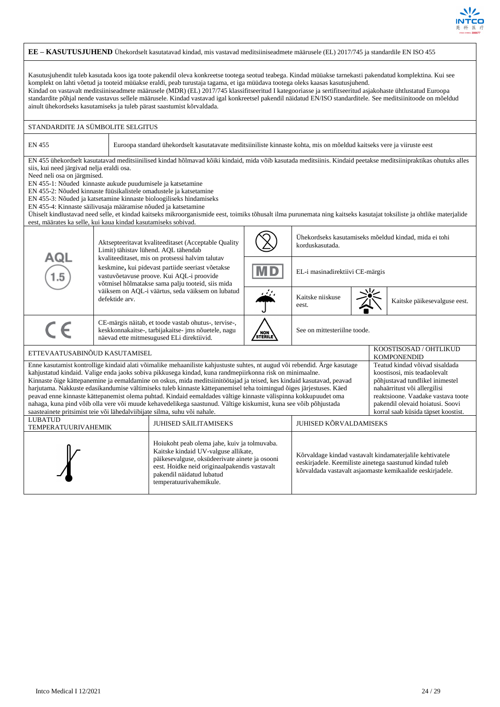

| EE - KASUTUSJUHEND Ühekordselt kasutatavad kindad, mis vastavad meditsiiniseadmete määrusele (EL) 2017/745 ja standardile EN ISO 455                                                                                                                                                                                                                                                                                                                                                                                                                                                                                                                                                                                                                                                                                                                                                                                                                                                                                                                            |                                                                                                                                                                                                                                                                                                                                                                                                                                                                                                                                                                                                                                                                                                     |                                                                                                                                                                                                         |         |                                 |  |  |                                                       |  |
|-----------------------------------------------------------------------------------------------------------------------------------------------------------------------------------------------------------------------------------------------------------------------------------------------------------------------------------------------------------------------------------------------------------------------------------------------------------------------------------------------------------------------------------------------------------------------------------------------------------------------------------------------------------------------------------------------------------------------------------------------------------------------------------------------------------------------------------------------------------------------------------------------------------------------------------------------------------------------------------------------------------------------------------------------------------------|-----------------------------------------------------------------------------------------------------------------------------------------------------------------------------------------------------------------------------------------------------------------------------------------------------------------------------------------------------------------------------------------------------------------------------------------------------------------------------------------------------------------------------------------------------------------------------------------------------------------------------------------------------------------------------------------------------|---------------------------------------------------------------------------------------------------------------------------------------------------------------------------------------------------------|---------|---------------------------------|--|--|-------------------------------------------------------|--|
|                                                                                                                                                                                                                                                                                                                                                                                                                                                                                                                                                                                                                                                                                                                                                                                                                                                                                                                                                                                                                                                                 |                                                                                                                                                                                                                                                                                                                                                                                                                                                                                                                                                                                                                                                                                                     |                                                                                                                                                                                                         |         |                                 |  |  |                                                       |  |
| Kasutusjuhendit tuleb kasutada koos iga toote pakendil oleva konkreetse tootega seotud teabega. Kindad müüakse tarnekasti pakendatud komplektina. Kui see<br>komplekt on lahti võetud ja tooteid müüakse eraldi, peab turustaja tagama, et iga müüdava tootega oleks kaasas kasutusjuhend.<br>Kindad on vastavalt meditsiiniseadmete määrusele (MDR) (EL) 2017/745 klassifitseeritud I kategooriasse ja sertifitseeritud asjakohaste ühtlustatud Euroopa<br>standardite põhjal nende vastavus sellele määrusele. Kindad vastavad igal konkreetsel pakendil näidatud EN/ISO standarditele. See meditsiinitoode on mõeldud<br>ainult ühekordseks kasutamiseks ja tuleb pärast saastumist kõrvaldada.                                                                                                                                                                                                                                                                                                                                                              |                                                                                                                                                                                                                                                                                                                                                                                                                                                                                                                                                                                                                                                                                                     |                                                                                                                                                                                                         |         |                                 |  |  |                                                       |  |
| STANDARDITE JA SÜMBOLITE SELGITUS                                                                                                                                                                                                                                                                                                                                                                                                                                                                                                                                                                                                                                                                                                                                                                                                                                                                                                                                                                                                                               |                                                                                                                                                                                                                                                                                                                                                                                                                                                                                                                                                                                                                                                                                                     |                                                                                                                                                                                                         |         |                                 |  |  |                                                       |  |
| <b>EN 455</b>                                                                                                                                                                                                                                                                                                                                                                                                                                                                                                                                                                                                                                                                                                                                                                                                                                                                                                                                                                                                                                                   |                                                                                                                                                                                                                                                                                                                                                                                                                                                                                                                                                                                                                                                                                                     | Euroopa standard ühekordselt kasutatavate meditsiiniliste kinnaste kohta, mis on mõeldud kaitseks vere ja viiruste eest                                                                                 |         |                                 |  |  |                                                       |  |
| eest, määrates ka selle, kui kaua kindad kasutamiseks sobivad.                                                                                                                                                                                                                                                                                                                                                                                                                                                                                                                                                                                                                                                                                                                                                                                                                                                                                                                                                                                                  | EN 455 ühekordselt kasutatavad meditsiinilised kindad hõlmavad kõiki kindaid, mida võib kasutada meditsiinis. Kindaid peetakse meditsiinipraktikas ohutuks alles<br>siis, kui need järgivad nelja eraldi osa.<br>Need neli osa on järgmised.<br>EN 455-1: Nõuded kinnaste aukude puudumisele ja katsetamine<br>EN 455-2: Nõuded kinnaste füüsikalistele omadustele ja katsetamine<br>EN 455-3: Nõuded ja katsetamine kinnaste bioloogiliseks hindamiseks<br>EN 455-4: Kinnaste säilivusaja määramise nõuded ja katsetamine<br>Ühiselt kindlustavad need selle, et kindad kaitseks mikroorganismide eest, toimiks tõhusalt ilma purunemata ning kaitseks kasutajat toksiliste ja ohtlike materjalide |                                                                                                                                                                                                         |         |                                 |  |  |                                                       |  |
|                                                                                                                                                                                                                                                                                                                                                                                                                                                                                                                                                                                                                                                                                                                                                                                                                                                                                                                                                                                                                                                                 |                                                                                                                                                                                                                                                                                                                                                                                                                                                                                                                                                                                                                                                                                                     | Aktsepteeritavat kvaliteeditaset (Acceptable Quality<br>Limit) tähistav lühend. AQL tähendab                                                                                                            |         | korduskasutada.                 |  |  | Uhekordseks kasutamiseks mõeldud kindad, mida ei tohi |  |
| AQL                                                                                                                                                                                                                                                                                                                                                                                                                                                                                                                                                                                                                                                                                                                                                                                                                                                                                                                                                                                                                                                             |                                                                                                                                                                                                                                                                                                                                                                                                                                                                                                                                                                                                                                                                                                     | kvaliteeditaset, mis on protsessi halvim talutav<br>keskmine, kui pidevast partiide seeriast võetakse<br>vastuvõetavuse proove. Kui AQL-i proovide<br>võtmisel hõlmatakse sama palju tooteid, siis mida | MD      | EL-i masinadirektiivi CE-märgis |  |  |                                                       |  |
|                                                                                                                                                                                                                                                                                                                                                                                                                                                                                                                                                                                                                                                                                                                                                                                                                                                                                                                                                                                                                                                                 | defektide arv.                                                                                                                                                                                                                                                                                                                                                                                                                                                                                                                                                                                                                                                                                      | väiksem on AQL-i väärtus, seda väiksem on lubatud                                                                                                                                                       |         | Kaitske niiskuse<br>eest.       |  |  | Kaitske päikesevalguse eest.                          |  |
| $\epsilon$                                                                                                                                                                                                                                                                                                                                                                                                                                                                                                                                                                                                                                                                                                                                                                                                                                                                                                                                                                                                                                                      |                                                                                                                                                                                                                                                                                                                                                                                                                                                                                                                                                                                                                                                                                                     | CE-märgis näitab, et toode vastab ohutus-, tervise-,<br>keskkonnakaitse-, tarbijakaitse- jms nõuetele, nagu<br>näevad ette mitmesugused ELi direktiivid.                                                | STERILE | See on mittesteriilne toode.    |  |  |                                                       |  |
| ETTEVAATUSABINÕUD KASUTAMISEL                                                                                                                                                                                                                                                                                                                                                                                                                                                                                                                                                                                                                                                                                                                                                                                                                                                                                                                                                                                                                                   |                                                                                                                                                                                                                                                                                                                                                                                                                                                                                                                                                                                                                                                                                                     |                                                                                                                                                                                                         |         |                                 |  |  | KOOSTISOSAD / OHTLIKUD<br><b>KOMPONENDID</b>          |  |
| Enne kasutamist kontrollige kindaid alati võimalike mehaaniliste kahjustuste suhtes, nt augud või rebendid. Ärge kasutage<br>Teatud kindad võivad sisaldada<br>kahjustatud kindaid. Valige enda jaoks sobiva pikkusega kindad, kuna randmepiirkonna risk on minimaalne.<br>koostisosi, mis teadaolevalt<br>Kinnaste õige kättepanemine ja eemaldamine on oskus, mida meditsiinitöötajad ja teised, kes kindaid kasutavad, peavad<br>põhjustavad tundlikel inimestel<br>harjutama. Nakkuste edasikandumise vältimiseks tuleb kinnaste kättepanemisel teha toimingud õiges järjestuses. Käed<br>nahaärritust või allergilisi<br>peavad enne kinnaste kättepanemist olema puhtad. Kindaid eemaldades vältige kinnaste välispinna kokkupuudet oma<br>reaktsioone. Vaadake vastava toote<br>nahaga, kuna pind võib olla vere või muude kehavedelikega saastunud. Vältige kiskumist, kuna see võib põhjustada<br>pakendil olevaid hoiatusi. Soovi<br>saasteainete pritsimist teie või lähedalviibijate silma, suhu või nahale.<br>korral saab küsida täpset koostist. |                                                                                                                                                                                                                                                                                                                                                                                                                                                                                                                                                                                                                                                                                                     |                                                                                                                                                                                                         |         |                                 |  |  |                                                       |  |
| LUBATUD<br>TEMPERATUURIVAHEMIK                                                                                                                                                                                                                                                                                                                                                                                                                                                                                                                                                                                                                                                                                                                                                                                                                                                                                                                                                                                                                                  |                                                                                                                                                                                                                                                                                                                                                                                                                                                                                                                                                                                                                                                                                                     | JUHISED SÄILITAMISEKS                                                                                                                                                                                   |         | JUHISED KÕRVALDAMISEKS          |  |  |                                                       |  |
| Hoiukoht peab olema jahe, kuiv ja tolmuvaba.<br>Kaitske kindaid UV-valguse allikate,<br>Kõrvaldage kindad vastavalt kindamaterjalile kehtivatele<br>päikesevalguse, oksüdeerivate ainete ja osooni<br>eeskirjadele. Keemiliste ainetega saastunud kindad tuleb<br>eest. Hoidke neid originaalpakendis vastavalt<br>kõrvaldada vastavalt asjaomaste kemikaalide eeskirjadele.<br>pakendil näidatud lubatud<br>temperatuurivahemikule.                                                                                                                                                                                                                                                                                                                                                                                                                                                                                                                                                                                                                            |                                                                                                                                                                                                                                                                                                                                                                                                                                                                                                                                                                                                                                                                                                     |                                                                                                                                                                                                         |         |                                 |  |  |                                                       |  |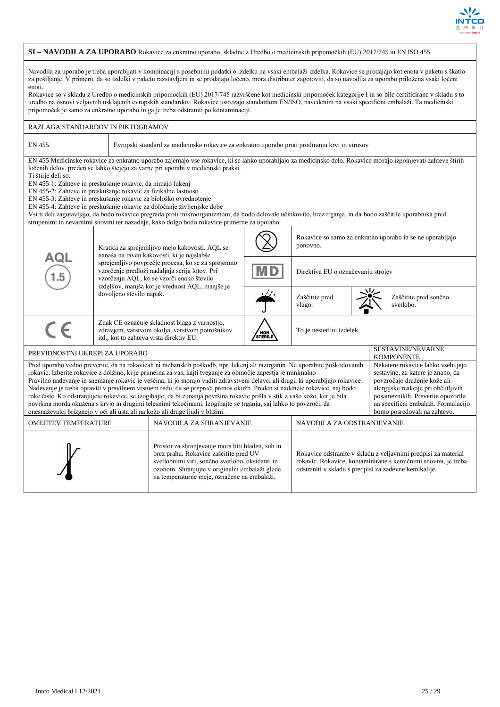

## **SI – NAVODILA ZA UPORABO** Rokavice za enkratno uporabo, skladne z Uredbo o medicinskih pripomočkih (EU) 2017/745 in EN ISO 455

Navodila za uporabo je treba uporabljati v kombinaciji s posebnimi podatki o izdelku na vsaki embalaži izdelka. Rokavice se prodajajo kot enota v paketu s škatlo za pošiljanje. V primeru, da so izdelki v paketu razstavljeni in se prodajajo ločeno, mora distributer zagotoviti, da so navodila za uporabo priložena vsaki ločeni enoti.

Rokavice so v skladu z Uredbo o medicinskih pripomočkih (EU) 2017/745 razvrščene kot medicinski pripomoček kategorije I in so bile certificirane v skladu s to uredbo na osnovi veljavnih usklajenih evropskih standardov. Rokavice ustrezajo standardom EN/ISO, navedenim na vsaki specifični embalaži. Ta medicinski pripomoček je samo za enkratno uporabo in ga je treba odstraniti po kontaminaciji.

| RAZLAGA STANDARDOV IN PIKTOGRAMOV                                                                                                                                                                                                                                                                                                                                                                                                                                                                                                                                                                                                                                                                                                                                                                                                                                                                                                                                                                                                                                                                        |                                                                                                                                                                                                      |                                                                                                                                                                                                                                                                                                                                                                                                                                                                                                                                                                                         |         |                                    |  |                                                           |  |  |
|----------------------------------------------------------------------------------------------------------------------------------------------------------------------------------------------------------------------------------------------------------------------------------------------------------------------------------------------------------------------------------------------------------------------------------------------------------------------------------------------------------------------------------------------------------------------------------------------------------------------------------------------------------------------------------------------------------------------------------------------------------------------------------------------------------------------------------------------------------------------------------------------------------------------------------------------------------------------------------------------------------------------------------------------------------------------------------------------------------|------------------------------------------------------------------------------------------------------------------------------------------------------------------------------------------------------|-----------------------------------------------------------------------------------------------------------------------------------------------------------------------------------------------------------------------------------------------------------------------------------------------------------------------------------------------------------------------------------------------------------------------------------------------------------------------------------------------------------------------------------------------------------------------------------------|---------|------------------------------------|--|-----------------------------------------------------------|--|--|
| <b>EN 455</b>                                                                                                                                                                                                                                                                                                                                                                                                                                                                                                                                                                                                                                                                                                                                                                                                                                                                                                                                                                                                                                                                                            | Evropski standard za medicinske rokavice za enkratno uporabo proti prodiranju krvi in virusov                                                                                                        |                                                                                                                                                                                                                                                                                                                                                                                                                                                                                                                                                                                         |         |                                    |  |                                                           |  |  |
| Ti štirje deli so:<br>EN 455-1: Zahteve in preskušanje rokavic, da nimajo lukenj<br>EN 455-2: Zahteve in preskušanje rokavic za fizikalne lastnosti<br>EN 455-3: Zahteve in preskušanje rokavic za biološko ovrednotenje                                                                                                                                                                                                                                                                                                                                                                                                                                                                                                                                                                                                                                                                                                                                                                                                                                                                                 |                                                                                                                                                                                                      | EN 455 Medicinske rokavice za enkratno uporabo zajemajo vse rokavice, ki se lahko uporabljajo za medicinsko delo. Rokavice morajo izpolnjevati zahteve štirih<br>ločenih delov, preden se lahko štejejo za varne pri uporabi v medicinski praksi.<br>EN 455-4: Zahteve in preskušanje rokavic za določanje življenjske dobe<br>Vsi ti deli zagotavljajo, da bodo rokavice pregrada proti mikroorganizmom, da bodo delovale učinkovito, brez trganja, in da bodo zaščitile uporabnika pred<br>strupenimi in nevarnimi snovmi ter nazadnje, kako dolgo bodo rokavice primerne za uporabo. |         |                                    |  |                                                           |  |  |
|                                                                                                                                                                                                                                                                                                                                                                                                                                                                                                                                                                                                                                                                                                                                                                                                                                                                                                                                                                                                                                                                                                          |                                                                                                                                                                                                      | Kratica za sprejemljivo mejo kakovosti. AQL se<br>nanaša na raven kakovosti, ki je najslabše                                                                                                                                                                                                                                                                                                                                                                                                                                                                                            |         | ponovno.                           |  | Rokavice so samo za enkratno uporabo in se ne uporabljajo |  |  |
| AQL                                                                                                                                                                                                                                                                                                                                                                                                                                                                                                                                                                                                                                                                                                                                                                                                                                                                                                                                                                                                                                                                                                      | sprejemljivo povprečje procesa, ko se za sprejemno<br>vzorčenje predloži nadaljnja serija lotov. Pri<br>vzorčenju AQL, ko se vzorči enako število<br>izdelkov, manjša kot je vrednost AQL, manjše je |                                                                                                                                                                                                                                                                                                                                                                                                                                                                                                                                                                                         |         | Direktiva EU o označevanju strojev |  |                                                           |  |  |
|                                                                                                                                                                                                                                                                                                                                                                                                                                                                                                                                                                                                                                                                                                                                                                                                                                                                                                                                                                                                                                                                                                          | dovoljeno število napak.                                                                                                                                                                             |                                                                                                                                                                                                                                                                                                                                                                                                                                                                                                                                                                                         |         | Zaščitite pred<br>vlago.           |  | Zaščitite pred sončno<br>svetlobo.                        |  |  |
| CE                                                                                                                                                                                                                                                                                                                                                                                                                                                                                                                                                                                                                                                                                                                                                                                                                                                                                                                                                                                                                                                                                                       |                                                                                                                                                                                                      | Znak CE označuje skladnost blaga z varnostjo,<br>zdravjem, varstvom okolja, varstvom potrošnikov<br>itd., kot to zahteva vrsta direktiv EU.                                                                                                                                                                                                                                                                                                                                                                                                                                             | STERILE | To je nesterilni izdelek.          |  |                                                           |  |  |
| PREVIDNOSTNI UKREPI ZA UPORABO                                                                                                                                                                                                                                                                                                                                                                                                                                                                                                                                                                                                                                                                                                                                                                                                                                                                                                                                                                                                                                                                           |                                                                                                                                                                                                      |                                                                                                                                                                                                                                                                                                                                                                                                                                                                                                                                                                                         |         |                                    |  | SESTAVINE/NEVARNE<br><b>KOMPONENTE</b>                    |  |  |
| Pred uporabo vedno preverite, da na rokavicah ni mehanskih poškodb, npr. lukenj ali raztrganin. Ne uporabite poškodovanih<br>Nekatere rokavice lahko vsebujejo<br>rokavic. Izberite rokavice z dolžino, ki je primerna za vas, kajti tveganje za območje zapestja je minimalno<br>sestavine, za katere je znano, da<br>Pravilno nadevanje in snemanje rokavic je veščina, ki jo morajo vaditi zdravstveni delavci ali drugi, ki uporabljajo rokavice.<br>povzročajo draženje kože ali<br>Nadevanje je treba opraviti v pravilnem vrstnem redu, da se prepreči prenos okužb. Preden si nadenete rokavice, naj bodo<br>alergijske reakcije pri občutljivih<br>posameznikih. Preverite opozorila<br>roke čiste. Ko odstranjujete rokavice, se izogibajte, da bi zunanja površina rokavic prišla v stik z vašo kožo, ker je bila<br>površina morda okužena s krvjo in drugimi telesnimi tekočinami. Izogibajte se trganju, saj lahko to povzroči, da<br>na specifični embalaži. Formulacijo<br>onesnaževalci brizgnejo v oči ali usta ali na kožo ali druge ljudi v bližini.<br>bomo posredovali na zahtevo. |                                                                                                                                                                                                      |                                                                                                                                                                                                                                                                                                                                                                                                                                                                                                                                                                                         |         |                                    |  |                                                           |  |  |
| <b>OMEJITEV TEMPERATURE</b>                                                                                                                                                                                                                                                                                                                                                                                                                                                                                                                                                                                                                                                                                                                                                                                                                                                                                                                                                                                                                                                                              |                                                                                                                                                                                                      | NAVODILA ZA SHRANJEVANJE                                                                                                                                                                                                                                                                                                                                                                                                                                                                                                                                                                |         | NAVODILA ZA ODSTRANJEVANJE         |  |                                                           |  |  |
| Prostor za shranjevanje mora biti hladen, suh in<br>brez prahu. Rokavice zaščitite pred UV<br>Rokavice odstranite v skladu z veljavnimi predpisi za material<br>svetlobnimi viri, sončno svetlobo, oksidanti in<br>rokavic. Rokavice, kontaminirane s kemičnimi snovmi, je treba<br>ozonom. Shranjujte v originalni embalaži glede<br>odstraniti v skladu s predpisi za zadevne kemikalije.<br>na temperaturne meje, označene na embalaži.                                                                                                                                                                                                                                                                                                                                                                                                                                                                                                                                                                                                                                                               |                                                                                                                                                                                                      |                                                                                                                                                                                                                                                                                                                                                                                                                                                                                                                                                                                         |         |                                    |  |                                                           |  |  |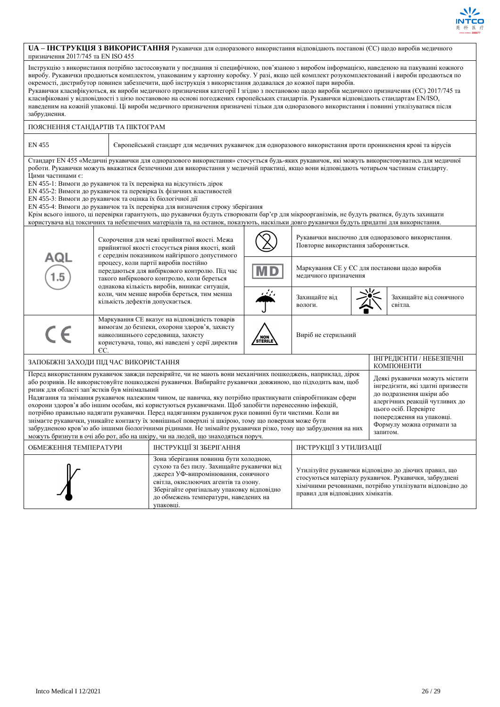

|                                    | UA - IHCTPУКЦІЯ З ВИКОРИСТАННЯ Рукавички для одноразового використання відповідають постанові (ЄС) щодо виробів медичного |
|------------------------------------|---------------------------------------------------------------------------------------------------------------------------|
| призначення 2017/745 та EN ISO 455 |                                                                                                                           |

| Інструкцію з використання потрібно застосовувати у поєднання зі специфічною, пов'язаною з виробом інформацією, наведеною на пакуванні кожного<br>виробу. Рукавички продаються комплектом, упакованим у картонну коробку. У разі, якщо цей комплект розукомплектований і вироби продаються по<br>окремості, дистрибутор повинен забезпечити, щоб інструкція з використання додавалася до кожної пари виробів.<br>Рукавички класифікуються, як вироби медичного призначення категорії І згідно з постановою щодо виробів медичного призначення (CC) 2017/745 та<br>класифіковані у відповідності з цією постановою на основі погоджених європейських стандартів. Рукавички відповідають стандартам EN/ISO,<br>наведеним на кожній упаковці. Ці вироби медичного призначення призначені тільки для одноразового використання і повинні утилізуватися після<br>забруднення.                                                                                                                                                                                                                                                                            |                                                                                                                                                |                                                                                                                                                                                         |         |                                                                        |                                                                                           |                                        |  |  |
|----------------------------------------------------------------------------------------------------------------------------------------------------------------------------------------------------------------------------------------------------------------------------------------------------------------------------------------------------------------------------------------------------------------------------------------------------------------------------------------------------------------------------------------------------------------------------------------------------------------------------------------------------------------------------------------------------------------------------------------------------------------------------------------------------------------------------------------------------------------------------------------------------------------------------------------------------------------------------------------------------------------------------------------------------------------------------------------------------------------------------------------------------|------------------------------------------------------------------------------------------------------------------------------------------------|-----------------------------------------------------------------------------------------------------------------------------------------------------------------------------------------|---------|------------------------------------------------------------------------|-------------------------------------------------------------------------------------------|----------------------------------------|--|--|
| ПОЯСНЕННЯ СТАНДАРТІВ ТА ПІКТОГРАМ                                                                                                                                                                                                                                                                                                                                                                                                                                                                                                                                                                                                                                                                                                                                                                                                                                                                                                                                                                                                                                                                                                                  |                                                                                                                                                |                                                                                                                                                                                         |         |                                                                        |                                                                                           |                                        |  |  |
| <b>EN 455</b><br>Європейський стандарт для медичних рукавичок для одноразового використання проти проникнення крові та вірусів                                                                                                                                                                                                                                                                                                                                                                                                                                                                                                                                                                                                                                                                                                                                                                                                                                                                                                                                                                                                                     |                                                                                                                                                |                                                                                                                                                                                         |         |                                                                        |                                                                                           |                                        |  |  |
| Стандарт EN 455 «Медичні рукавички для одноразового використання» стосується будь-яких рукавичок, які можуть використовуватись для медичної<br>роботи. Рукавички можуть вважатися безпечними для використання у медичній практиці, якщо вони відповідають чотирьом частинам стандарту.<br>Шими частинами є:<br>EN 455-1: Вимоги до рукавичок та їх перевірка на відсутність дірок<br>EN 455-2: Вимоги до рукавичок та перевірка їх фізичних властивостей<br>EN 455-3: Вимоги до рукавичок та оцінка їх біологічної дії<br>EN 455-4: Вимоги до рукавичок та їх перевірка для визначення строку зберігання<br>Крім всього іншого, ці перевірки гарантують, що рукавички будуть створювати бар'єр для мікроорганізмів, не будуть рватися, будуть захищати<br>користувача від токсичних та небезпечних матеріалів та, на останок, показують, наскільки довго рукавички будуть придатні для використання.                                                                                                                                                                                                                                               |                                                                                                                                                |                                                                                                                                                                                         |         |                                                                        |                                                                                           |                                        |  |  |
|                                                                                                                                                                                                                                                                                                                                                                                                                                                                                                                                                                                                                                                                                                                                                                                                                                                                                                                                                                                                                                                                                                                                                    | Скорочення для межі прийнятної якості. Межа<br>прийнятної якості стосується рівня якості, який<br>є середнім показником найгіршого допустимого |                                                                                                                                                                                         |         |                                                                        | Рукавички виключно для одноразового використання.<br>Повторне використання забороняється. |                                        |  |  |
| AQI                                                                                                                                                                                                                                                                                                                                                                                                                                                                                                                                                                                                                                                                                                                                                                                                                                                                                                                                                                                                                                                                                                                                                |                                                                                                                                                | процесу, коли партії виробів постійно<br>передаються для вибіркового контролю. Під час<br>такого вибіркового контролю, коли береться                                                    |         | Маркування СЕ у ЄС для постанови щодо виробів<br>медичного призначення |                                                                                           |                                        |  |  |
|                                                                                                                                                                                                                                                                                                                                                                                                                                                                                                                                                                                                                                                                                                                                                                                                                                                                                                                                                                                                                                                                                                                                                    |                                                                                                                                                | однакова кількість виробів, виникає ситуація,<br>коли, чим менше виробів береться, тим менша<br>кількість дефектів допускається.                                                        |         |                                                                        |                                                                                           | Захищайте від сонячного<br>світла.     |  |  |
| $\epsilon$                                                                                                                                                                                                                                                                                                                                                                                                                                                                                                                                                                                                                                                                                                                                                                                                                                                                                                                                                                                                                                                                                                                                         | EC.                                                                                                                                            | Маркування СЕ вказує на відповідність товарів<br>вимогам до безпеки, охорони здоров'я, захисту<br>навколишнього середовища, захисту<br>користувача, тощо, які наведені у серії директив | STERILE | Виріб не стерильний                                                    |                                                                                           |                                        |  |  |
| ЗАПОБІЖНІ ЗАХОДИ ПІД ЧАС ВИКОРИСТАННЯ                                                                                                                                                                                                                                                                                                                                                                                                                                                                                                                                                                                                                                                                                                                                                                                                                                                                                                                                                                                                                                                                                                              |                                                                                                                                                |                                                                                                                                                                                         |         |                                                                        |                                                                                           | ІНГРЕДІЄНТИ / НЕБЕЗПЕЧНІ<br>КОМПОНЕНТИ |  |  |
| Перед використанням рукавичок завжди перевіряйте, чи не мають вони механічних пошкоджень, наприклад, дірок<br>Деякі рукавички можуть містити<br>або розривів. Не використовуйте пошкоджені рукавички. Вибирайте рукавички довжиною, що підходить вам, щоб<br>інгредієнти, які здатні призвести<br>ризик для області зап'ястків був мінімальний<br>до подразнення шкіри або<br>Надягання та знімання рукавичок належним чином, це навичка, яку потрібно практикувати співробітникам сфери<br>алергічних реакцій чутливих до<br>охорони здоров'я або іншим особам, які користуються рукавичками. Щоб запобігти перенесенню інфекцій,<br>цього осіб. Перевірте<br>потрібно правильно надягати рукавички. Перед надяганням рукавичок руки повинні бути чистими. Коли ви<br>попередження на упаковці.<br>знімаєте рукавички, уникайте контакту їх зовнішньої поверхні зі шкірою, тому що поверхня може бути<br>Формулу можна отримати за<br>забрудненою кров'ю або іншими біологічними рідинами. Не знімайте рукавички різко, тому що забруднення на них<br>запитом.<br>можуть бризнути в очі або рот, або на шкіру, чи на людей, що знаходяться поруч. |                                                                                                                                                |                                                                                                                                                                                         |         |                                                                        |                                                                                           |                                        |  |  |
|                                                                                                                                                                                                                                                                                                                                                                                                                                                                                                                                                                                                                                                                                                                                                                                                                                                                                                                                                                                                                                                                                                                                                    |                                                                                                                                                | ІНСТРУКЦІЇ ЗІ ЗБЕРІГАННЯ                                                                                                                                                                |         |                                                                        |                                                                                           |                                        |  |  |
| ІНСТРУКЦІЇ З УТИЛИЗАЦІЇ<br>ОБМЕЖЕННЯ ТЕМПЕРАТУРИ<br>Зона зберігання повинна бути холодною,<br>сухою та без пилу. Захищайте рукавички від<br>Утилізуйте рукавички відповідно до діючих правил, що<br>джерел УФ-випромінювання, сонячного<br>стосуються матеріалу рукавичок. Рукавички, забруднені<br>світла, окислюючих агентів та озону.<br>хімічними речовинами, потрібно утилізувати відповідно до<br>Зберігайте оригінальну упаковку відповідно<br>правил для відповідних хімікатів.<br>до обмежень температури, наведених на<br>упаковці.                                                                                                                                                                                                                                                                                                                                                                                                                                                                                                                                                                                                      |                                                                                                                                                |                                                                                                                                                                                         |         |                                                                        |                                                                                           |                                        |  |  |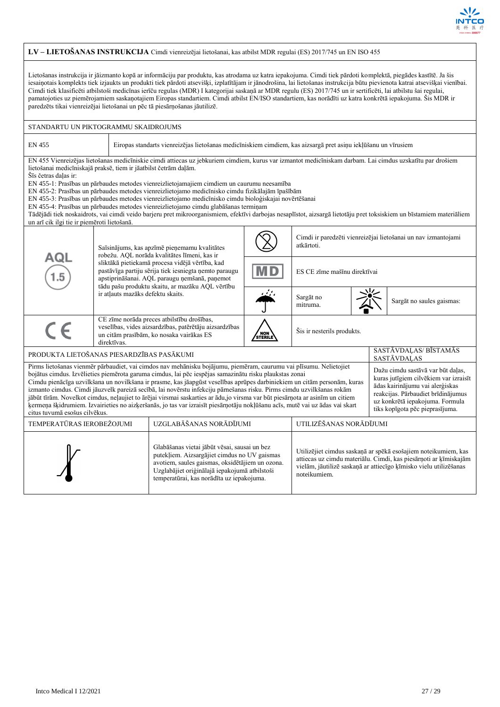

## **LV – LIETOŠANAS INSTRUKCIJA** Cimdi vienreizējai lietošanai, kas atbilst MDR regulai (ES) 2017/745 un EN ISO 455

Lietošanas instrukcija ir jāizmanto kopā ar informāciju par produktu, kas atrodama uz katra iepakojuma. Cimdi tiek pārdoti komplektā, piegādes kastītē. Ja šis iesaiņotais komplekts tiek izjaukts un produkti tiek pārdoti atsevišķi, izplatītājam ir jānodrošina, lai lietošanas instrukcija būtu pievienota katrai atsevišķai vienībai. Cimdi tiek klasificēti atbilstoši medicīnas ierīču regulas (MDR) I kategorijai saskaņā ar MDR regulu (ES) 2017/745 un ir sertificēti, lai atbilstu šai regulai, pamatojoties uz piemērojamiem saskaņotajiem Eiropas standartiem. Cimdi atbilst EN/ISO standartiem, kas norādīti uz katra konkrētā iepakojuma. Šis MDR ir paredzēts tikai vienreizējai lietošanai un pēc tā piesārņošanas jāutilizē.

| STANDARTU UN PIKTOGRAMMU SKAIDROJUMS                                                                                                                                                                                                                                                                                                                                                                                                                                                                                                                                                                                                                                                                                                                                                                                                                                                                                                                                   |                                   |                                                                                                                                                                                                               |     |                                      |  |                                                               |  |  |
|------------------------------------------------------------------------------------------------------------------------------------------------------------------------------------------------------------------------------------------------------------------------------------------------------------------------------------------------------------------------------------------------------------------------------------------------------------------------------------------------------------------------------------------------------------------------------------------------------------------------------------------------------------------------------------------------------------------------------------------------------------------------------------------------------------------------------------------------------------------------------------------------------------------------------------------------------------------------|-----------------------------------|---------------------------------------------------------------------------------------------------------------------------------------------------------------------------------------------------------------|-----|--------------------------------------|--|---------------------------------------------------------------|--|--|
| <b>EN 455</b>                                                                                                                                                                                                                                                                                                                                                                                                                                                                                                                                                                                                                                                                                                                                                                                                                                                                                                                                                          |                                   | Eiropas standarts vienreizējas lietošanas medicīniskiem cimdiem, kas aizsargā pret asiņu iekļūšanu un vīrusiem                                                                                                |     |                                      |  |                                                               |  |  |
| EN 455 Vienreizējas lietošanas medicīniskie cimdi attiecas uz jebkuriem cimdiem, kurus var izmantot medicīniskam darbam. Lai cimdus uzskatītu par drošiem<br>lietošanai medicīniskajā praksē, tiem ir jāatbilst četrām daļām.<br>Šīs četras dalas ir:<br>EN 455-1: Prasības un pārbaudes metodes vienreizlietojamajiem cimdiem un caurumu neesamība<br>EN 455-2: Prasības un pārbaudes metodes vienreizlietojamo medicīnisko cimdu fizikālajām īpašībām<br>EN 455-3: Prasības un pārbaudes metodes vienreizlietojamo medicīnisko cimdu bioloģiskajai novērtēšanai<br>EN 455-4: Prasības un pārbaudes metodes vienreizlietojamo cimdu glabāšanas termiņam<br>Tādējādi tiek noskaidrots, vai cimdi veido barjeru pret mikroorganismiem, efektīvi darbojas nesaplīstot, aizsargā lietotāju pret toksiskiem un bīstamiem materiāliem<br>un arī cik ilgi tie ir piemēroti lietošanā.                                                                                        |                                   |                                                                                                                                                                                                               |     |                                      |  |                                                               |  |  |
| AQL                                                                                                                                                                                                                                                                                                                                                                                                                                                                                                                                                                                                                                                                                                                                                                                                                                                                                                                                                                    |                                   | Saīsinājums, kas apzīmē pieņemamu kvalitātes<br>robežu. AQL norāda kvalitātes līmeni, kas ir                                                                                                                  |     | atkārtoti.                           |  | Cimdi ir paredzēti vienreizējai lietošanai un nav izmantojami |  |  |
|                                                                                                                                                                                                                                                                                                                                                                                                                                                                                                                                                                                                                                                                                                                                                                                                                                                                                                                                                                        |                                   | sliktākā pietiekamā procesa vidējā vērtība, kad<br>pastāvīga partiju sērija tiek iesniegta ņemto paraugu<br>apstiprināšanai. AQL paraugu ņemšanā, paņemot<br>tādu pašu produktu skaitu, ar mazāku AQL vērtību |     | ES CE zīme mašīnu direktīvai         |  |                                                               |  |  |
|                                                                                                                                                                                                                                                                                                                                                                                                                                                                                                                                                                                                                                                                                                                                                                                                                                                                                                                                                                        | ir atļauts mazāks defektu skaits. |                                                                                                                                                                                                               | رىن | Sargāt no<br>mitruma.                |  | Sargāt no saules gaismas:                                     |  |  |
| $\epsilon$                                                                                                                                                                                                                                                                                                                                                                                                                                                                                                                                                                                                                                                                                                                                                                                                                                                                                                                                                             | direktīvas.                       | CE zīme norāda preces atbilstību drošības,<br>veselības, vides aizsardzības, patērētāju aizsardzības<br>Šis ir nesterils produkts.<br>NON<br>STERILE<br>un citām prasībām, ko nosaka vairākas ES              |     |                                      |  |                                                               |  |  |
| PRODUKTA LIETOŠANAS PIESARDZĪBAS PASĀKUMI                                                                                                                                                                                                                                                                                                                                                                                                                                                                                                                                                                                                                                                                                                                                                                                                                                                                                                                              |                                   |                                                                                                                                                                                                               |     | SASTĀVDAĻAS/ BĪSTAMĀS<br>SASTĀVDALAS |  |                                                               |  |  |
| Pirms lietošanas vienmēr pārbaudiet, vai cimdos nav mehānisku bojājumu, piemēram, caurumu vai plīsumu. Nelietojiet<br>Dažu cimdu sastāvā var būt daļas,<br>bojātus cimdus. Izvēlieties piemērota garuma cimdus, lai pēc iespējas samazinātu risku plaukstas zonai<br>Cimdu pienācīga uzvilkšana un novilkšana ir prasme, kas jāapgūst veselības aprūpes darbiniekiem un citām personām, kuras<br>ādas kairinājumu vai alerģiskas<br>izmanto cimdus. Cimdi jāuzvelk pareizā secībā, lai novērstu infekciju pārnešanas risku. Pirms cimdu uzvilkšanas rokām<br>reakcijas. Pārbaudiet brīdinājumus<br>jābūt tīrām. Novelkot cimdus, neļaujiet to ārējai virsmai saskarties ar ādu,jo virsma var būt piesārņota ar asinīm un citiem<br>uz konkrētā iepakojuma. Formula<br>ķermeņa šķidrumiem. Izvairieties no aizķeršanās, jo tas var izraisīt piesārņotāju nokļūšanu acīs, mutē vai uz ādas vai skart<br>tiks kopīgota pēc pieprasījuma.<br>citus tuvumā esošus cilvēkus. |                                   |                                                                                                                                                                                                               |     |                                      |  | kuras jutīgiem cilvēkiem var izraisīt                         |  |  |
| TEMPERATŪRAS IEROBEŽOJUMI                                                                                                                                                                                                                                                                                                                                                                                                                                                                                                                                                                                                                                                                                                                                                                                                                                                                                                                                              |                                   | UZGLABĀŠANAS NORĀDĪJUMI                                                                                                                                                                                       |     | UTILIZĒŠANAS NORĀDĪJUMI              |  |                                                               |  |  |
| Glabāšanas vietai jābūt vēsai, sausai un bez<br>Utilizējiet cimdus saskaņā ar spēkā esošajiem noteikumiem, kas<br>putekļiem. Aizsargājiet cimdus no UV gaismas<br>attiecas uz cimdu materiālu. Cimdi, kas piesārņoti ar ķīmiskajām<br>avotiem, saules gaismas, oksidētājiem un ozona.<br>vielām, jāutilizē saskaņā ar attiecīgo ķīmisko vielu utilizēšanas<br>Uzglabājiet oriģinālajā iepakojumā atbilstoši<br>noteikumiem.<br>temperatūrai, kas norādīta uz iepakojuma.                                                                                                                                                                                                                                                                                                                                                                                                                                                                                               |                                   |                                                                                                                                                                                                               |     |                                      |  |                                                               |  |  |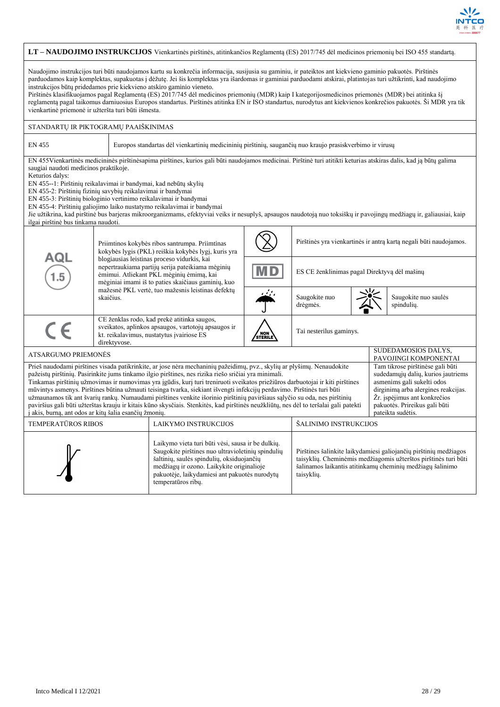

|                                                                                                                                                                                                                                                                                                                                                                                                                                                                                                                                                                                                                                                                                                                                                                                                                                                                                                                                                                                                                                                             |                                                                                                                                                                                                                                                                                                                                                                                                                                                                                                                                                                                                                                                                       | LT - NAUDOJIMO INSTRUKCIJOS Vienkartinės pirštinės, atitinkančios Reglamentą (ES) 2017/745 dėl medicinos priemonių bei ISO 455 standartą.                                                         |                          |                                              |  |  |                                                                   |  |
|-------------------------------------------------------------------------------------------------------------------------------------------------------------------------------------------------------------------------------------------------------------------------------------------------------------------------------------------------------------------------------------------------------------------------------------------------------------------------------------------------------------------------------------------------------------------------------------------------------------------------------------------------------------------------------------------------------------------------------------------------------------------------------------------------------------------------------------------------------------------------------------------------------------------------------------------------------------------------------------------------------------------------------------------------------------|-----------------------------------------------------------------------------------------------------------------------------------------------------------------------------------------------------------------------------------------------------------------------------------------------------------------------------------------------------------------------------------------------------------------------------------------------------------------------------------------------------------------------------------------------------------------------------------------------------------------------------------------------------------------------|---------------------------------------------------------------------------------------------------------------------------------------------------------------------------------------------------|--------------------------|----------------------------------------------|--|--|-------------------------------------------------------------------|--|
| Naudojimo instrukcijos turi būti naudojamos kartu su konkrečia informacija, susijusia su gaminiu, ir pateiktos ant kiekvieno gaminio pakuotės. Pirštinės<br>parduodamos kaip komplektas, supakuotas į dėžutę. Jei šis komplektas yra išardomas ir gaminiai parduodami atskirai, platintojas turi užtikrinti, kad naudojimo<br>instrukcijos būtų pridedamos prie kiekvieno atskiro gaminio vieneto.<br>Pirštinės klasifikuojamos pagal Reglamentą (ES) 2017/745 dėl medicinos priemonių (MDR) kaip I kategorijosmedicinos priemonės (MDR) bei atitinka šį<br>reglamentą pagal taikomus damiuosius Europos standartus. Pirštinės atitinka EN ir ISO standartus, nurodytus ant kiekvienos konkrečios pakuotės. Ši MDR yra tik<br>vienkartinė priemonė ir užteršta turi būti išmesta.                                                                                                                                                                                                                                                                           |                                                                                                                                                                                                                                                                                                                                                                                                                                                                                                                                                                                                                                                                       |                                                                                                                                                                                                   |                          |                                              |  |  |                                                                   |  |
| STANDARTŲ IR PIKTOGRAMŲ PAAIŠKINIMAS                                                                                                                                                                                                                                                                                                                                                                                                                                                                                                                                                                                                                                                                                                                                                                                                                                                                                                                                                                                                                        |                                                                                                                                                                                                                                                                                                                                                                                                                                                                                                                                                                                                                                                                       |                                                                                                                                                                                                   |                          |                                              |  |  |                                                                   |  |
| EN 455                                                                                                                                                                                                                                                                                                                                                                                                                                                                                                                                                                                                                                                                                                                                                                                                                                                                                                                                                                                                                                                      |                                                                                                                                                                                                                                                                                                                                                                                                                                                                                                                                                                                                                                                                       | Europos standartas dėl vienkartinių medicininių pirštinių, saugančių nuo kraujo prasiskverbimo ir virusų                                                                                          |                          |                                              |  |  |                                                                   |  |
| Keturios dalys:<br>ilgai pirštinė bus tinkama naudoti.                                                                                                                                                                                                                                                                                                                                                                                                                                                                                                                                                                                                                                                                                                                                                                                                                                                                                                                                                                                                      | EN 455Vienkartinės medicininės pirštinėsapima pirštines, kurios gali būti naudojamos medicinai. Pirštinė turi atitikti keturias atskiras dalis, kad ją būtų galima<br>saugiai naudoti medicinos praktikoje.<br>EN 455--1: Pirštinių reikalavimai ir bandymai, kad nebūtų skylių<br>EN 455-2: Pirštinių fizinių savybių reikalavimai ir bandymai<br>EN 455-3: Pirštinių biologinio vertinimo reikalavimai ir bandymai<br>EN 455-4: Pirštinių galiojimo laiko nustatymo reikalavimai ir bandymai<br>Jie užtikrina, kad pirštinė bus barjeras mikroorganizmams, efektyviai veiks ir nesuplyš, apsaugos naudotoją nuo toksiškų ir pavojingų medžiagų ir, galiausiai, kaip |                                                                                                                                                                                                   |                          |                                              |  |  |                                                                   |  |
|                                                                                                                                                                                                                                                                                                                                                                                                                                                                                                                                                                                                                                                                                                                                                                                                                                                                                                                                                                                                                                                             |                                                                                                                                                                                                                                                                                                                                                                                                                                                                                                                                                                                                                                                                       | Priimtinos kokybės ribos santrumpa. Priimtinas<br>kokybės lygis (PKL) reiškia kokybės lygį, kuris yra                                                                                             |                          |                                              |  |  | Pirštinės yra vienkartinės ir antrą kartą negali būti naudojamos. |  |
| AQL                                                                                                                                                                                                                                                                                                                                                                                                                                                                                                                                                                                                                                                                                                                                                                                                                                                                                                                                                                                                                                                         |                                                                                                                                                                                                                                                                                                                                                                                                                                                                                                                                                                                                                                                                       | blogiausias leistinas proceso vidurkis, kai<br>nepertraukiama partijų serija pateikiama mėginių<br>ėmimui. Atliekant PKL mėginių ėmimą, kai<br>mėginiai imami iš to paties skaičiaus gaminių, kuo | $\mathsf{M}\,\mathsf{D}$ | ES CE ženklinimas pagal Direktyvą dėl mašinų |  |  |                                                                   |  |
|                                                                                                                                                                                                                                                                                                                                                                                                                                                                                                                                                                                                                                                                                                                                                                                                                                                                                                                                                                                                                                                             | skaičius.                                                                                                                                                                                                                                                                                                                                                                                                                                                                                                                                                                                                                                                             | mažesnė PKL vertė, tuo mažesnis leistinas defektų                                                                                                                                                 |                          | Saugokite nuo<br>drėgmės.                    |  |  | Saugokite nuo saulės<br>spindulių.                                |  |
| CE                                                                                                                                                                                                                                                                                                                                                                                                                                                                                                                                                                                                                                                                                                                                                                                                                                                                                                                                                                                                                                                          | direktyvose.                                                                                                                                                                                                                                                                                                                                                                                                                                                                                                                                                                                                                                                          | CE ženklas rodo, kad prekė atitinka saugos,<br>sveikatos, aplinkos apsaugos, vartotojų apsaugos ir<br>kt. reikalavimus, nustatytus įvairiose ES                                                   | NON<br>STERILE           | Tai nesterilus gaminys.                      |  |  |                                                                   |  |
| ATSARGUMO PRIEMONĖS                                                                                                                                                                                                                                                                                                                                                                                                                                                                                                                                                                                                                                                                                                                                                                                                                                                                                                                                                                                                                                         |                                                                                                                                                                                                                                                                                                                                                                                                                                                                                                                                                                                                                                                                       |                                                                                                                                                                                                   |                          |                                              |  |  | SUDEDAMOSIOS DALYS,<br>PAVOJINGI KOMPONENTAI                      |  |
| Prieš naudodami pirštines visada patikrinkite, ar jose nėra mechaninių pažeidimų, pvz., skylių ar plyšimų. Nenaudokite<br>Tam tikrose pirštinėse gali būti<br>pažeistų pirštinių. Pasirinkite jums tinkamo ilgio pirštines, nes rizika riešo sričiai yra minimali.<br>sudedamųjų dalių, kurios jautriems<br>Tinkamas pirštinių užmovimas ir numovimas yra įgūdis, kurį turi treniruoti sveikatos priežiūros darbuotojai ir kiti pirštines<br>asmenims gali sukelti odos<br>mūvintys asmenys. Pirštines būtina užmauti teisinga tvarka, siekiant išvengti infekcijų perdavimo. Pirštinės turi būti<br>dirginimą arba alergines reakcijas.<br>užmaunamos tik ant švarių rankų. Numaudami pirštines venkite išorinio pirštinių paviršiaus sąlyčio su oda, nes pirštinių<br>Žr. įspėjimus ant konkrečios<br>pakuotės. Prireikus gali būti<br>paviršius gali būti užterštas krauju ir kitais kūno skysčiais. Stenkitės, kad pirštinės neužkliūtų, nes dėl to teršalai gali patekti<br>i akis, burna, ant odos ar kitų šalia esančių žmonių.<br>pateikta sudėtis. |                                                                                                                                                                                                                                                                                                                                                                                                                                                                                                                                                                                                                                                                       |                                                                                                                                                                                                   |                          |                                              |  |  |                                                                   |  |
| <b>TEMPERATŪROS RIBOS</b>                                                                                                                                                                                                                                                                                                                                                                                                                                                                                                                                                                                                                                                                                                                                                                                                                                                                                                                                                                                                                                   |                                                                                                                                                                                                                                                                                                                                                                                                                                                                                                                                                                                                                                                                       | LAIKYMO INSTRUKCIJOS                                                                                                                                                                              |                          | ŠALINIMO INSTRUKCIJOS                        |  |  |                                                                   |  |
| Laikymo vieta turi būti vėsi, sausa ir be dulkių.<br>Saugokite pirštines nuo ultravioletinių spindulių<br>Pirštines šalinkite laikydamiesi galiojančių pirštinių medžiagos<br>šaltinių, saulės spindulių, oksiduojančių<br>taisyklių. Cheminėmis medžiagomis užterštos pirštinės turi būti<br>medžiagų ir ozono. Laikykite originalioje<br>šalinamos laikantis atitinkamų cheminių medžiagų šalinimo<br>pakuotėje, laikydamiesi ant pakuotės nurodytų<br>taisyklių.<br>temperatūros ribų.                                                                                                                                                                                                                                                                                                                                                                                                                                                                                                                                                                   |                                                                                                                                                                                                                                                                                                                                                                                                                                                                                                                                                                                                                                                                       |                                                                                                                                                                                                   |                          |                                              |  |  |                                                                   |  |